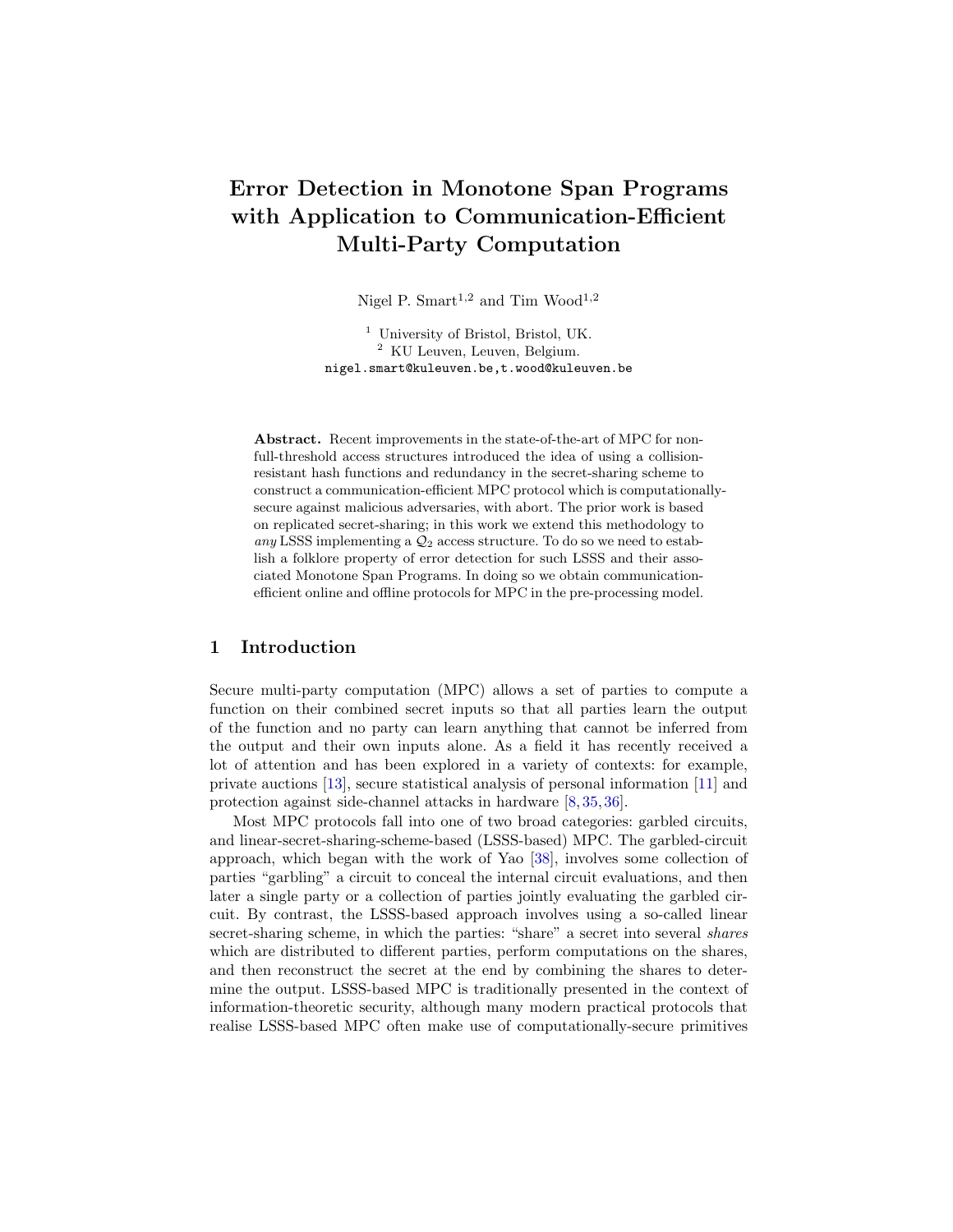# Error Detection in Monotone Span Programs with Application to Communication-Efficient Multi-Party Computation

Nigel P. Smart<sup>1,2</sup> and Tim Wood<sup>1,2</sup>

<sup>1</sup> University of Bristol, Bristol, UK. <sup>2</sup> KU Leuven, Leuven, Belgium. nigel.smart@kuleuven.be,t.wood@kuleuven.be

Abstract. Recent improvements in the state-of-the-art of MPC for nonfull-threshold access structures introduced the idea of using a collisionresistant hash functions and redundancy in the secret-sharing scheme to construct a communication-efficient MPC protocol which is computationallysecure against malicious adversaries, with abort. The prior work is based on replicated secret-sharing; in this work we extend this methodology to any LSSS implementing a  $\mathcal{Q}_2$  access structure. To do so we need to establish a folklore property of error detection for such LSSS and their associated Monotone Span Programs. In doing so we obtain communicationefficient online and offline protocols for MPC in the pre-processing model.

# 1 Introduction

Secure multi-party computation (MPC) allows a set of parties to compute a function on their combined secret inputs so that all parties learn the output of the function and no party can learn anything that cannot be inferred from the output and their own inputs alone. As a field it has recently received a lot of attention and has been explored in a variety of contexts: for example, private auctions [\[13\]](#page-25-0), secure statistical analysis of personal information [\[11\]](#page-25-1) and protection against side-channel attacks in hardware [\[8,](#page-25-2) [35,](#page-27-0) [36\]](#page-27-1).

Most MPC protocols fall into one of two broad categories: garbled circuits, and linear-secret-sharing-scheme-based (LSSS-based) MPC. The garbled-circuit approach, which began with the work of Yao [\[38\]](#page-27-2), involves some collection of parties "garbling" a circuit to conceal the internal circuit evaluations, and then later a single party or a collection of parties jointly evaluating the garbled circuit. By contrast, the LSSS-based approach involves using a so-called linear secret-sharing scheme, in which the parties: "share" a secret into several *shares* which are distributed to different parties, perform computations on the shares, and then reconstruct the secret at the end by combining the shares to determine the output. LSSS-based MPC is traditionally presented in the context of information-theoretic security, although many modern practical protocols that realise LSSS-based MPC often make use of computationally-secure primitives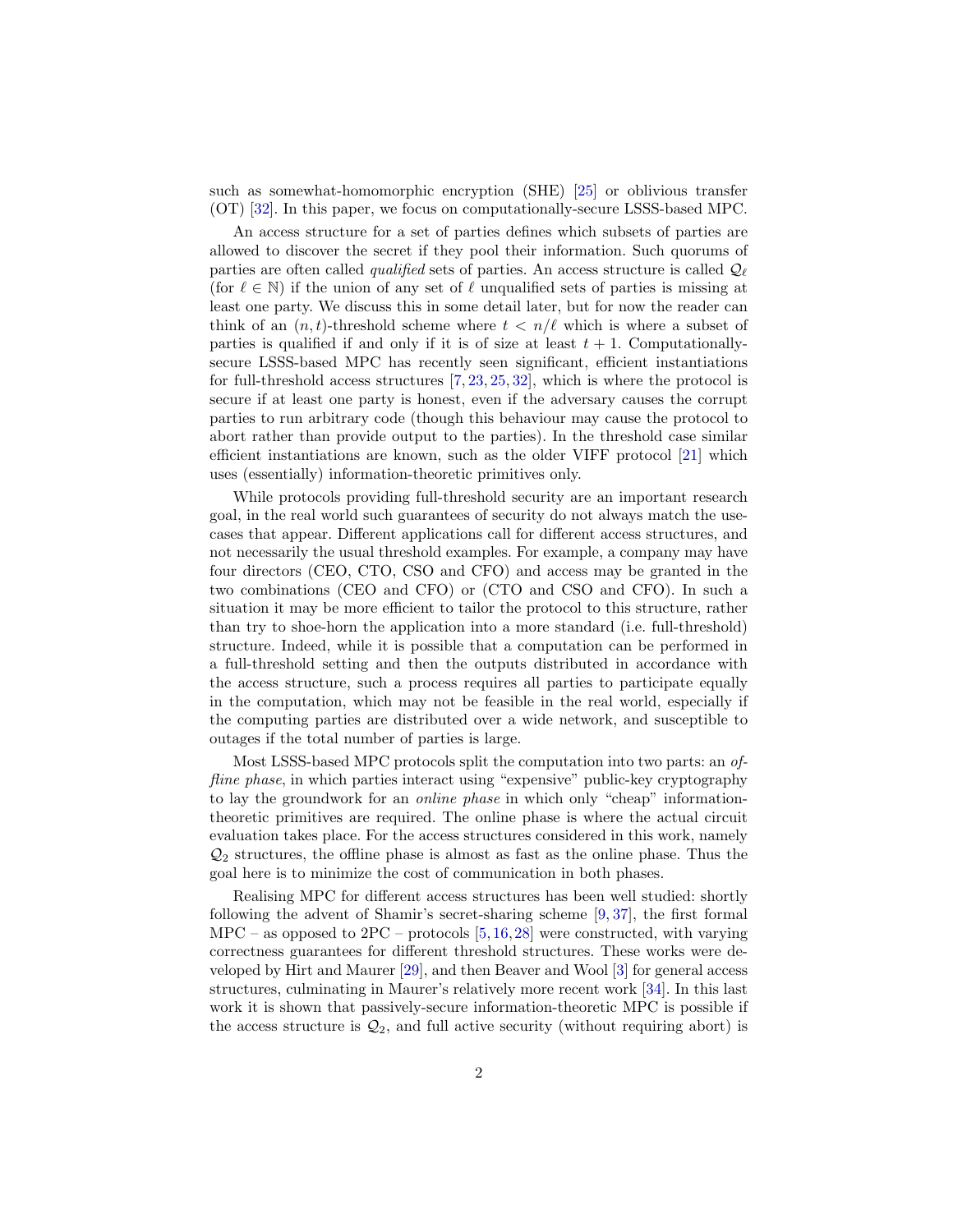such as somewhat-homomorphic encryption (SHE) [\[25\]](#page-26-0) or oblivious transfer (OT) [\[32\]](#page-26-1). In this paper, we focus on computationally-secure LSSS-based MPC.

An access structure for a set of parties defines which subsets of parties are allowed to discover the secret if they pool their information. Such quorums of parties are often called *qualified* sets of parties. An access structure is called  $\mathcal{Q}_{\ell}$ (for  $\ell \in \mathbb{N}$ ) if the union of any set of  $\ell$  unqualified sets of parties is missing at least one party. We discuss this in some detail later, but for now the reader can think of an  $(n, t)$ -threshold scheme where  $t < n/\ell$  which is where a subset of parties is qualified if and only if it is of size at least  $t + 1$ . Computationallysecure LSSS-based MPC has recently seen significant, efficient instantiations for full-threshold access structures [\[7,](#page-25-3) [23,](#page-26-2) [25,](#page-26-0) [32\]](#page-26-1), which is where the protocol is secure if at least one party is honest, even if the adversary causes the corrupt parties to run arbitrary code (though this behaviour may cause the protocol to abort rather than provide output to the parties). In the threshold case similar efficient instantiations are known, such as the older VIFF protocol [\[21\]](#page-26-3) which uses (essentially) information-theoretic primitives only.

While protocols providing full-threshold security are an important research goal, in the real world such guarantees of security do not always match the usecases that appear. Different applications call for different access structures, and not necessarily the usual threshold examples. For example, a company may have four directors (CEO, CTO, CSO and CFO) and access may be granted in the two combinations (CEO and CFO) or (CTO and CSO and CFO). In such a situation it may be more efficient to tailor the protocol to this structure, rather than try to shoe-horn the application into a more standard (i.e. full-threshold) structure. Indeed, while it is possible that a computation can be performed in a full-threshold setting and then the outputs distributed in accordance with the access structure, such a process requires all parties to participate equally in the computation, which may not be feasible in the real world, especially if the computing parties are distributed over a wide network, and susceptible to outages if the total number of parties is large.

Most LSSS-based MPC protocols split the computation into two parts: an offline phase, in which parties interact using "expensive" public-key cryptography to lay the groundwork for an online phase in which only "cheap" informationtheoretic primitives are required. The online phase is where the actual circuit evaluation takes place. For the access structures considered in this work, namely  $\mathcal{Q}_2$  structures, the offline phase is almost as fast as the online phase. Thus the goal here is to minimize the cost of communication in both phases.

Realising MPC for different access structures has been well studied: shortly following the advent of Shamir's secret-sharing scheme [\[9,](#page-25-4) [37\]](#page-27-3), the first formal  $MPC -$  as opposed to  $2PC -$  protocols  $[5, 16, 28]$  $[5, 16, 28]$  $[5, 16, 28]$  $[5, 16, 28]$  $[5, 16, 28]$  were constructed, with varying correctness guarantees for different threshold structures. These works were developed by Hirt and Maurer [\[29\]](#page-26-5), and then Beaver and Wool [\[3\]](#page-25-7) for general access structures, culminating in Maurer's relatively more recent work [\[34\]](#page-26-6). In this last work it is shown that passively-secure information-theoretic MPC is possible if the access structure is  $\mathcal{Q}_2$ , and full active security (without requiring abort) is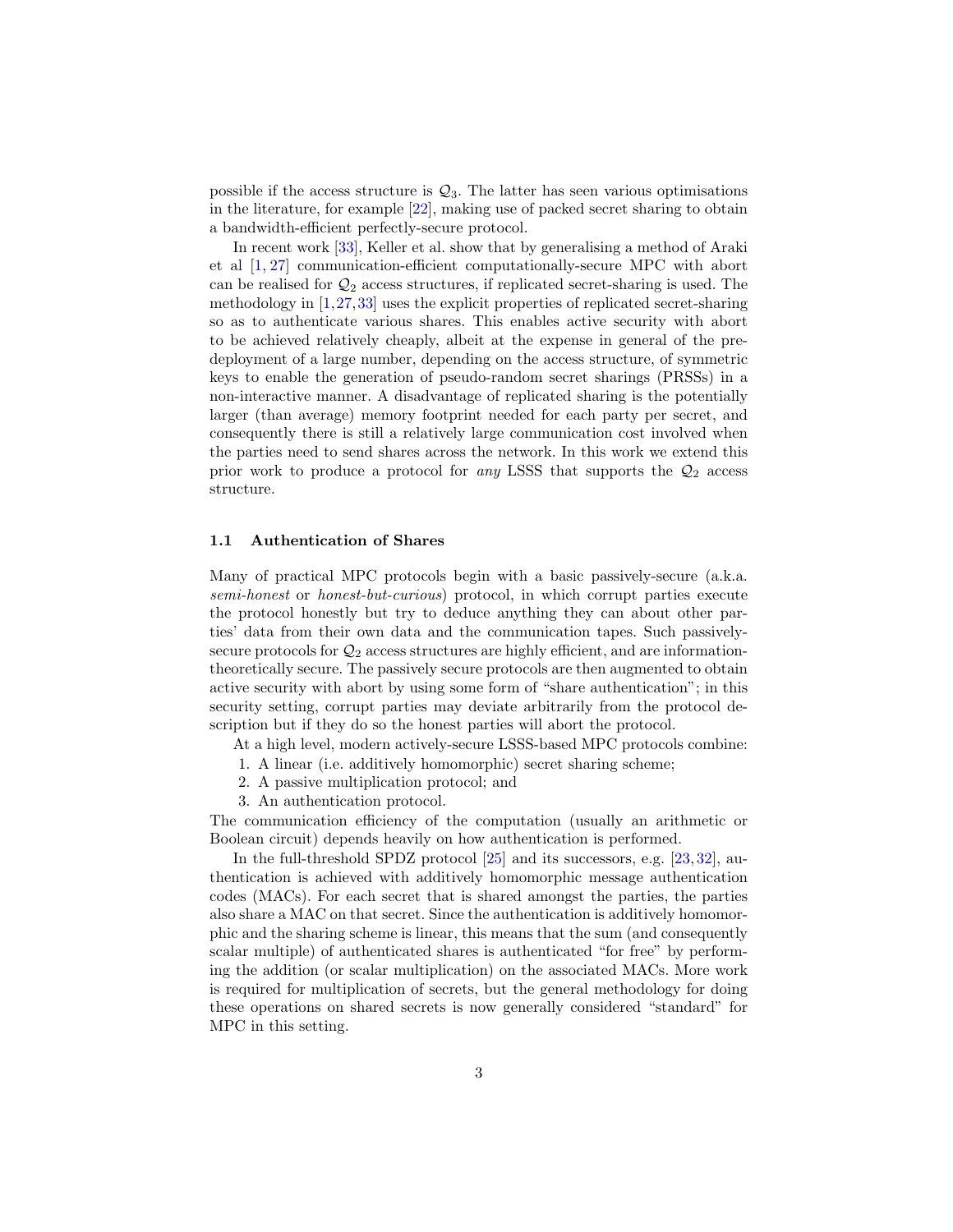possible if the access structure is  $\mathcal{Q}_3$ . The latter has seen various optimisations in the literature, for example [\[22\]](#page-26-7), making use of packed secret sharing to obtain a bandwidth-efficient perfectly-secure protocol.

In recent work [\[33\]](#page-26-8), Keller et al. show that by generalising a method of Araki et al [\[1,](#page-23-0) [27\]](#page-26-9) communication-efficient computationally-secure MPC with abort can be realised for  $\mathcal{Q}_2$  access structures, if replicated secret-sharing is used. The methodology in [\[1,](#page-23-0)[27,](#page-26-9)[33\]](#page-26-8) uses the explicit properties of replicated secret-sharing so as to authenticate various shares. This enables active security with abort to be achieved relatively cheaply, albeit at the expense in general of the predeployment of a large number, depending on the access structure, of symmetric keys to enable the generation of pseudo-random secret sharings (PRSSs) in a non-interactive manner. A disadvantage of replicated sharing is the potentially larger (than average) memory footprint needed for each party per secret, and consequently there is still a relatively large communication cost involved when the parties need to send shares across the network. In this work we extend this prior work to produce a protocol for *any* LSSS that supports the  $\mathcal{Q}_2$  access structure.

### 1.1 Authentication of Shares

Many of practical MPC protocols begin with a basic passively-secure (a.k.a. semi-honest or honest-but-curious) protocol, in which corrupt parties execute the protocol honestly but try to deduce anything they can about other parties' data from their own data and the communication tapes. Such passivelysecure protocols for  $\mathcal{Q}_2$  access structures are highly efficient, and are informationtheoretically secure. The passively secure protocols are then augmented to obtain active security with abort by using some form of "share authentication"; in this security setting, corrupt parties may deviate arbitrarily from the protocol description but if they do so the honest parties will abort the protocol.

At a high level, modern actively-secure LSSS-based MPC protocols combine:

- 1. A linear (i.e. additively homomorphic) secret sharing scheme;
- 2. A passive multiplication protocol; and
- 3. An authentication protocol.

The communication efficiency of the computation (usually an arithmetic or Boolean circuit) depends heavily on how authentication is performed.

In the full-threshold SPDZ protocol [\[25\]](#page-26-0) and its successors, e.g. [\[23,](#page-26-2) [32\]](#page-26-1), authentication is achieved with additively homomorphic message authentication codes (MACs). For each secret that is shared amongst the parties, the parties also share a MAC on that secret. Since the authentication is additively homomorphic and the sharing scheme is linear, this means that the sum (and consequently scalar multiple) of authenticated shares is authenticated "for free" by performing the addition (or scalar multiplication) on the associated MACs. More work is required for multiplication of secrets, but the general methodology for doing these operations on shared secrets is now generally considered "standard" for MPC in this setting.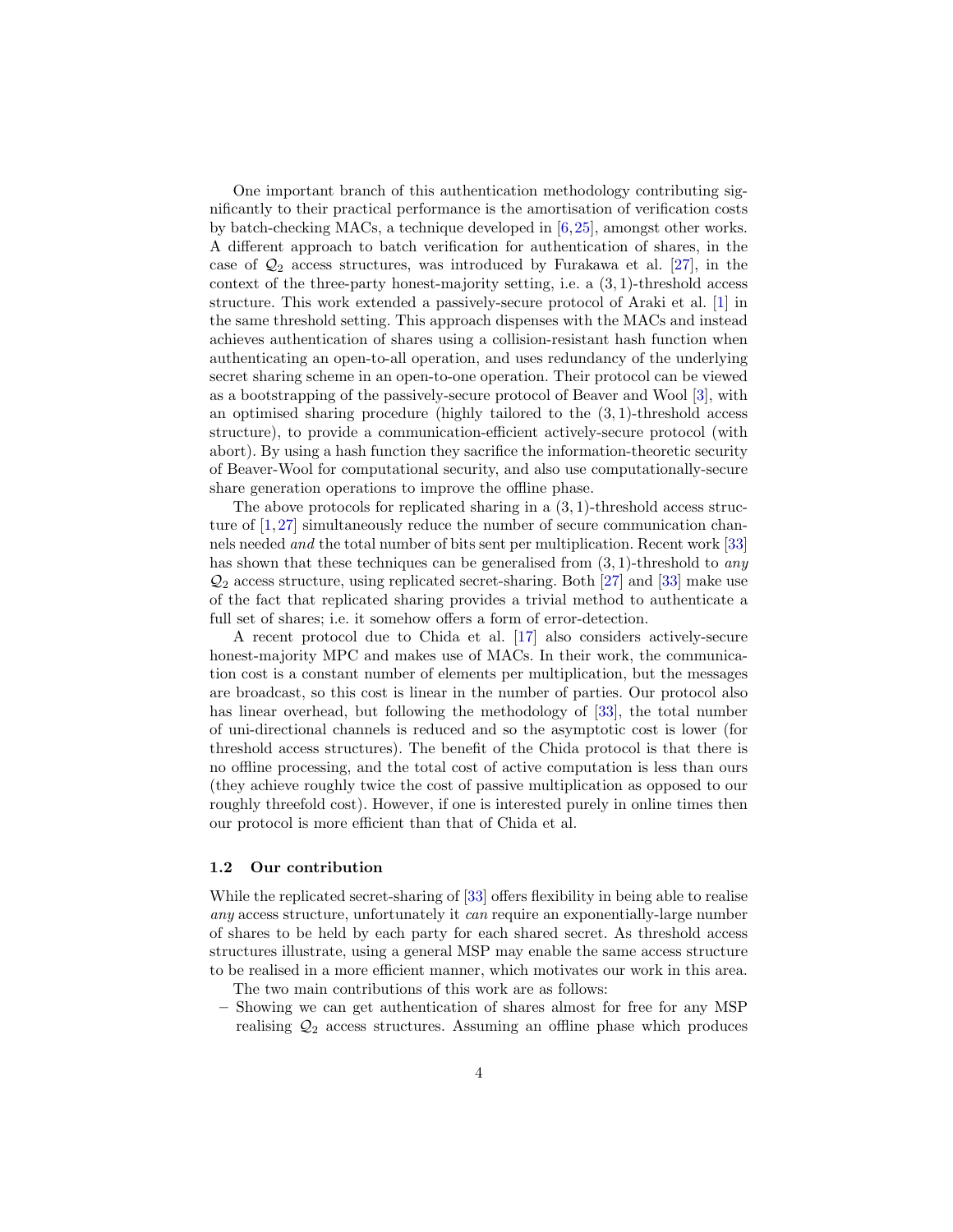One important branch of this authentication methodology contributing significantly to their practical performance is the amortisation of verification costs by batch-checking MACs, a technique developed in [\[6,](#page-25-8)[25\]](#page-26-0), amongst other works. A different approach to batch verification for authentication of shares, in the case of  $\mathcal{Q}_2$  access structures, was introduced by Furakawa et al. [\[27\]](#page-26-9), in the context of the three-party honest-majority setting, i.e. a  $(3, 1)$ -threshold access structure. This work extended a passively-secure protocol of Araki et al. [\[1\]](#page-23-0) in the same threshold setting. This approach dispenses with the MACs and instead achieves authentication of shares using a collision-resistant hash function when authenticating an open-to-all operation, and uses redundancy of the underlying secret sharing scheme in an open-to-one operation. Their protocol can be viewed as a bootstrapping of the passively-secure protocol of Beaver and Wool [\[3\]](#page-25-7), with an optimised sharing procedure (highly tailored to the  $(3, 1)$ -threshold access structure), to provide a communication-efficient actively-secure protocol (with abort). By using a hash function they sacrifice the information-theoretic security of Beaver-Wool for computational security, and also use computationally-secure share generation operations to improve the offline phase.

The above protocols for replicated sharing in a (3, 1)-threshold access structure of [\[1,](#page-23-0)[27\]](#page-26-9) simultaneously reduce the number of secure communication channels needed and the total number of bits sent per multiplication. Recent work [\[33\]](#page-26-8) has shown that these techniques can be generalised from  $(3, 1)$ -threshold to any  $\mathcal{Q}_2$  access structure, using replicated secret-sharing. Both [\[27\]](#page-26-9) and [\[33\]](#page-26-8) make use of the fact that replicated sharing provides a trivial method to authenticate a full set of shares; i.e. it somehow offers a form of error-detection.

A recent protocol due to Chida et al. [\[17\]](#page-25-9) also considers actively-secure honest-majority MPC and makes use of MACs. In their work, the communication cost is a constant number of elements per multiplication, but the messages are broadcast, so this cost is linear in the number of parties. Our protocol also has linear overhead, but following the methodology of [\[33\]](#page-26-8), the total number of uni-directional channels is reduced and so the asymptotic cost is lower (for threshold access structures). The benefit of the Chida protocol is that there is no offline processing, and the total cost of active computation is less than ours (they achieve roughly twice the cost of passive multiplication as opposed to our roughly threefold cost). However, if one is interested purely in online times then our protocol is more efficient than that of Chida et al.

#### 1.2 Our contribution

While the replicated secret-sharing of [\[33\]](#page-26-8) offers flexibility in being able to realise any access structure, unfortunately it can require an exponentially-large number of shares to be held by each party for each shared secret. As threshold access structures illustrate, using a general MSP may enable the same access structure to be realised in a more efficient manner, which motivates our work in this area.

The two main contributions of this work are as follows:

– Showing we can get authentication of shares almost for free for any MSP realising  $\mathcal{Q}_2$  access structures. Assuming an offline phase which produces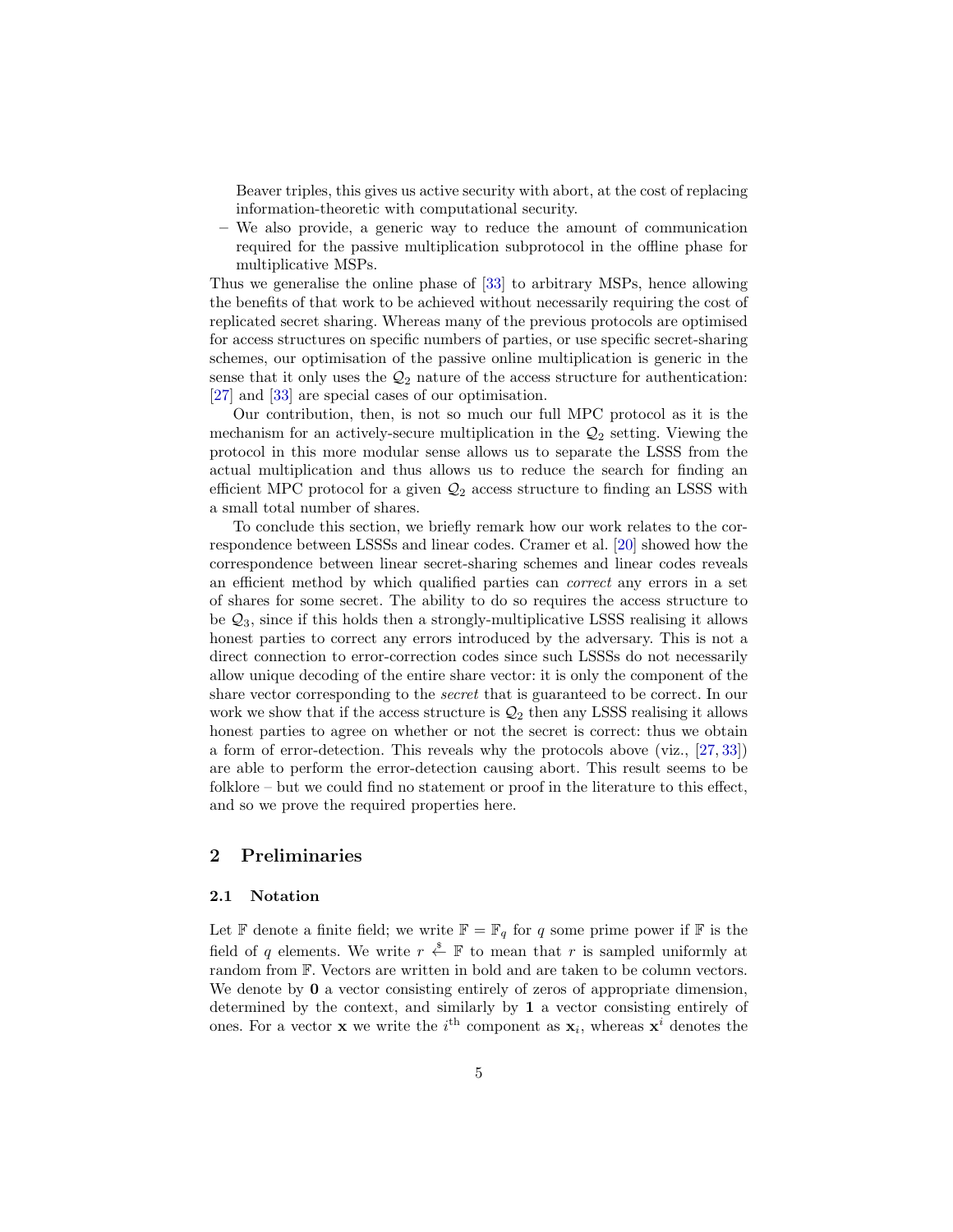Beaver triples, this gives us active security with abort, at the cost of replacing information-theoretic with computational security.

– We also provide, a generic way to reduce the amount of communication required for the passive multiplication subprotocol in the offline phase for multiplicative MSPs.

Thus we generalise the online phase of [\[33\]](#page-26-8) to arbitrary MSPs, hence allowing the benefits of that work to be achieved without necessarily requiring the cost of replicated secret sharing. Whereas many of the previous protocols are optimised for access structures on specific numbers of parties, or use specific secret-sharing schemes, our optimisation of the passive online multiplication is generic in the sense that it only uses the  $\mathcal{Q}_2$  nature of the access structure for authentication: [\[27\]](#page-26-9) and [\[33\]](#page-26-8) are special cases of our optimisation.

Our contribution, then, is not so much our full MPC protocol as it is the mechanism for an actively-secure multiplication in the  $\mathcal{Q}_2$  setting. Viewing the protocol in this more modular sense allows us to separate the LSSS from the actual multiplication and thus allows us to reduce the search for finding an efficient MPC protocol for a given  $\mathcal{Q}_2$  access structure to finding an LSSS with a small total number of shares.

To conclude this section, we briefly remark how our work relates to the correspondence between LSSSs and linear codes. Cramer et al. [\[20\]](#page-26-10) showed how the correspondence between linear secret-sharing schemes and linear codes reveals an efficient method by which qualified parties can correct any errors in a set of shares for some secret. The ability to do so requires the access structure to be  $\mathcal{Q}_3$ , since if this holds then a strongly-multiplicative LSSS realising it allows honest parties to correct any errors introduced by the adversary. This is not a direct connection to error-correction codes since such LSSSs do not necessarily allow unique decoding of the entire share vector: it is only the component of the share vector corresponding to the secret that is guaranteed to be correct. In our work we show that if the access structure is  $\mathcal{Q}_2$  then any LSSS realising it allows honest parties to agree on whether or not the secret is correct: thus we obtain a form of error-detection. This reveals why the protocols above (viz., [\[27,](#page-26-9) [33\]](#page-26-8)) are able to perform the error-detection causing abort. This result seems to be folklore – but we could find no statement or proof in the literature to this effect, and so we prove the required properties here.

# 2 Preliminaries

### 2.1 Notation

Let  $\mathbb F$  denote a finite field; we write  $\mathbb F = \mathbb F_q$  for q some prime power if  $\mathbb F$  is the field of q elements. We write  $r \stackrel{\$}{\leftarrow} \mathbb{F}$  to mean that r is sampled uniformly at random from F. Vectors are written in bold and are taken to be column vectors. We denote by **0** a vector consisting entirely of zeros of appropriate dimension, determined by the context, and similarly by 1 a vector consisting entirely of ones. For a vector **x** we write the  $i<sup>th</sup>$  component as  $\mathbf{x}_i$ , whereas  $\mathbf{x}^i$  denotes the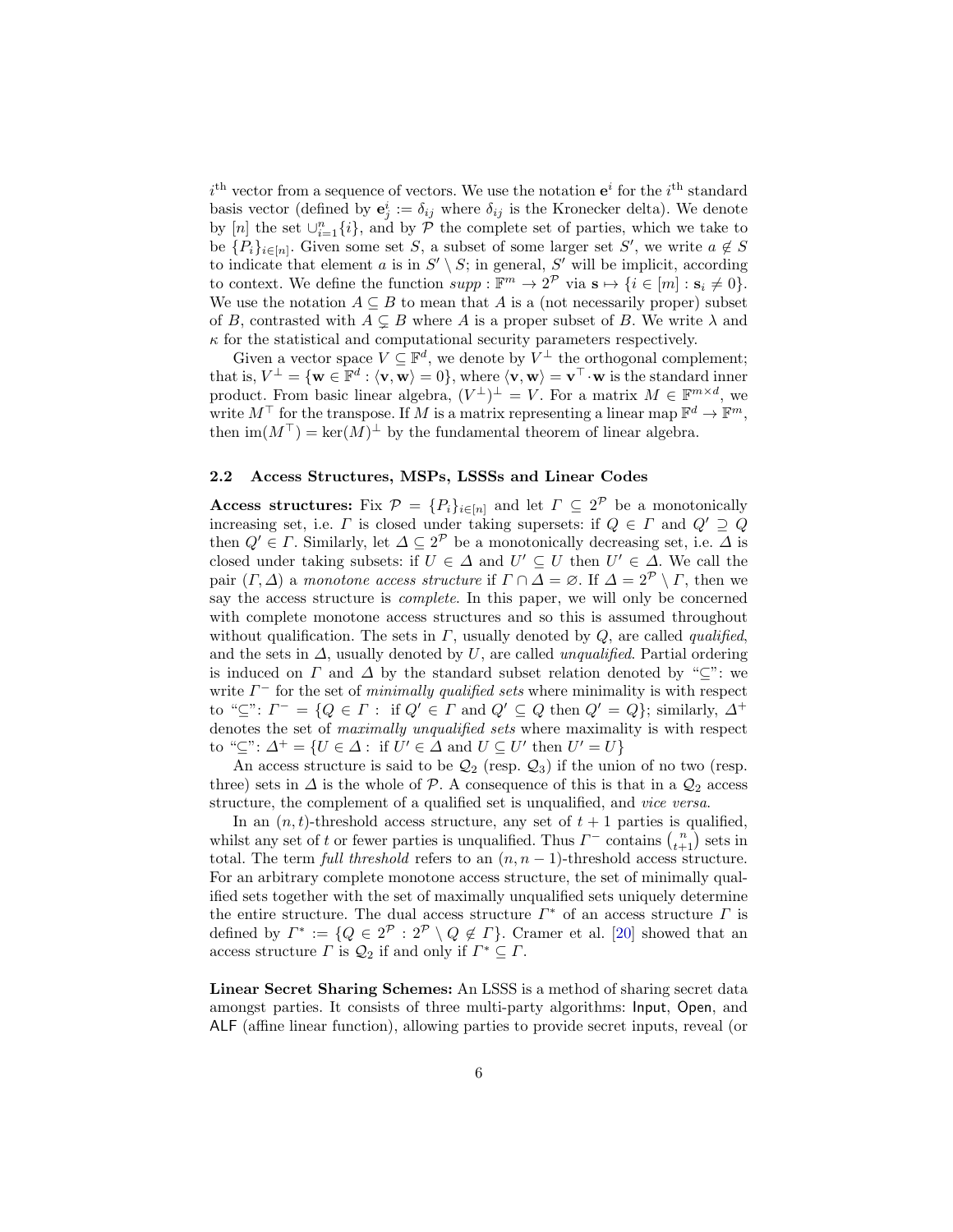$i<sup>th</sup>$  vector from a sequence of vectors. We use the notation  $e<sup>i</sup>$  for the  $i<sup>th</sup>$  standard basis vector (defined by  $\mathbf{e}_j^i := \delta_{ij}$  where  $\delta_{ij}$  is the Kronecker delta). We denote by [n] the set  $\cup_{i=1}^n \{i\}$ , and by  $\mathcal P$  the complete set of parties, which we take to be  ${P_i}_{i\in[n]}$ . Given some set S, a subset of some larger set S', we write  $a \notin S$ to indicate that element a is in  $S' \setminus S$ ; in general, S' will be implicit, according to context. We define the function  $supp : \mathbb{F}^m \to 2^{\mathcal{P}}$  via  $\mathbf{s} \mapsto \{i \in [m] : \mathbf{s}_i \neq 0\}.$ We use the notation  $A \subseteq B$  to mean that A is a (not necessarily proper) subset of B, contrasted with  $A \subseteq B$  where A is a proper subset of B. We write  $\lambda$  and  $\kappa$  for the statistical and computational security parameters respectively.

Given a vector space  $V \subseteq \mathbb{F}^d$ , we denote by  $V^{\perp}$  the orthogonal complement; that is,  $V^{\perp} = {\mathbf{w} \in \mathbb{F}^d : \langle \mathbf{v}, \mathbf{w} \rangle = 0}$ , where  $\langle \mathbf{v}, \mathbf{w} \rangle = {\mathbf{v}^\top \cdot \mathbf{w}}$  is the standard inner product. From basic linear algebra,  $(V^{\perp})^{\perp} = V$ . For a matrix  $M \in \mathbb{F}^{m \times d}$ , we write  $M^{\top}$  for the transpose. If M is a matrix representing a linear map  $\mathbb{F}^d \to \mathbb{F}^m$ , then  $\text{im}(M^{\top}) = \text{ker}(M)^{\perp}$  by the fundamental theorem of linear algebra.

### 2.2 Access Structures, MSPs, LSSSs and Linear Codes

**Access structures:** Fix  $\mathcal{P} = \{P_i\}_{i \in [n]}$  and let  $\Gamma \subseteq 2^{\mathcal{P}}$  be a monotonically increasing set, i.e.  $\Gamma$  is closed under taking supersets: if  $Q \in \Gamma$  and  $Q' \supseteq Q$ then  $Q' \in \Gamma$ . Similarly, let  $\Delta \subseteq 2^{\mathcal{P}}$  be a monotonically decreasing set, i.e.  $\Delta$  is closed under taking subsets: if  $U \in \Delta$  and  $U' \subseteq U$  then  $U' \in \Delta$ . We call the pair  $(\Gamma, \Delta)$  a monotone access structure if  $\Gamma \cap \Delta = \emptyset$ . If  $\Delta = 2^{\mathcal{P}} \setminus \Gamma$ , then we say the access structure is *complete*. In this paper, we will only be concerned with complete monotone access structures and so this is assumed throughout without qualification. The sets in  $\Gamma$ , usually denoted by  $Q$ , are called *qualified*, and the sets in  $\Delta$ , usually denoted by U, are called *unqualified*. Partial ordering is induced on  $\Gamma$  and  $\Delta$  by the standard subset relation denoted by "⊂": we write  $\Gamma^-$  for the set of *minimally qualified sets* where minimality is with respect to " $\subseteq$ ":  $\Gamma^- = \{Q \in \Gamma : \text{ if } Q' \in \Gamma \text{ and } Q' \subseteq Q \text{ then } Q' = Q\};\$  similarly,  $\Delta^+$ denotes the set of maximally unqualified sets where maximality is with respect to " $\subseteq$ ":  $\Delta^+ = \{U \in \Delta : \text{ if } U' \in \Delta \text{ and } U \subseteq U' \text{ then } U' = U\}$ 

An access structure is said to be  $\mathcal{Q}_2$  (resp.  $\mathcal{Q}_3$ ) if the union of no two (resp. three) sets in  $\Delta$  is the whole of P. A consequence of this is that in a  $\mathcal{Q}_2$  access structure, the complement of a qualified set is unqualified, and vice versa.

In an  $(n, t)$ -threshold access structure, any set of  $t + 1$  parties is qualified, whilst any set of t or fewer parties is unqualified. Thus  $\Gamma^-$  contains  $\binom{n}{t+1}$  sets in total. The term full threshold refers to an  $(n, n - 1)$ -threshold access structure. For an arbitrary complete monotone access structure, the set of minimally qualified sets together with the set of maximally unqualified sets uniquely determine the entire structure. The dual access structure  $\Gamma^*$  of an access structure  $\Gamma$  is defined by  $\Gamma^* := \{Q \in 2^{\mathcal{P}} : 2^{\mathcal{P}} \setminus Q \notin \Gamma\}$ . Cramer et al. [\[20\]](#page-26-10) showed that an access structure  $\Gamma$  is  $\mathcal{Q}_2$  if and only if  $\Gamma^* \subseteq \Gamma$ .

Linear Secret Sharing Schemes: An LSSS is a method of sharing secret data amongst parties. It consists of three multi-party algorithms: Input, Open, and ALF (affine linear function), allowing parties to provide secret inputs, reveal (or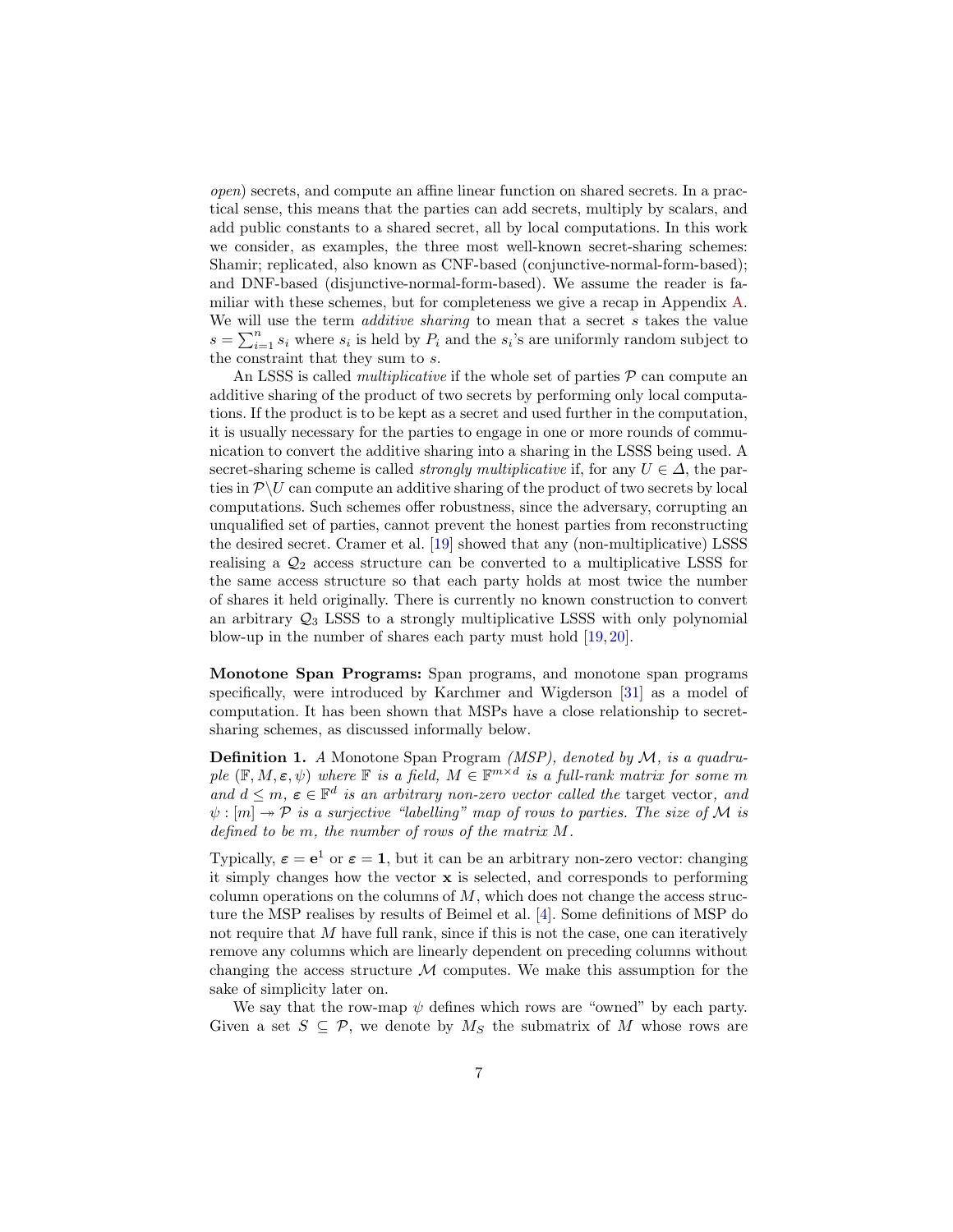open) secrets, and compute an affine linear function on shared secrets. In a practical sense, this means that the parties can add secrets, multiply by scalars, and add public constants to a shared secret, all by local computations. In this work we consider, as examples, the three most well-known secret-sharing schemes: Shamir; replicated, also known as CNF-based (conjunctive-normal-form-based); and DNF-based (disjunctive-normal-form-based). We assume the reader is familiar with these schemes, but for completeness we give a recap in Appendix [A.](#page-33-0) We will use the term *additive sharing* to mean that a secret  $s$  takes the value  $s = \sum_{i=1}^{n} s_i$  where  $s_i$  is held by  $P_i$  and the  $s_i$ 's are uniformly random subject to the constraint that they sum to s.

An LSSS is called *multiplicative* if the whole set of parties  $P$  can compute an additive sharing of the product of two secrets by performing only local computations. If the product is to be kept as a secret and used further in the computation, it is usually necessary for the parties to engage in one or more rounds of communication to convert the additive sharing into a sharing in the LSSS being used. A secret-sharing scheme is called *strongly multiplicative* if, for any  $U \in \Delta$ , the parties in  $\mathcal{P}\setminus U$  can compute an additive sharing of the product of two secrets by local computations. Such schemes offer robustness, since the adversary, corrupting an unqualified set of parties, cannot prevent the honest parties from reconstructing the desired secret. Cramer et al. [\[19\]](#page-26-11) showed that any (non-multiplicative) LSSS realising a  $\mathcal{Q}_2$  access structure can be converted to a multiplicative LSSS for the same access structure so that each party holds at most twice the number of shares it held originally. There is currently no known construction to convert an arbitrary  $\mathcal{Q}_3$  LSSS to a strongly multiplicative LSSS with only polynomial blow-up in the number of shares each party must hold [\[19,](#page-26-11) [20\]](#page-26-10).

Monotone Span Programs: Span programs, and monotone span programs specifically, were introduced by Karchmer and Wigderson [\[31\]](#page-26-12) as a model of computation. It has been shown that MSPs have a close relationship to secretsharing schemes, as discussed informally below.

**Definition 1.** A Monotone Span Program (MSP), denoted by  $M$ , is a quadruple  $(\mathbb{F}, M, \varepsilon, \psi)$  where  $\mathbb F$  is a field,  $M \in \mathbb{F}^{m \times d}$  is a full-rank matrix for some m and  $d \leq m$ ,  $\varepsilon \in \mathbb{F}^d$  is an arbitrary non-zero vector called the target vector, and  $\psi : [m] \to \mathcal{P}$  is a surjective "labelling" map of rows to parties. The size of M is defined to be m, the number of rows of the matrix M.

Typically,  $\varepsilon = e^1$  or  $\varepsilon = 1$ , but it can be an arbitrary non-zero vector: changing it simply changes how the vector  $\bf{x}$  is selected, and corresponds to performing column operations on the columns of  $M$ , which does not change the access structure the MSP realises by results of Beimel et al. [\[4\]](#page-25-10). Some definitions of MSP do not require that M have full rank, since if this is not the case, one can iteratively remove any columns which are linearly dependent on preceding columns without changing the access structure  $\mathcal M$  computes. We make this assumption for the sake of simplicity later on.

We say that the row-map  $\psi$  defines which rows are "owned" by each party. Given a set  $S \subseteq \mathcal{P}$ , we denote by  $M_S$  the submatrix of M whose rows are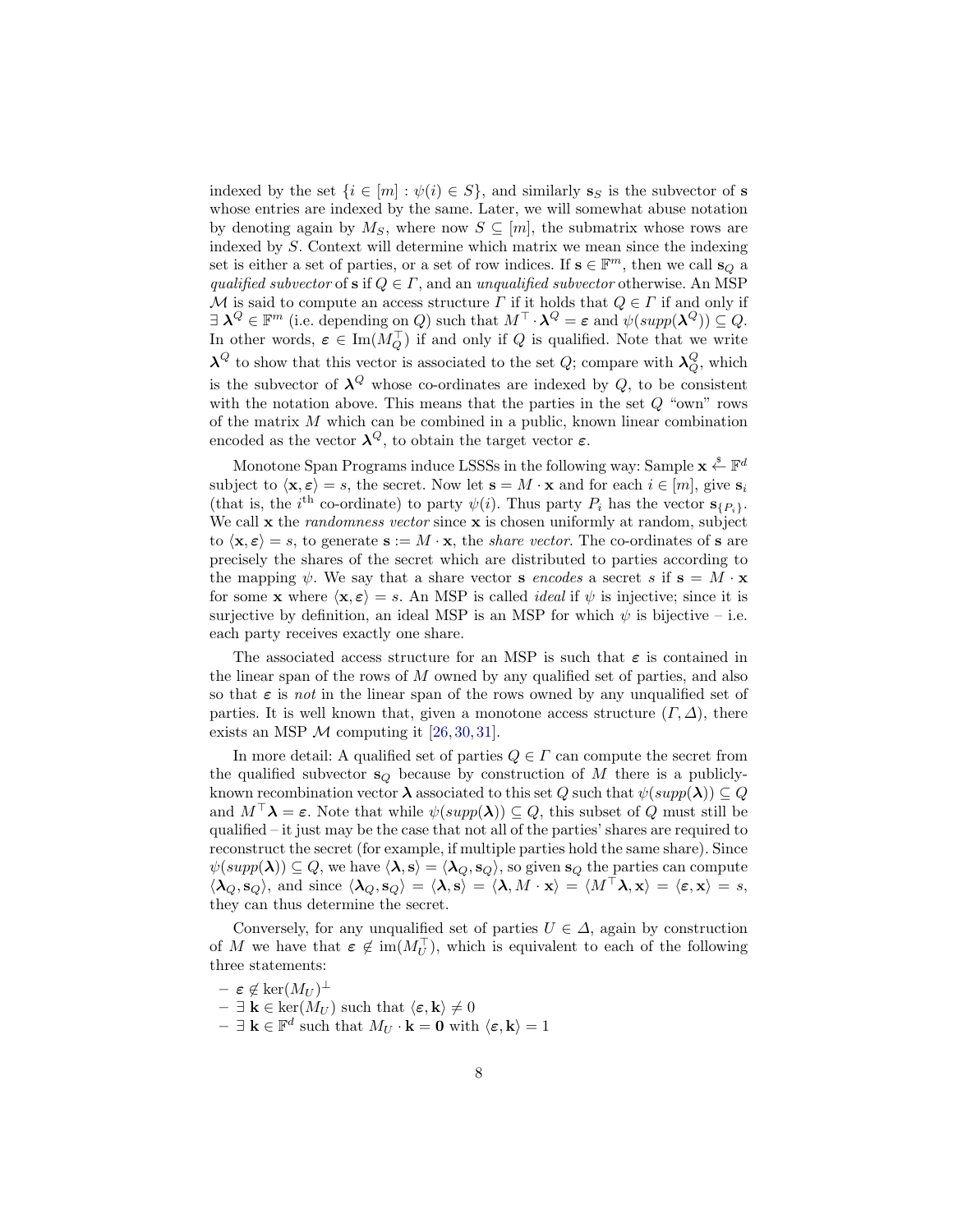indexed by the set  $\{i \in [m] : \psi(i) \in S\}$ , and similarly  $s_S$  is the subvector of s whose entries are indexed by the same. Later, we will somewhat abuse notation by denoting again by  $M_S$ , where now  $S \subseteq [m]$ , the submatrix whose rows are indexed by S. Context will determine which matrix we mean since the indexing set is either a set of parties, or a set of row indices. If  $\mathbf{s} \in \mathbb{F}^m$ , then we call  $\mathbf{s}_Q$  a qualified subvector of s if  $Q \in \Gamma$ , and an unqualified subvector otherwise. An MSP M is said to compute an access structure  $\Gamma$  if it holds that  $Q \in \Gamma$  if and only if  $\exists \ \mathbf{\lambda}^Q \in \mathbb{F}^m$  (i.e. depending on Q) such that  $M^\top \cdot \mathbf{\lambda}^Q = \varepsilon$  and  $\psi(supp(\mathbf{\lambda}^Q)) \subseteq Q$ . In other words,  $\varepsilon \in \text{Im}(M_Q^{\top})$  if and only if Q is qualified. Note that we write  $\lambda^Q$  to show that this vector is associated to the set  $Q$ ; compare with  $\lambda_Q^Q$ , which is the subvector of  $\lambda^Q$  whose co-ordinates are indexed by  $Q$ , to be consistent with the notation above. This means that the parties in the set  $Q$  "own" rows of the matrix M which can be combined in a public, known linear combination encoded as the vector  $\lambda^Q$ , to obtain the target vector  $\varepsilon$ .

Monotone Span Programs induce LSSSs in the following way: Sample  $\mathbf{x} \stackrel{\$}{\leftarrow} \mathbb{F}^d$ subject to  $\langle \mathbf{x}, \varepsilon \rangle = s$ , the secret. Now let  $\mathbf{s} = M \cdot \mathbf{x}$  and for each  $i \in [m]$ , give  $\mathbf{s}_i$ (that is, the i<sup>th</sup> co-ordinate) to party  $\psi(i)$ . Thus party  $P_i$  has the vector  $\mathbf{s}_{\{P_i\}}$ . We call  $x$  the *randomness vector* since  $x$  is chosen uniformly at random, subject to  $\langle \mathbf{x}, \boldsymbol{\varepsilon} \rangle = s$ , to generate  $\mathbf{s} := M \cdot \mathbf{x}$ , the *share vector*. The co-ordinates of s are precisely the shares of the secret which are distributed to parties according to the mapping  $\psi$ . We say that a share vector **s** encodes a secret s if  $\mathbf{s} = M \cdot \mathbf{x}$ for some x where  $\langle x, \varepsilon \rangle = s$ . An MSP is called *ideal* if  $\psi$  is injective; since it is surjective by definition, an ideal MSP is an MSP for which  $\psi$  is bijective – i.e. each party receives exactly one share.

The associated access structure for an MSP is such that  $\varepsilon$  is contained in the linear span of the rows of M owned by any qualified set of parties, and also so that  $\varepsilon$  is *not* in the linear span of the rows owned by any unqualified set of parties. It is well known that, given a monotone access structure  $(\Gamma, \Delta)$ , there exists an MSP  $\mathcal M$  computing it [\[26,](#page-26-13) [30,](#page-26-14) [31\]](#page-26-12).

In more detail: A qualified set of parties  $Q \in \Gamma$  can compute the secret from the qualified subvector  $s_Q$  because by construction of M there is a publiclyknown recombination vector  $\lambda$  associated to this set Q such that  $\psi(supp(\lambda)) \subseteq Q$ and  $M^{\top} \lambda = \varepsilon$ . Note that while  $\psi(supp(\lambda)) \subseteq Q$ , this subset of Q must still be qualified – it just may be the case that not all of the parties' shares are required to reconstruct the secret (for example, if multiple parties hold the same share). Since  $\psi(supp(\lambda)) \subseteq Q$ , we have  $\langle \lambda, s \rangle = \langle \lambda_Q, s_Q \rangle$ , so given  $s_Q$  the parties can compute  $\langle \lambda_Q, s_Q \rangle$ , and since  $\langle \lambda_Q, s_Q \rangle = \langle \lambda, s \rangle = \langle \lambda, M \cdot x \rangle = \langle M^\top \lambda, x \rangle = \langle \varepsilon, x \rangle = s$ , they can thus determine the secret.

Conversely, for any unqualified set of parties  $U \in \Delta$ , again by construction of M we have that  $\varepsilon \notin \text{im}(M_U^{\top})$ , which is equivalent to each of the following three statements:

- $\texttt{-} \ \boldsymbol{\varepsilon} \not\in \text{ker}(M_U)^\perp$
- $\exists \mathbf{k} \in \text{ker}(M_U)$  such that  $\langle \boldsymbol{\varepsilon}, \mathbf{k} \rangle \neq 0$
- $\exists \mathbf{k} \in \mathbb{F}^d$  such that  $M_U \cdot \mathbf{k} = \mathbf{0}$  with  $\langle \boldsymbol{\varepsilon}, \mathbf{k} \rangle = 1$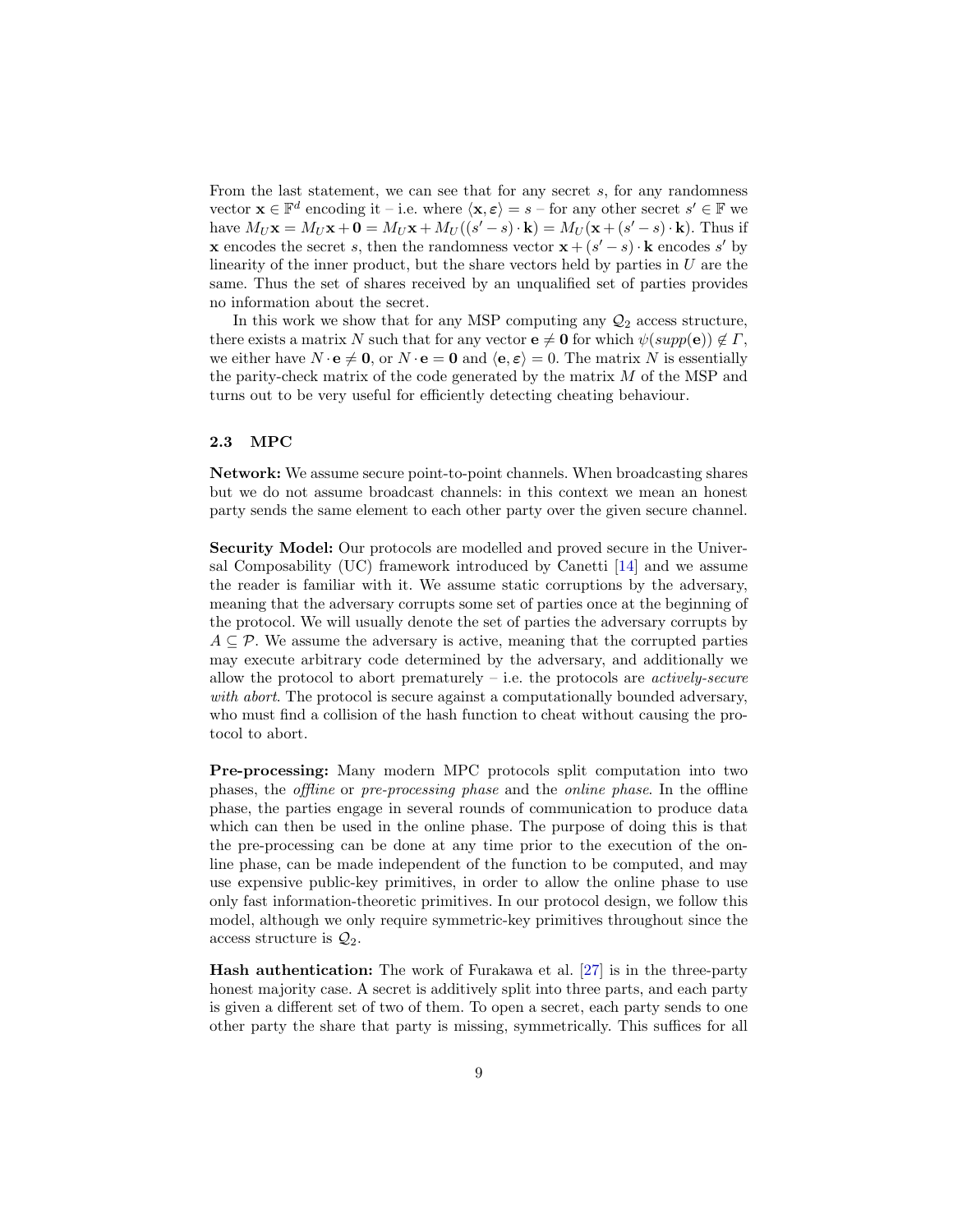From the last statement, we can see that for any secret s, for any randomness vector  $\mathbf{x} \in \mathbb{F}^d$  encoding it – i.e. where  $\langle \mathbf{x}, \varepsilon \rangle = s$  – for any other secret  $s' \in \mathbb{F}$  we have  $M_U \mathbf{x} = M_U \mathbf{x} + \mathbf{0} = M_U \mathbf{x} + M_U((s'-s) \cdot \mathbf{k}) = M_U(\mathbf{x} + (s'-s) \cdot \mathbf{k})$ . Thus if **x** encodes the secret s, then the randomness vector  $\mathbf{x} + (s' - s) \cdot \mathbf{k}$  encodes s' by linearity of the inner product, but the share vectors held by parties in  $U$  are the same. Thus the set of shares received by an unqualified set of parties provides no information about the secret.

In this work we show that for any MSP computing any  $\mathcal{Q}_2$  access structure, there exists a matrix N such that for any vector  $e \neq 0$  for which  $\psi(supp(e)) \notin \Gamma$ , we either have  $N \cdot e \neq 0$ , or  $N \cdot e = 0$  and  $\langle e, \varepsilon \rangle = 0$ . The matrix N is essentially the parity-check matrix of the code generated by the matrix  $M$  of the MSP and turns out to be very useful for efficiently detecting cheating behaviour.

### 2.3 MPC

Network: We assume secure point-to-point channels. When broadcasting shares but we do not assume broadcast channels: in this context we mean an honest party sends the same element to each other party over the given secure channel.

Security Model: Our protocols are modelled and proved secure in the Universal Composability (UC) framework introduced by Canetti [\[14\]](#page-25-11) and we assume the reader is familiar with it. We assume static corruptions by the adversary, meaning that the adversary corrupts some set of parties once at the beginning of the protocol. We will usually denote the set of parties the adversary corrupts by  $A \subseteq \mathcal{P}$ . We assume the adversary is active, meaning that the corrupted parties may execute arbitrary code determined by the adversary, and additionally we allow the protocol to abort prematurely  $-$  i.e. the protocols are *actively-secure* with abort. The protocol is secure against a computationally bounded adversary, who must find a collision of the hash function to cheat without causing the protocol to abort.

Pre-processing: Many modern MPC protocols split computation into two phases, the offline or pre-processing phase and the online phase. In the offline phase, the parties engage in several rounds of communication to produce data which can then be used in the online phase. The purpose of doing this is that the pre-processing can be done at any time prior to the execution of the online phase, can be made independent of the function to be computed, and may use expensive public-key primitives, in order to allow the online phase to use only fast information-theoretic primitives. In our protocol design, we follow this model, although we only require symmetric-key primitives throughout since the access structure is  $\mathcal{Q}_2$ .

Hash authentication: The work of Furakawa et al. [\[27\]](#page-26-9) is in the three-party honest majority case. A secret is additively split into three parts, and each party is given a different set of two of them. To open a secret, each party sends to one other party the share that party is missing, symmetrically. This suffices for all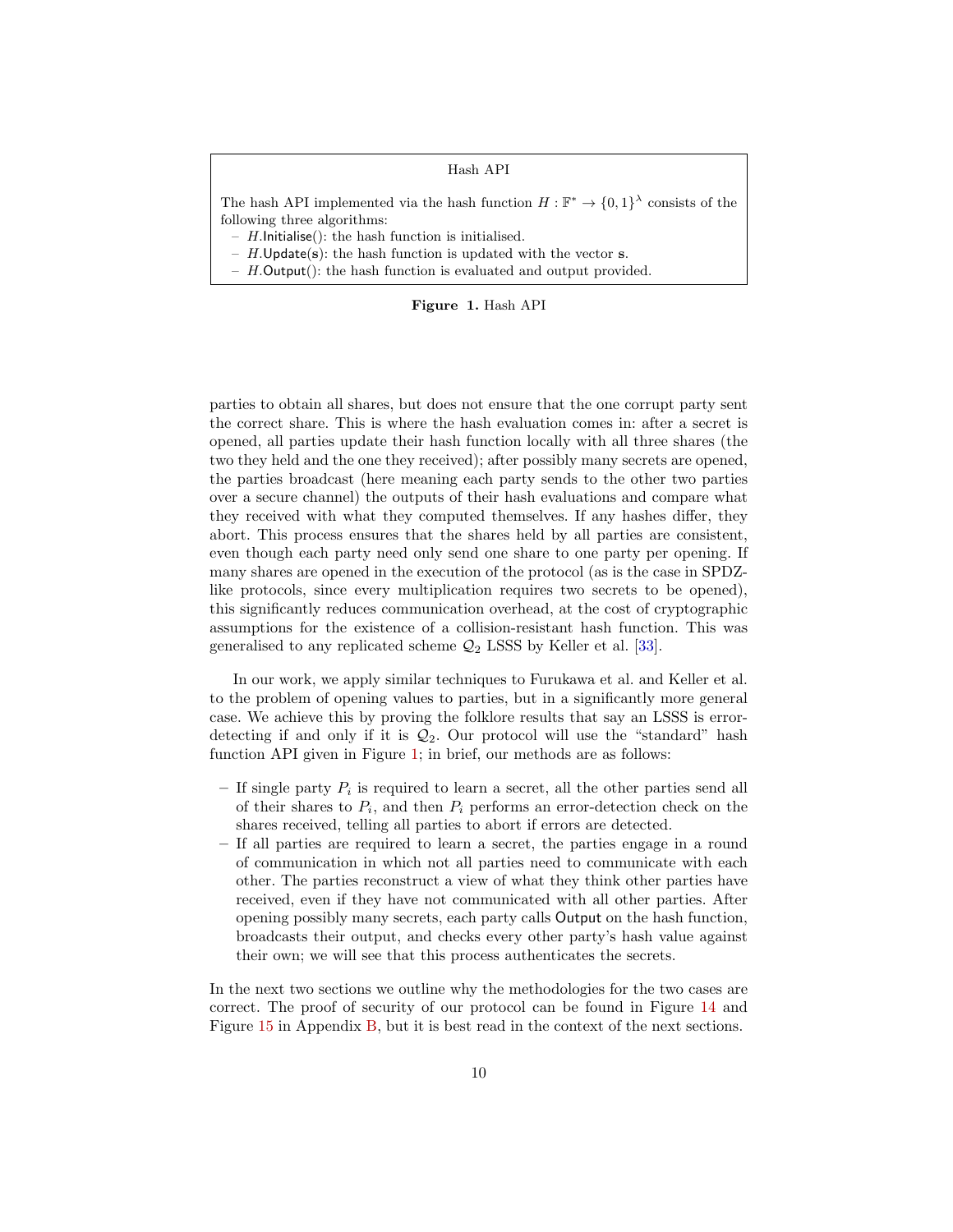### Hash API

The hash API implemented via the hash function  $H : \mathbb{F}^* \to \{0,1\}^{\lambda}$  consists of the following three algorithms:

- $H$ .Initialise(): the hash function is initialised.
- $H.\mathsf{Update}(s)$ : the hash function is updated with the vector s.
- $H.$ Output $()$ : the hash function is evaluated and output provided.

### <span id="page-9-0"></span>Figure 1. Hash API

parties to obtain all shares, but does not ensure that the one corrupt party sent the correct share. This is where the hash evaluation comes in: after a secret is opened, all parties update their hash function locally with all three shares (the two they held and the one they received); after possibly many secrets are opened, the parties broadcast (here meaning each party sends to the other two parties over a secure channel) the outputs of their hash evaluations and compare what they received with what they computed themselves. If any hashes differ, they abort. This process ensures that the shares held by all parties are consistent, even though each party need only send one share to one party per opening. If many shares are opened in the execution of the protocol (as is the case in SPDZlike protocols, since every multiplication requires two secrets to be opened), this significantly reduces communication overhead, at the cost of cryptographic assumptions for the existence of a collision-resistant hash function. This was generalised to any replicated scheme  $\mathcal{Q}_2$  LSSS by Keller et al. [\[33\]](#page-26-8).

In our work, we apply similar techniques to Furukawa et al. and Keller et al. to the problem of opening values to parties, but in a significantly more general case. We achieve this by proving the folklore results that say an LSSS is errordetecting if and only if it is  $\mathcal{Q}_2$ . Our protocol will use the "standard" hash function API given in Figure [1;](#page-9-0) in brief, our methods are as follows:

- $-$  If single party  $P_i$  is required to learn a secret, all the other parties send all of their shares to  $P_i$ , and then  $P_i$  performs an error-detection check on the shares received, telling all parties to abort if errors are detected.
- If all parties are required to learn a secret, the parties engage in a round of communication in which not all parties need to communicate with each other. The parties reconstruct a view of what they think other parties have received, even if they have not communicated with all other parties. After opening possibly many secrets, each party calls Output on the hash function, broadcasts their output, and checks every other party's hash value against their own; we will see that this process authenticates the secrets.

In the next two sections we outline why the methodologies for the two cases are correct. The proof of security of our protocol can be found in Figure [14](#page-45-0) and Figure [15](#page-46-0) in Appendix [B,](#page-36-0) but it is best read in the context of the next sections.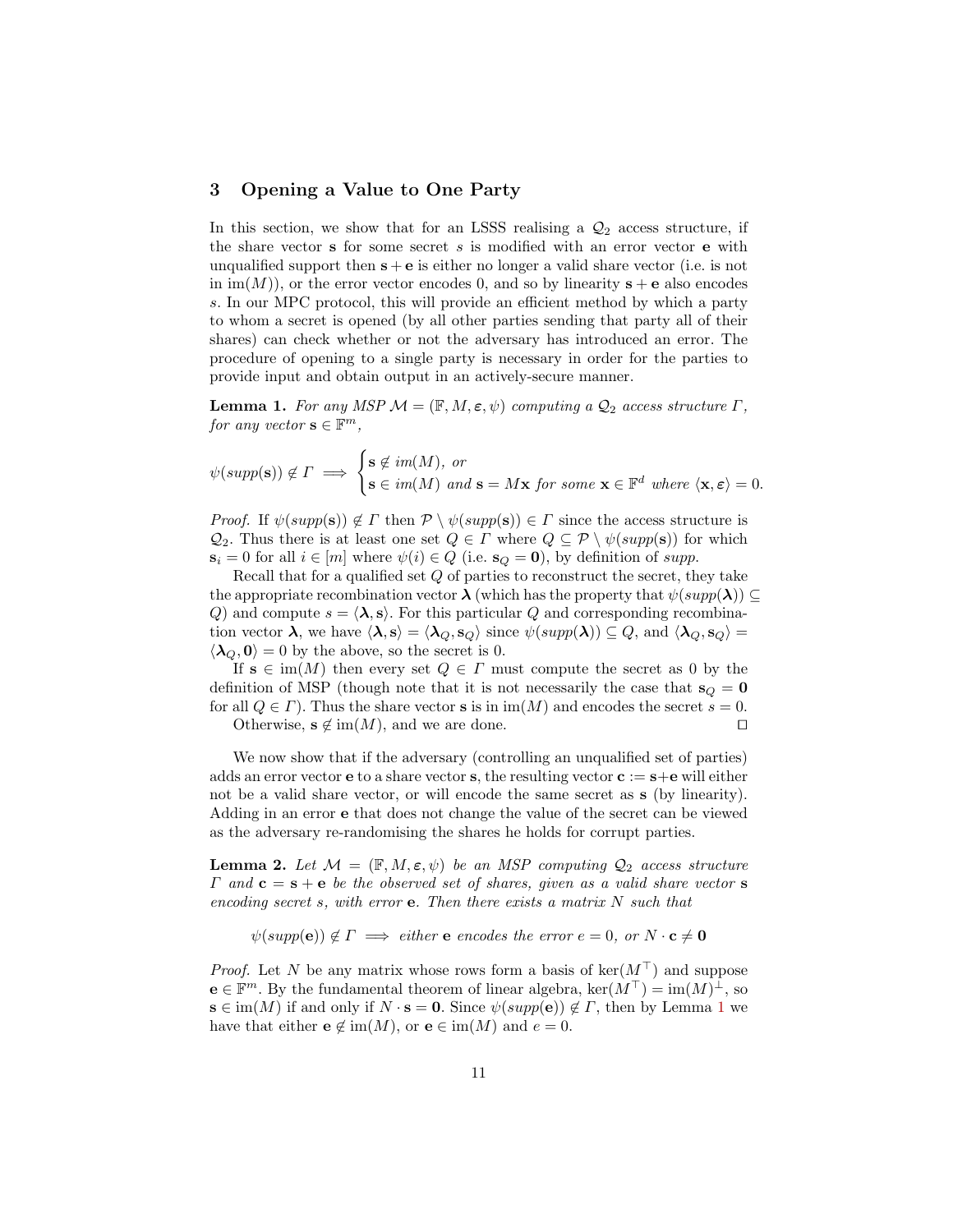# 3 Opening a Value to One Party

In this section, we show that for an LSSS realising a  $\mathcal{Q}_2$  access structure, if the share vector  $s$  for some secret  $s$  is modified with an error vector  $e$  with unqualified support then  $s + e$  is either no longer a valid share vector (i.e. is not in  $\text{im}(M)$ , or the error vector encodes 0, and so by linearity  $s + e$  also encodes s. In our MPC protocol, this will provide an efficient method by which a party to whom a secret is opened (by all other parties sending that party all of their shares) can check whether or not the adversary has introduced an error. The procedure of opening to a single party is necessary in order for the parties to provide input and obtain output in an actively-secure manner.

<span id="page-10-0"></span>**Lemma 1.** For any MSP  $M = (\mathbb{F}, M, \varepsilon, \psi)$  computing a  $\mathcal{Q}_2$  access structure  $\Gamma$ , for any vector  $\mathbf{s} \in \mathbb{F}^m$ ,

$$
\psi(supp(\mathbf{s})) \notin \Gamma \implies \begin{cases} \mathbf{s} \notin im(M), \text{ or} \\ \mathbf{s} \in im(M) \text{ and } \mathbf{s} = M\mathbf{x} \text{ for some } \mathbf{x} \in \mathbb{F}^d \text{ where } \langle \mathbf{x}, \varepsilon \rangle = 0. \end{cases}
$$

*Proof.* If  $\psi(supp(\mathbf{s})) \notin \Gamma$  then  $\mathcal{P} \setminus \psi(supp(\mathbf{s})) \in \Gamma$  since the access structure is  $\mathcal{Q}_2$ . Thus there is at least one set  $Q \in \Gamma$  where  $Q \subseteq \mathcal{P} \setminus \psi(supp(\mathbf{s}))$  for which  $s_i = 0$  for all  $i \in [m]$  where  $\psi(i) \in Q$  (i.e.  $s_Q = 0$ ), by definition of supp.

Recall that for a qualified set Q of parties to reconstruct the secret, they take the appropriate recombination vector  $\lambda$  (which has the property that  $\psi(supp(\lambda)) \subseteq$ Q) and compute  $s = \langle \lambda, s \rangle$ . For this particular Q and corresponding recombination vector  $\lambda$ , we have  $\langle \lambda, s \rangle = \langle \lambda_Q, s_Q \rangle$  since  $\psi(supp(\lambda)) \subseteq Q$ , and  $\langle \lambda_Q, s_Q \rangle =$  $\langle \lambda_Q, 0 \rangle = 0$  by the above, so the secret is 0.

If  $s \in im(M)$  then every set  $Q \in \Gamma$  must compute the secret as 0 by the definition of MSP (though note that it is not necessarily the case that  $s_Q = 0$ for all  $Q \in \Gamma$ ). Thus the share vector **s** is in im(M) and encodes the secret  $s = 0$ . Otherwise,  $s \notin \text{im}(M)$ , and we are done.

We now show that if the adversary (controlling an unqualified set of parties) adds an error vector **e** to a share vector **s**, the resulting vector  $\mathbf{c} := \mathbf{s} + \mathbf{e}$  will either not be a valid share vector, or will encode the same secret as s (by linearity). Adding in an error e that does not change the value of the secret can be viewed as the adversary re-randomising the shares he holds for corrupt parties.

<span id="page-10-1"></span>**Lemma 2.** Let  $\mathcal{M} = (\mathbb{F}, M, \varepsilon, \psi)$  be an MSP computing  $\mathcal{Q}_2$  access structure  $\Gamma$  and  $\mathbf{c} = \mathbf{s} + \mathbf{e}$  be the observed set of shares, given as a valid share vector  $\mathbf{s}$ encoding secret s, with error  $e$ . Then there exists a matrix N such that

 $\psi(supp(\mathbf{e})) \notin \Gamma \implies either \mathbf{e} \ encodes the error \ e = 0, \ or \ N \cdot \mathbf{c} \neq \mathbf{0}$ 

*Proof.* Let N be any matrix whose rows form a basis of  $\ker(M^{\top})$  and suppose  $e \in \mathbb{F}^m$ . By the fundamental theorem of linear algebra,  $\ker(M^{\top}) = \text{im}(M)^{\perp}$ , so  $\mathbf{s} \in \text{im}(M)$  if and only if  $N \cdot \mathbf{s} = \mathbf{0}$ . Since  $\psi(supp(\mathbf{e})) \notin \Gamma$ , then by Lemma [1](#page-10-0) we have that either  $e \notin \text{im}(M)$ , or  $e \in \text{im}(M)$  and  $e = 0$ .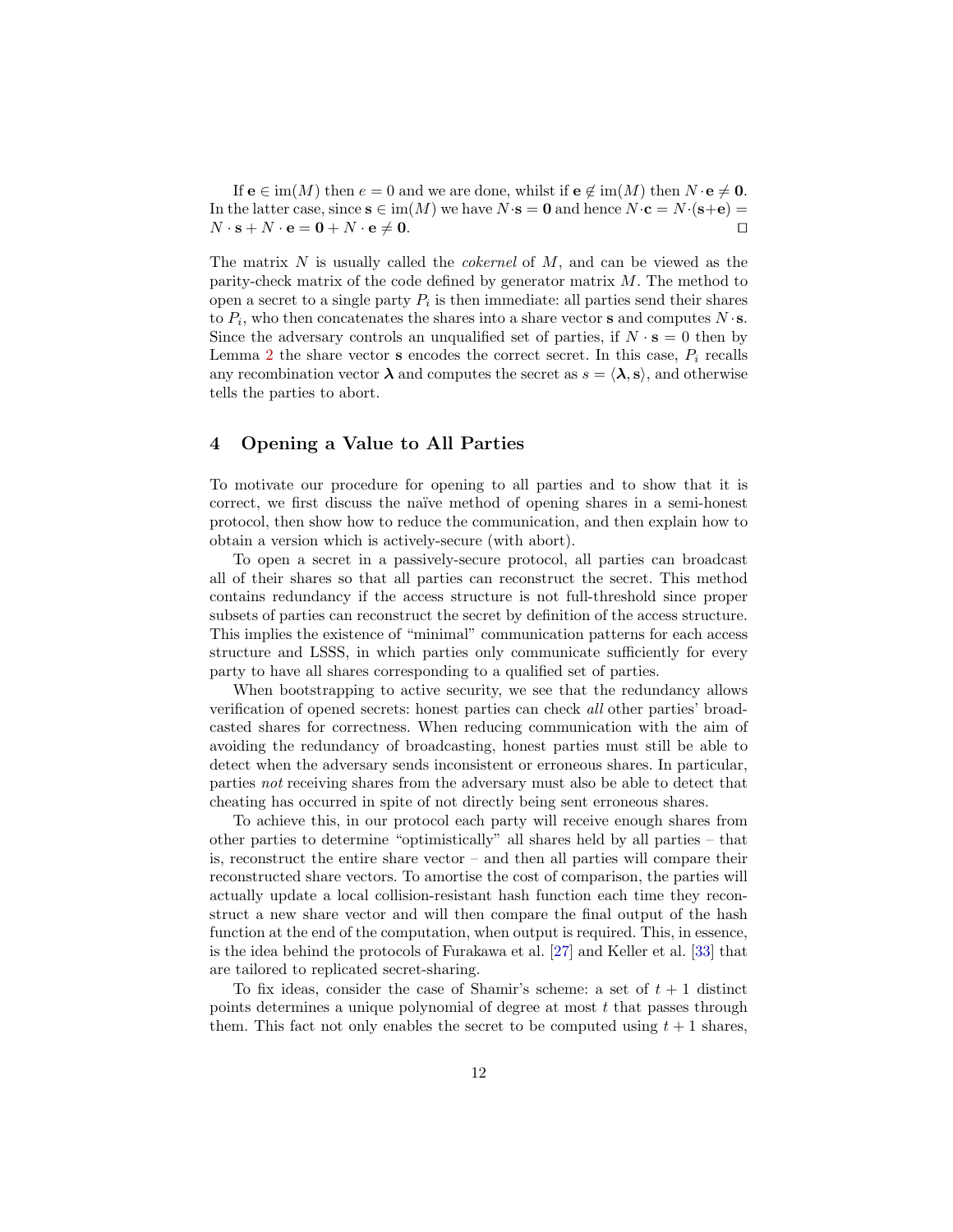If  $e \in \text{im}(M)$  then  $e = 0$  and we are done, whilst if  $e \notin \text{im}(M)$  then  $N \cdot e \neq 0$ . In the latter case, since  $s \in \text{im}(M)$  we have  $N \cdot s = 0$  and hence  $N \cdot c = N \cdot (s+e) =$  $N \cdot \mathbf{s} + N \cdot \mathbf{e} = \mathbf{0} + N \cdot \mathbf{e} \neq \mathbf{0}.$ 

The matrix N is usually called the *cokernel* of  $M$ , and can be viewed as the parity-check matrix of the code defined by generator matrix  $M$ . The method to open a secret to a single party  $P_i$  is then immediate: all parties send their shares to  $P_i$ , who then concatenates the shares into a share vector **s** and computes  $N \cdot$ **s**. Since the adversary controls an unqualified set of parties, if  $N \cdot s = 0$  then by Lemma [2](#page-10-1) the share vector **s** encodes the correct secret. In this case,  $P_i$  recalls any recombination vector  $\lambda$  and computes the secret as  $s = \langle \lambda, s \rangle$ , and otherwise tells the parties to abort.

# <span id="page-11-0"></span>4 Opening a Value to All Parties

To motivate our procedure for opening to all parties and to show that it is correct, we first discuss the naïve method of opening shares in a semi-honest protocol, then show how to reduce the communication, and then explain how to obtain a version which is actively-secure (with abort).

To open a secret in a passively-secure protocol, all parties can broadcast all of their shares so that all parties can reconstruct the secret. This method contains redundancy if the access structure is not full-threshold since proper subsets of parties can reconstruct the secret by definition of the access structure. This implies the existence of "minimal" communication patterns for each access structure and LSSS, in which parties only communicate sufficiently for every party to have all shares corresponding to a qualified set of parties.

When bootstrapping to active security, we see that the redundancy allows verification of opened secrets: honest parties can check all other parties' broadcasted shares for correctness. When reducing communication with the aim of avoiding the redundancy of broadcasting, honest parties must still be able to detect when the adversary sends inconsistent or erroneous shares. In particular, parties not receiving shares from the adversary must also be able to detect that cheating has occurred in spite of not directly being sent erroneous shares.

To achieve this, in our protocol each party will receive enough shares from other parties to determine "optimistically" all shares held by all parties – that is, reconstruct the entire share vector  $-$  and then all parties will compare their reconstructed share vectors. To amortise the cost of comparison, the parties will actually update a local collision-resistant hash function each time they reconstruct a new share vector and will then compare the final output of the hash function at the end of the computation, when output is required. This, in essence, is the idea behind the protocols of Furakawa et al. [\[27\]](#page-26-9) and Keller et al. [\[33\]](#page-26-8) that are tailored to replicated secret-sharing.

To fix ideas, consider the case of Shamir's scheme: a set of  $t + 1$  distinct points determines a unique polynomial of degree at most  $t$  that passes through them. This fact not only enables the secret to be computed using  $t + 1$  shares,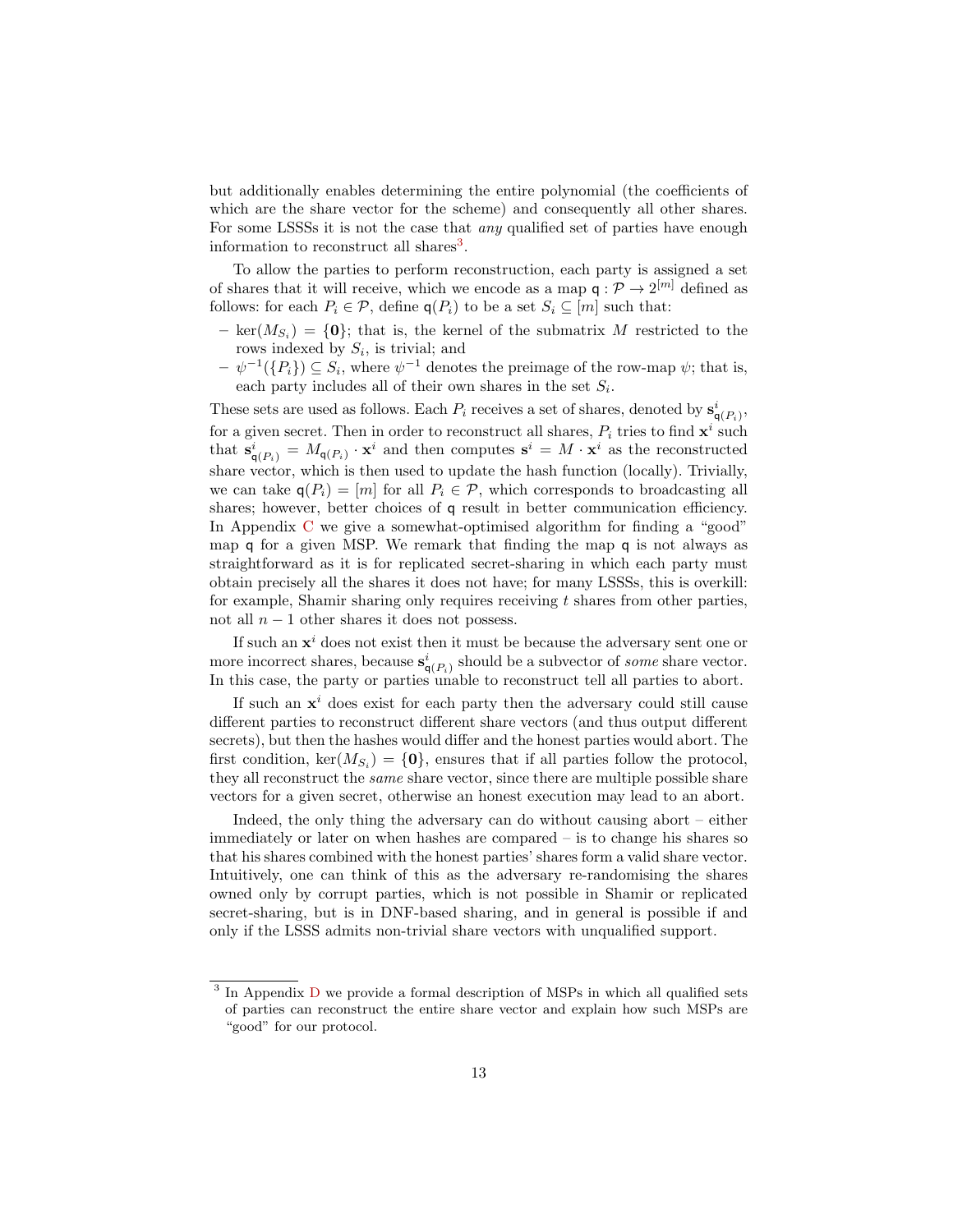but additionally enables determining the entire polynomial (the coefficients of which are the share vector for the scheme) and consequently all other shares. For some LSSSs it is not the case that *any* qualified set of parties have enough information to reconstruct all shares<sup>[3](#page-12-0)</sup>.

To allow the parties to perform reconstruction, each party is assigned a set of shares that it will receive, which we encode as a map  $q: \mathcal{P} \to 2^{[m]}$  defined as follows: for each  $P_i \in \mathcal{P}$ , define  $q(P_i)$  to be a set  $S_i \subseteq [m]$  such that:

- $\text{ ker}(M_{S_i}) = \{0\};$  that is, the kernel of the submatrix M restricted to the rows indexed by  $S_i$ , is trivial; and
- $-\psi^{-1}(\lbrace P_i \rbrace) \subseteq S_i$ , where  $\psi^{-1}$  denotes the preimage of the row-map  $\psi$ ; that is, each party includes all of their own shares in the set  $S_i$ .

These sets are used as follows. Each  $P_i$  receives a set of shares, denoted by  $\mathbf{s}_{\mathsf{q}(P_i)}^i$ , for a given secret. Then in order to reconstruct all shares,  $P_i$  tries to find  $\mathbf{x}^i$  such that  $\mathbf{s}_{\mathsf{q}(P_i)}^i = M_{\mathsf{q}(P_i)} \cdot \mathbf{x}^i$  and then computes  $\mathbf{s}^i = M \cdot \mathbf{x}^i$  as the reconstructed share vector, which is then used to update the hash function (locally). Trivially, we can take  $q(P_i) = [m]$  for all  $P_i \in \mathcal{P}$ , which corresponds to broadcasting all shares; however, better choices of q result in better communication efficiency. In Appendix [C](#page-50-0) we give a somewhat-optimised algorithm for finding a "good" map q for a given MSP. We remark that finding the map q is not always as straightforward as it is for replicated secret-sharing in which each party must obtain precisely all the shares it does not have; for many LSSSs, this is overkill: for example, Shamir sharing only requires receiving  $t$  shares from other parties, not all  $n - 1$  other shares it does not possess.

If such an  $x^i$  does not exist then it must be because the adversary sent one or more incorrect shares, because  $\mathbf{s}_{\mathsf{q}(P_i)}^i$  should be a subvector of *some* share vector. In this case, the party or parties unable to reconstruct tell all parties to abort.

If such an  $x^i$  does exist for each party then the adversary could still cause different parties to reconstruct different share vectors (and thus output different secrets), but then the hashes would differ and the honest parties would abort. The first condition,  $\text{ker}(M_{S_i}) = \{0\}$ , ensures that if all parties follow the protocol, they all reconstruct the same share vector, since there are multiple possible share vectors for a given secret, otherwise an honest execution may lead to an abort.

Indeed, the only thing the adversary can do without causing abort – either immediately or later on when hashes are compared – is to change his shares so that his shares combined with the honest parties' shares form a valid share vector. Intuitively, one can think of this as the adversary re-randomising the shares owned only by corrupt parties, which is not possible in Shamir or replicated secret-sharing, but is in DNF-based sharing, and in general is possible if and only if the LSSS admits non-trivial share vectors with unqualified support.

<span id="page-12-0"></span><sup>&</sup>lt;sup>3</sup> In Appendix [D](#page-51-0) we provide a formal description of MSPs in which all qualified sets of parties can reconstruct the entire share vector and explain how such MSPs are "good" for our protocol.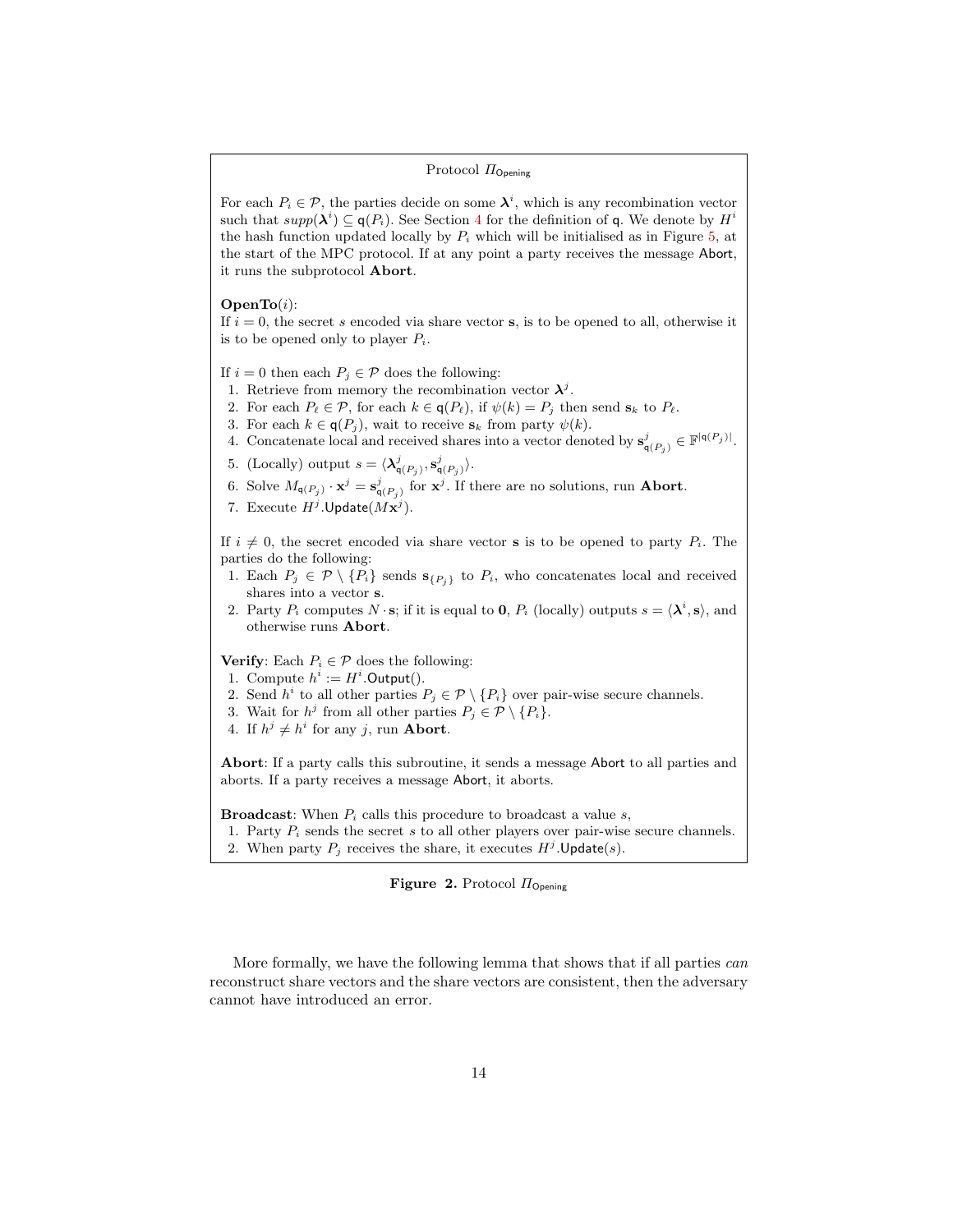### Protocol  $\Pi_{\text{Opening}}$

For each  $P_i \in \mathcal{P}$ , the parties decide on some  $\lambda^i$ , which is any recombination vector such that  $supp(\lambda^i) \subseteq q(P_i)$ . See Section [4](#page-11-0) for the definition of q. We denote by  $H^i$ the hash function updated locally by  $P_i$  which will be initialised as in Figure [5,](#page-28-0) at the start of the MPC protocol. If at any point a party receives the message Abort, it runs the subprotocol Abort.

 $OpenTo(i):$ 

If  $i = 0$ , the secret s encoded via share vector s, is to be opened to all, otherwise it is to be opened only to player  $P_i$ .

If  $i = 0$  then each  $P_i \in \mathcal{P}$  does the following:

- 1. Retrieve from memory the recombination vector  $\lambda^{j}$ .
- 2. For each  $P_\ell \in \mathcal{P}$ , for each  $k \in \mathsf{q}(P_\ell)$ , if  $\psi(k) = P_i$  then send  $\mathbf{s}_k$  to  $P_\ell$ .
- 3. For each  $k \in \mathsf{q}(P_i)$ , wait to receive  $s_k$  from party  $\psi(k)$ .
- 4. Concatenate local and received shares into a vector denoted by  $\mathbf{s}_{\mathsf{q}(P_j)}^j \in \mathbb{F}^{|\mathsf{q}(P_j)|}$ .
- 5. (Locally) output  $s = \langle \lambda_{\mathsf{q}(P_j)}^j, \mathbf{s}_{\mathsf{q}(P_j)}^j \rangle$ .
- 6. Solve  $M_{\mathsf{q}(P_j)} \cdot \mathbf{x}^j = \mathbf{s}_{\mathsf{q}(P_j)}^j$  for  $\mathbf{x}^j$ . If there are no solutions, run **Abort**.
- 7. Execute  $H^j$ . Update $(Mx^j)$ .

If  $i \neq 0$ , the secret encoded via share vector **s** is to be opened to party  $P_i$ . The parties do the following:

- 1. Each  $P_j \in \mathcal{P} \setminus \{P_i\}$  sends  $\mathbf{s}_{\{P_i\}}$  to  $P_i$ , who concatenates local and received shares into a vector s.
- 2. Party  $P_i$  computes  $N \cdot s$ ; if it is equal to **0**,  $P_i$  (locally) outputs  $s = \langle \lambda^i, s \rangle$ , and otherwise runs Abort.

**Verify:** Each  $P_i \in \mathcal{P}$  does the following:

- 1. Compute  $h^i := H^i$ . Output().
- 2. Send  $h^i$  to all other parties  $P_j \in \mathcal{P} \setminus \{P_i\}$  over pair-wise secure channels.
- 3. Wait for  $h^j$  from all other parties  $P_j \in \mathcal{P} \setminus \{P_i\}.$
- 4. If  $h^j \neq h^i$  for any j, run **Abort**.

Abort: If a party calls this subroutine, it sends a message Abort to all parties and aborts. If a party receives a message Abort, it aborts.

**Broadcast:** When  $P_i$  calls this procedure to broadcast a value  $s$ ,

1. Party  $P_i$  sends the secret s to all other players over pair-wise secure channels. 2. When party  $P_j$  receives the share, it executes  $H^j$ . Update(s).

<span id="page-13-0"></span>Figure 2. Protocol  $\Pi_{\text{Opening}}$ 

More formally, we have the following lemma that shows that if all parties can reconstruct share vectors and the share vectors are consistent, then the adversary cannot have introduced an error.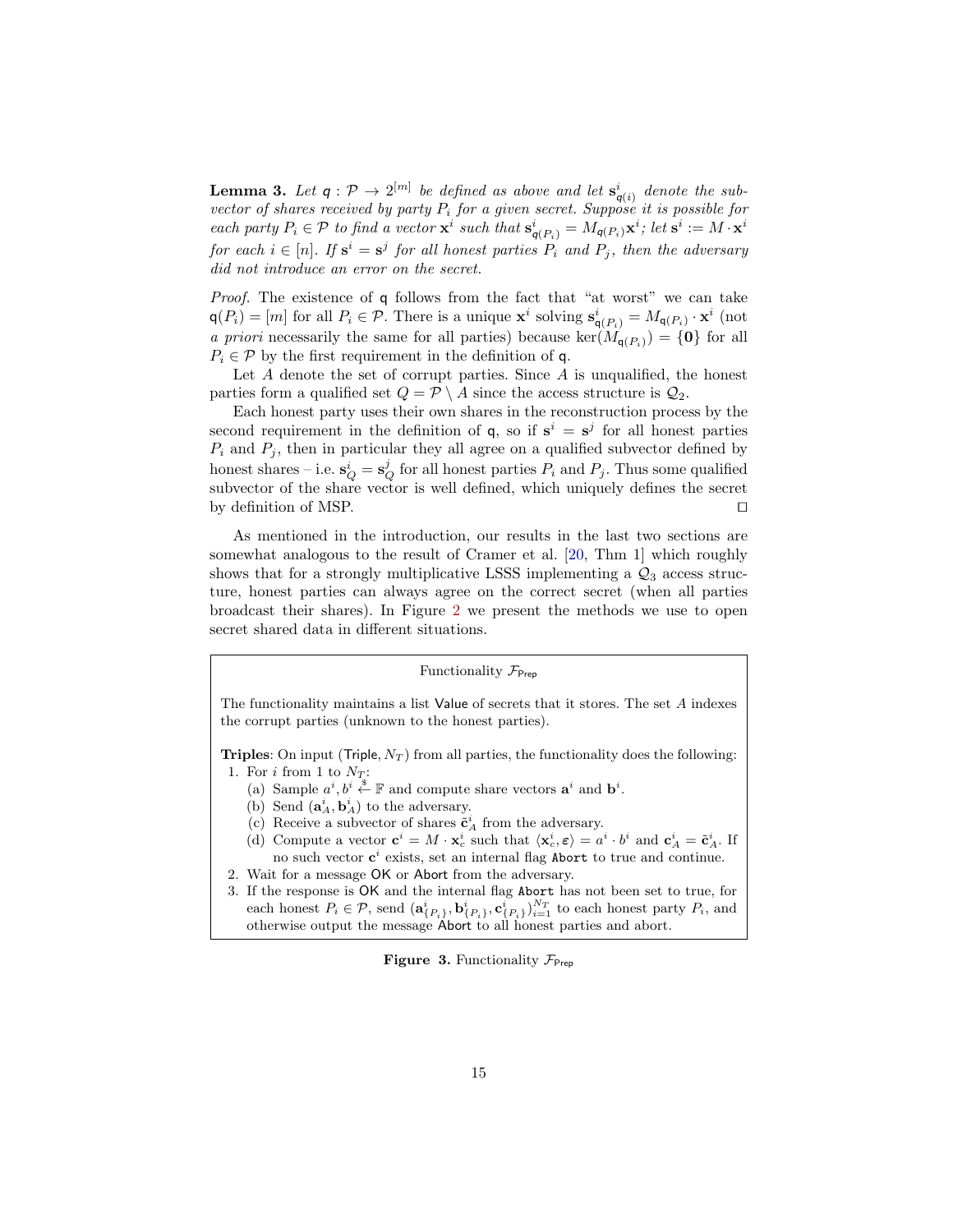**Lemma 3.** Let  $q: \mathcal{P} \to 2^{[m]}$  be defined as above and let  $\mathbf{s}_{q(i)}^i$  denote the subvector of shares received by party  $P_i$  for a given secret. Suppose it is possible for each party  $P_i \in \mathcal{P}$  to find a vector  $\mathbf{x}^i$  such that  $\mathbf{s}_{q(P_i)}^i = M_{q(P_i)} \mathbf{x}^i$ ; let  $\mathbf{s}^i := M \cdot \mathbf{x}^i$ for each  $i \in [n]$ . If  $s^i = s^j$  for all honest parties  $P_i$  and  $P_j$ , then the adversary did not introduce an error on the secret.

Proof. The existence of q follows from the fact that "at worst" we can take  $q(P_i) = [m]$  for all  $P_i \in \mathcal{P}$ . There is a unique  $\mathbf{x}^i$  solving  $\mathbf{s}_{q(P_i)}^i = M_{q(P_i)} \cdot \mathbf{x}^i$  (not a priori necessarily the same for all parties) because  $\ker(M_{q(P_i)}) = \{0\}$  for all  $P_i \in \mathcal{P}$  by the first requirement in the definition of q.

Let  $A$  denote the set of corrupt parties. Since  $A$  is unqualified, the honest parties form a qualified set  $Q = \mathcal{P} \setminus A$  since the access structure is  $\mathcal{Q}_2$ .

Each honest party uses their own shares in the reconstruction process by the second requirement in the definition of  $q$ , so if  $s^i = s^j$  for all honest parties  $P_i$  and  $P_j$ , then in particular they all agree on a qualified subvector defined by honest shares – i.e.  $s_Q^i = s_Q^j$  for all honest parties  $P_i$  and  $P_j$ . Thus some qualified subvector of the share vector is well defined, which uniquely defines the secret by definition of MSP.  $\Box$ 

As mentioned in the introduction, our results in the last two sections are somewhat analogous to the result of Cramer et al. [\[20,](#page-26-10) Thm 1] which roughly shows that for a strongly multiplicative LSSS implementing a  $\mathcal{Q}_3$  access structure, honest parties can always agree on the correct secret (when all parties broadcast their shares). In Figure [2](#page-13-0) we present the methods we use to open secret shared data in different situations.

#### Functionality  $\mathcal{F}_{\text{Pre}}$

The functionality maintains a list Value of secrets that it stores. The set  $A$  indexes the corrupt parties (unknown to the honest parties).

**Triples:** On input (Triple,  $N_T$ ) from all parties, the functionality does the following: 1. For i from 1 to  $N_T$ :

- (a) Sample  $a^i, b^i \stackrel{\$}{\leftarrow} \mathbb{F}$  and compute share vectors  $\mathbf{a}^i$  and  $\mathbf{b}^i$ .
- (b) Send  $(\mathbf{a}_A^i, \mathbf{b}_A^i)$  to the adversary.
- (c) Receive a subvector of shares  $\tilde{\mathbf{c}}_A^i$  from the adversary.
- (d) Compute a vector  $\mathbf{c}^i = M \cdot \mathbf{x}_c^i$  such that  $\langle \mathbf{x}_c^i, \varepsilon \rangle = a^i \cdot b^i$  and  $\mathbf{c}_A^i = \tilde{\mathbf{c}}_A^i$ . If no such vector  $c^i$  exists, set an internal flag Abort to true and continue.
- 2. Wait for a message OK or Abort from the adversary.
- 3. If the response is OK and the internal flag Abort has not been set to true, for each honest  $P_i \in \mathcal{P}$ , send  $(\mathbf{a}_{\{P_i\}}^i, \mathbf{b}_{\{P_i\}}^i, \mathbf{c}_{\{P_i\}}^i)_{i=1}^{N_T}$  to each honest party  $P_i$ , and otherwise output the message Abort to all honest parties and abort.

### <span id="page-14-0"></span>**Figure 3.** Functionality  $\mathcal{F}_{\text{Prep}}$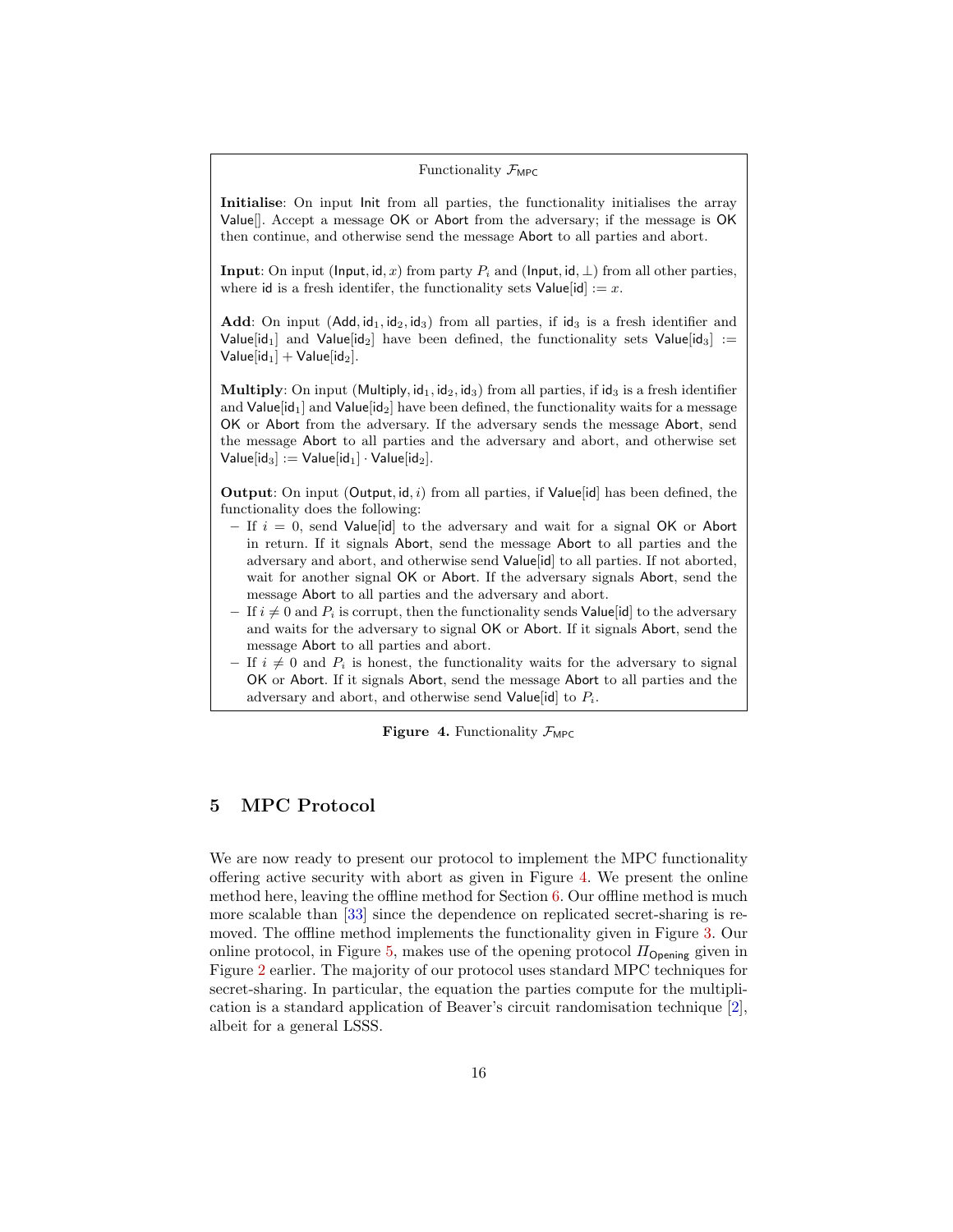### Functionality  $\mathcal{F}_{\text{MPC}}$

Initialise: On input Init from all parties, the functionality initialises the array Value[]. Accept a message OK or Abort from the adversary; if the message is OK then continue, and otherwise send the message Abort to all parties and abort.

**Input:** On input (Input, id, x) from party  $P_i$  and (Input, id,  $\perp$ ) from all other parties, where id is a fresh identifer, the functionality sets  $Value[i] := x$ .

Add: On input  $(Add, id_1, id_2, id_3)$  from all parties, if  $id_3$  is a fresh identifier and Value[id<sub>1</sub>] and Value[id<sub>2</sub>] have been defined, the functionality sets Value[id<sub>3</sub>] := Value $[id_1]$  + Value $[id_2]$ .

**Multiply:** On input (Multiply,  $id_1$ ,  $id_2$ ,  $id_3$ ) from all parties, if  $id_3$  is a fresh identifier and Value  $\mathbf{Id}_1$  and Value  $\mathbf{Id}_2$  have been defined, the functionality waits for a message OK or Abort from the adversary. If the adversary sends the message Abort, send the message Abort to all parties and the adversary and abort, and otherwise set Value[id<sub>3</sub>] := Value[id<sub>1</sub>] · Value[id<sub>2</sub>].

**Output:** On input  $(Output, id, i)$  from all parties, if  $Value[id]$  has been defined, the functionality does the following:

- If  $i = 0$ , send Value id to the adversary and wait for a signal OK or Abort in return. If it signals Abort, send the message Abort to all parties and the adversary and abort, and otherwise send Value[id] to all parties. If not aborted, wait for another signal OK or Abort. If the adversary signals Abort, send the message Abort to all parties and the adversary and abort.
- If  $i \neq 0$  and  $P_i$  is corrupt, then the functionality sends Value [id] to the adversary and waits for the adversary to signal OK or Abort. If it signals Abort, send the message Abort to all parties and abort.
- If  $i \neq 0$  and  $P_i$  is honest, the functionality waits for the adversary to signal OK or Abort. If it signals Abort, send the message Abort to all parties and the adversary and abort, and otherwise send Value [id] to  $P_i$ .

<span id="page-15-0"></span>Figure 4. Functionality  $\mathcal{F}_{\text{MPC}}$ 

# 5 MPC Protocol

We are now ready to present our protocol to implement the MPC functionality offering active security with abort as given in Figure [4.](#page-15-0) We present the online method here, leaving the offline method for Section [6.](#page-16-0) Our offline method is much more scalable than [\[33\]](#page-26-8) since the dependence on replicated secret-sharing is removed. The offline method implements the functionality given in Figure [3.](#page-14-0) Our online protocol, in Figure [5,](#page-28-0) makes use of the opening protocol  $\Pi_{\text{Opening}}$  given in Figure [2](#page-13-0) earlier. The majority of our protocol uses standard MPC techniques for secret-sharing. In particular, the equation the parties compute for the multiplication is a standard application of Beaver's circuit randomisation technique [\[2\]](#page-25-12), albeit for a general LSSS.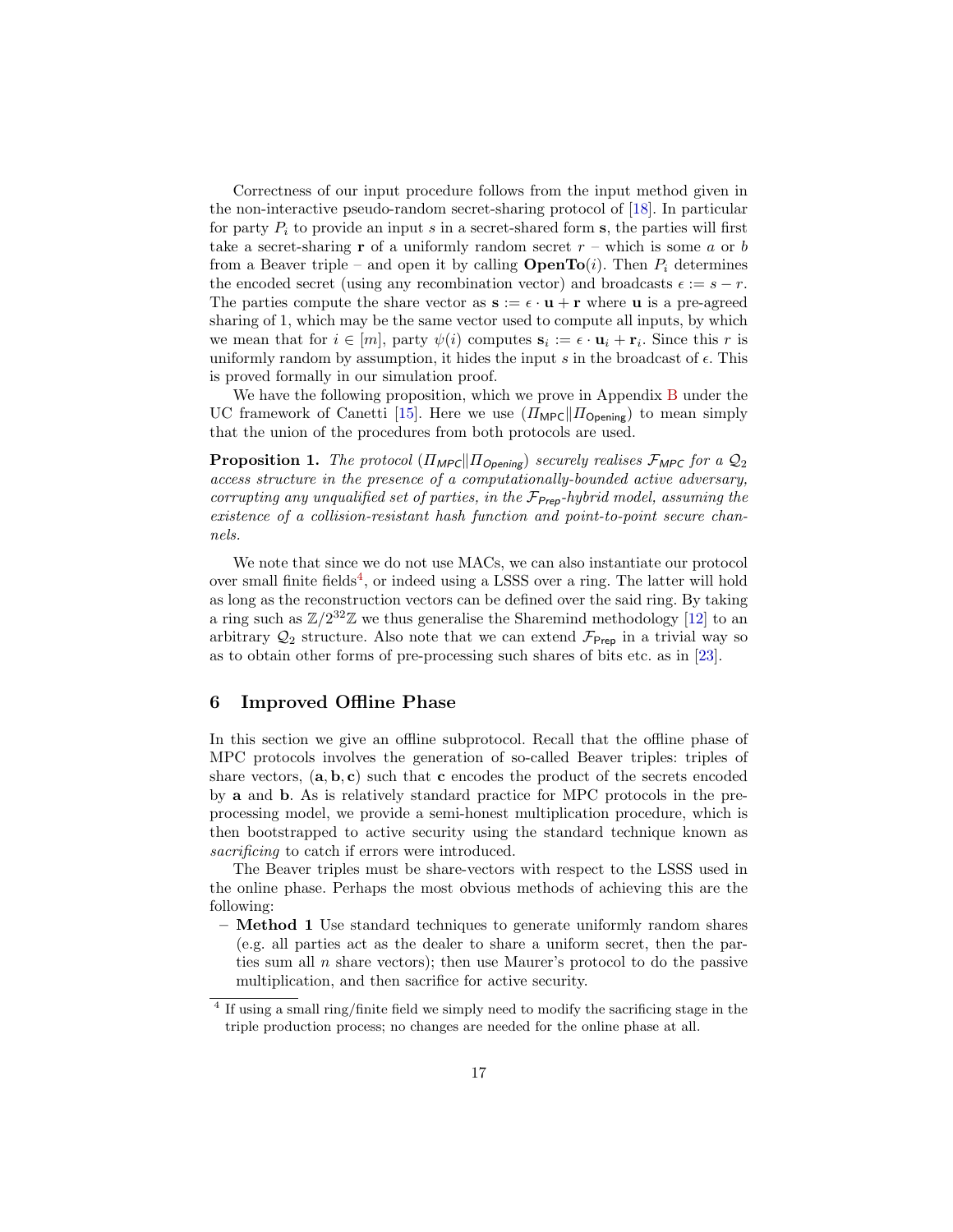Correctness of our input procedure follows from the input method given in the non-interactive pseudo-random secret-sharing protocol of [\[18\]](#page-25-13). In particular for party  $P_i$  to provide an input s in a secret-shared form s, the parties will first take a secret-sharing **r** of a uniformly random secret  $r$  – which is some  $a$  or  $b$ from a Beaver triple – and open it by calling **OpenTo**(i). Then  $P_i$  determines the encoded secret (using any recombination vector) and broadcasts  $\epsilon := s - r$ . The parties compute the share vector as  $s := \epsilon \cdot u + r$  where u is a pre-agreed sharing of 1, which may be the same vector used to compute all inputs, by which we mean that for  $i \in [m]$ , party  $\psi(i)$  computes  $\mathbf{s}_i := \epsilon \cdot \mathbf{u}_i + \mathbf{r}_i$ . Since this r is uniformly random by assumption, it hides the input s in the broadcast of  $\epsilon$ . This is proved formally in our simulation proof.

<span id="page-16-2"></span>We have the following proposition, which we prove in Appendix [B](#page-36-0) under the UC framework of Canetti [\[15\]](#page-25-14). Here we use  $(\Pi_{\text{MPC}}||\Pi_{\text{Opening}})$  to mean simply that the union of the procedures from both protocols are used.

**Proposition 1.** The protocol  $(\Pi_{\text{MPC}} || \Pi_{\text{Opening}})$  securely realises  $\mathcal{F}_{\text{MPC}}$  for a  $\mathcal{Q}_2$ access structure in the presence of a computationally-bounded active adversary, corrupting any unqualified set of parties, in the  $\mathcal{F}_{\mathsf{Prep}}$ -hybrid model, assuming the existence of a collision-resistant hash function and point-to-point secure channels.

We note that since we do not use MACs, we can also instantiate our protocol over small finite fields<sup>[4](#page-16-1)</sup>, or indeed using a LSSS over a ring. The latter will hold as long as the reconstruction vectors can be defined over the said ring. By taking a ring such as  $\mathbb{Z}/2^{32}\mathbb{Z}$  we thus generalise the Sharemind methodology [\[12\]](#page-25-15) to an arbitrary  $\mathcal{Q}_2$  structure. Also note that we can extend  $\mathcal{F}_{\text{Prep}}$  in a trivial way so as to obtain other forms of pre-processing such shares of bits etc. as in [\[23\]](#page-26-2).

# <span id="page-16-0"></span>6 Improved Offline Phase

In this section we give an offline subprotocol. Recall that the offline phase of MPC protocols involves the generation of so-called Beaver triples: triples of share vectors,  $(a, b, c)$  such that c encodes the product of the secrets encoded by a and b. As is relatively standard practice for MPC protocols in the preprocessing model, we provide a semi-honest multiplication procedure, which is then bootstrapped to active security using the standard technique known as sacrificing to catch if errors were introduced.

The Beaver triples must be share-vectors with respect to the LSSS used in the online phase. Perhaps the most obvious methods of achieving this are the following:

– Method 1 Use standard techniques to generate uniformly random shares (e.g. all parties act as the dealer to share a uniform secret, then the parties sum all  $n$  share vectors); then use Maurer's protocol to do the passive multiplication, and then sacrifice for active security.

<span id="page-16-1"></span><sup>&</sup>lt;sup>4</sup> If using a small ring/finite field we simply need to modify the sacrificing stage in the triple production process; no changes are needed for the online phase at all.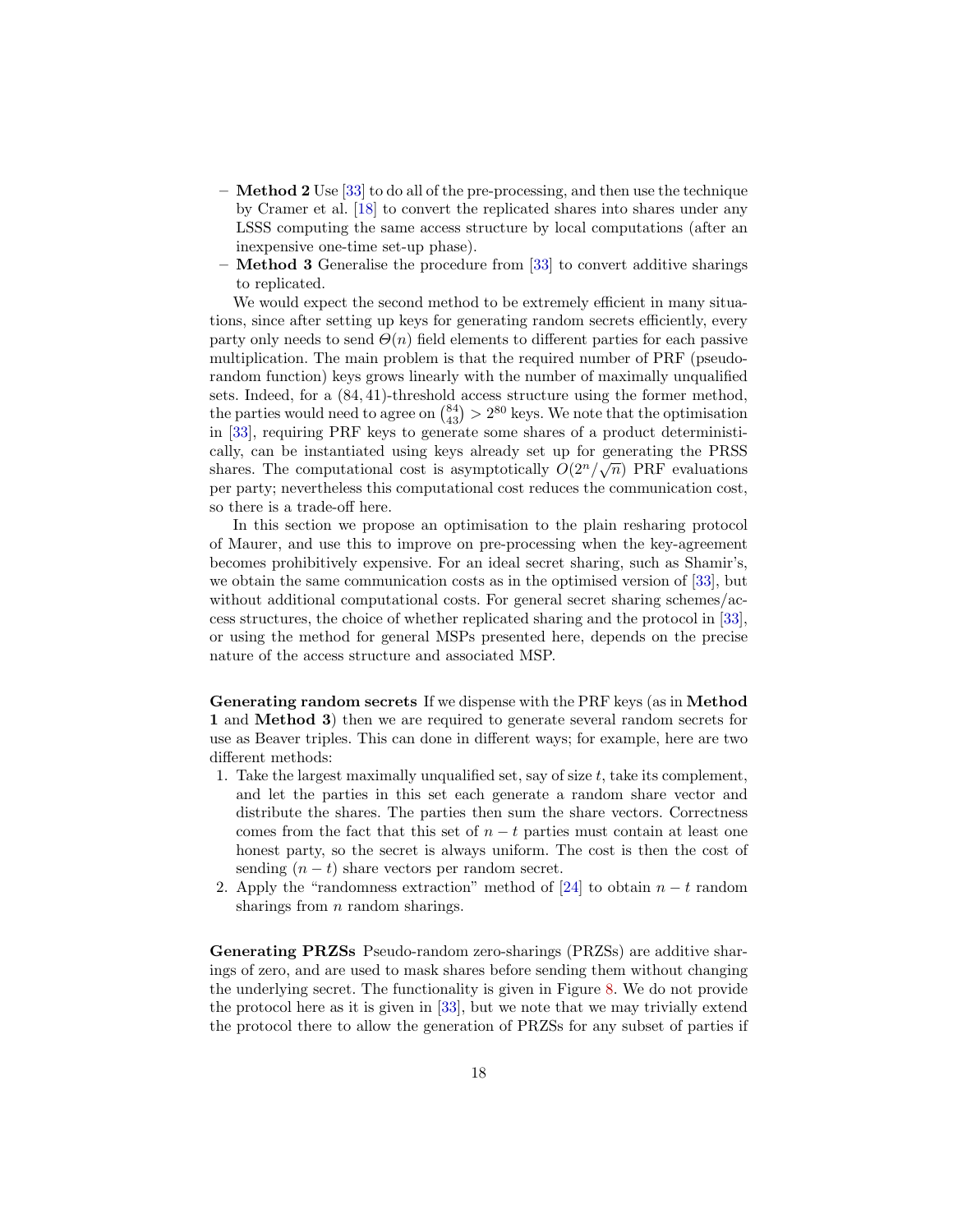- $-$  Method 2 Use [\[33\]](#page-26-8) to do all of the pre-processing, and then use the technique by Cramer et al. [\[18\]](#page-25-13) to convert the replicated shares into shares under any LSSS computing the same access structure by local computations (after an inexpensive one-time set-up phase).
- Method 3 Generalise the procedure from [\[33\]](#page-26-8) to convert additive sharings to replicated.

We would expect the second method to be extremely efficient in many situations, since after setting up keys for generating random secrets efficiently, every party only needs to send  $\Theta(n)$  field elements to different parties for each passive multiplication. The main problem is that the required number of PRF (pseudorandom function) keys grows linearly with the number of maximally unqualified sets. Indeed, for a (84, 41)-threshold access structure using the former method, the parties would need to agree on  $\binom{84}{43} > 2^{80}$  keys. We note that the optimisation in [\[33\]](#page-26-8), requiring PRF keys to generate some shares of a product deterministically, can be instantiated using keys already set up for generating the PRSS shares. The computational cost is asymptotically  $O(2^n/\sqrt{n})$  PRF evaluations per party; nevertheless this computational cost reduces the communication cost, so there is a trade-off here.

In this section we propose an optimisation to the plain resharing protocol of Maurer, and use this to improve on pre-processing when the key-agreement becomes prohibitively expensive. For an ideal secret sharing, such as Shamir's, we obtain the same communication costs as in the optimised version of [\[33\]](#page-26-8), but without additional computational costs. For general secret sharing schemes/access structures, the choice of whether replicated sharing and the protocol in [\[33\]](#page-26-8), or using the method for general MSPs presented here, depends on the precise nature of the access structure and associated MSP.

Generating random secrets If we dispense with the PRF keys (as in Method 1 and Method 3) then we are required to generate several random secrets for use as Beaver triples. This can done in different ways; for example, here are two different methods:

- 1. Take the largest maximally unqualified set, say of size  $t$ , take its complement, and let the parties in this set each generate a random share vector and distribute the shares. The parties then sum the share vectors. Correctness comes from the fact that this set of  $n - t$  parties must contain at least one honest party, so the secret is always uniform. The cost is then the cost of sending  $(n - t)$  share vectors per random secret.
- 2. Apply the "randomness extraction" method of [\[24\]](#page-26-15) to obtain  $n t$  random sharings from  $n$  random sharings.

Generating PRZSs Pseudo-random zero-sharings (PRZSs) are additive sharings of zero, and are used to mask shares before sending them without changing the underlying secret. The functionality is given in Figure [8.](#page-31-0) We do not provide the protocol here as it is given in [\[33\]](#page-26-8), but we note that we may trivially extend the protocol there to allow the generation of PRZSs for any subset of parties if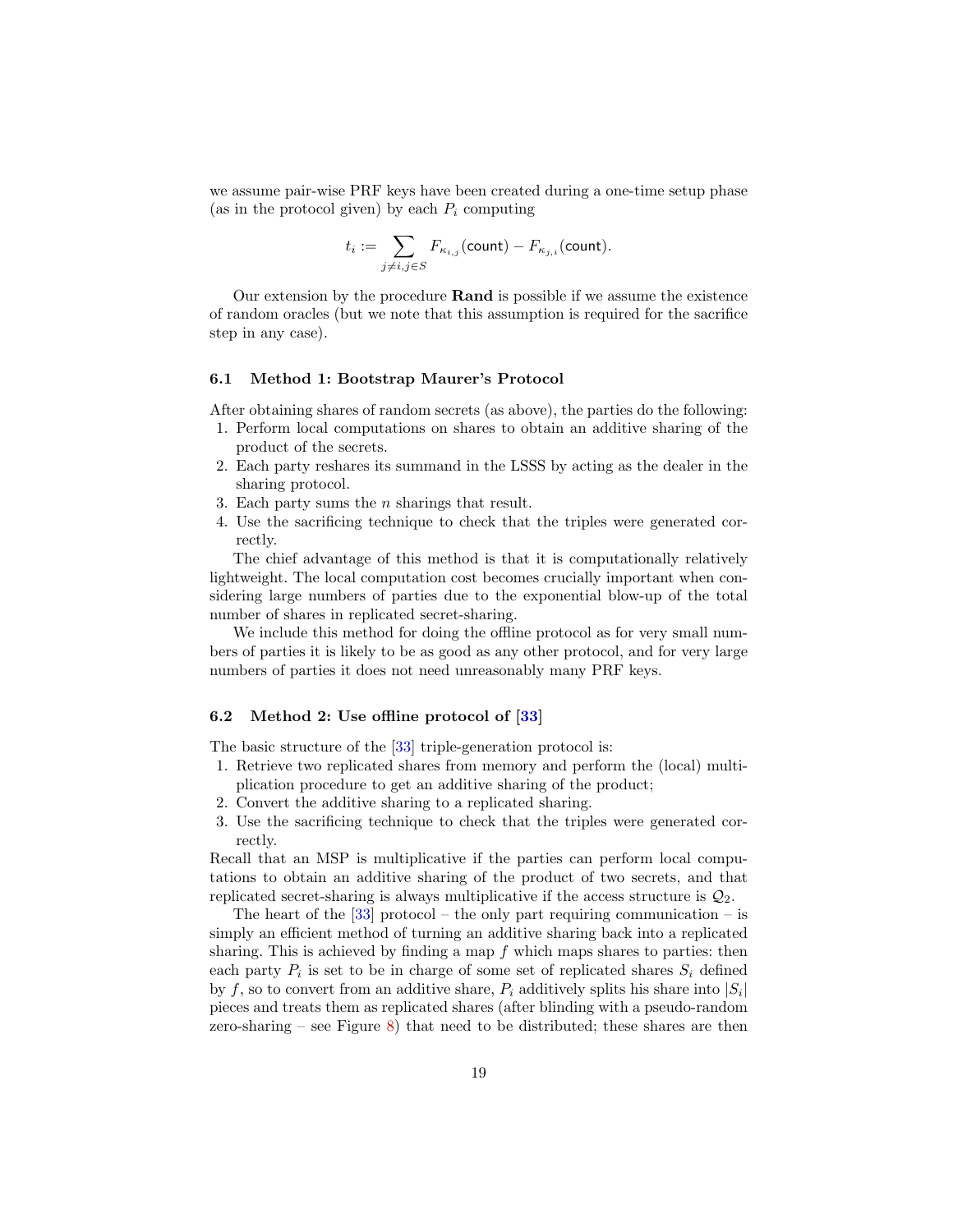we assume pair-wise PRF keys have been created during a one-time setup phase (as in the protocol given) by each  $P_i$  computing

$$
t_i := \sum_{j \neq i, j \in S} F_{\kappa_{i,j}}(\text{count}) - F_{\kappa_{j,i}}(\text{count}).
$$

Our extension by the procedure Rand is possible if we assume the existence of random oracles (but we note that this assumption is required for the sacrifice step in any case).

### 6.1 Method 1: Bootstrap Maurer's Protocol

After obtaining shares of random secrets (as above), the parties do the following:

- 1. Perform local computations on shares to obtain an additive sharing of the product of the secrets.
- 2. Each party reshares its summand in the LSSS by acting as the dealer in the sharing protocol.
- 3. Each party sums the  $n$  sharings that result.
- 4. Use the sacrificing technique to check that the triples were generated correctly.

The chief advantage of this method is that it is computationally relatively lightweight. The local computation cost becomes crucially important when considering large numbers of parties due to the exponential blow-up of the total number of shares in replicated secret-sharing.

We include this method for doing the offline protocol as for very small numbers of parties it is likely to be as good as any other protocol, and for very large numbers of parties it does not need unreasonably many PRF keys.

### 6.2 Method 2: Use offline protocol of [\[33\]](#page-26-8)

The basic structure of the [\[33\]](#page-26-8) triple-generation protocol is:

- 1. Retrieve two replicated shares from memory and perform the (local) multiplication procedure to get an additive sharing of the product;
- 2. Convert the additive sharing to a replicated sharing.
- 3. Use the sacrificing technique to check that the triples were generated correctly.

Recall that an MSP is multiplicative if the parties can perform local computations to obtain an additive sharing of the product of two secrets, and that replicated secret-sharing is always multiplicative if the access structure is  $\mathcal{Q}_2$ .

The heart of the  $[33]$  protocol – the only part requiring communication – is simply an efficient method of turning an additive sharing back into a replicated sharing. This is achieved by finding a map f which maps shares to parties: then each party  $P_i$  is set to be in charge of some set of replicated shares  $S_i$  defined by f, so to convert from an additive share,  $P_i$  additively splits his share into  $|S_i|$ pieces and treats them as replicated shares (after blinding with a pseudo-random zero-sharing – see Figure  $8$ ) that need to be distributed; these shares are then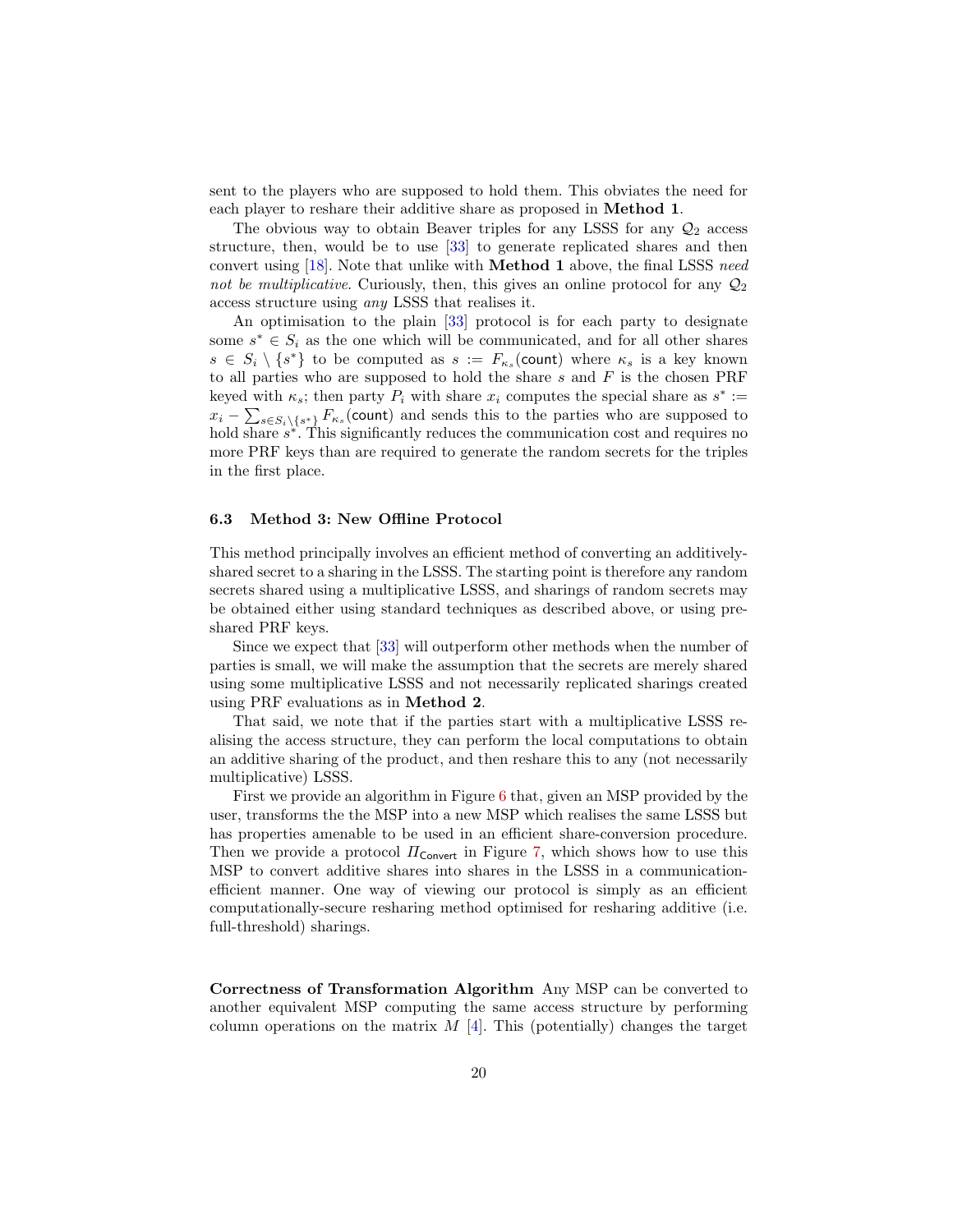sent to the players who are supposed to hold them. This obviates the need for each player to reshare their additive share as proposed in Method 1.

The obvious way to obtain Beaver triples for any LSSS for any  $\mathcal{Q}_2$  access structure, then, would be to use [\[33\]](#page-26-8) to generate replicated shares and then convert using [\[18\]](#page-25-13). Note that unlike with **Method 1** above, the final LSSS need not be multiplicative. Curiously, then, this gives an online protocol for any  $\mathcal{Q}_2$ access structure using any LSSS that realises it.

An optimisation to the plain [\[33\]](#page-26-8) protocol is for each party to designate some  $s^* \in S_i$  as the one which will be communicated, and for all other shares  $s \in S_i \setminus \{s^*\}\$ to be computed as  $s := F_{\kappa_s}(\text{count})$  where  $\kappa_s$  is a key known to all parties who are supposed to hold the share  $s$  and  $F$  is the chosen PRF keyed with  $\kappa_s$ ; then party  $P_i$  with share  $x_i$  computes the special share as  $s^* :=$  $x_i - \sum_{s \in S_i \setminus \{s^*\}} F_{\kappa_s}(\text{count})$  and sends this to the parties who are supposed to hold share  $s^*$ . This significantly reduces the communication cost and requires no more PRF keys than are required to generate the random secrets for the triples in the first place.

### 6.3 Method 3: New Offline Protocol

This method principally involves an efficient method of converting an additivelyshared secret to a sharing in the LSSS. The starting point is therefore any random secrets shared using a multiplicative LSSS, and sharings of random secrets may be obtained either using standard techniques as described above, or using preshared PRF keys.

Since we expect that [\[33\]](#page-26-8) will outperform other methods when the number of parties is small, we will make the assumption that the secrets are merely shared using some multiplicative LSSS and not necessarily replicated sharings created using PRF evaluations as in Method 2.

That said, we note that if the parties start with a multiplicative LSSS realising the access structure, they can perform the local computations to obtain an additive sharing of the product, and then reshare this to any (not necessarily multiplicative) LSSS.

First we provide an algorithm in Figure [6](#page-29-0) that, given an MSP provided by the user, transforms the the MSP into a new MSP which realises the same LSSS but has properties amenable to be used in an efficient share-conversion procedure. Then we provide a protocol  $\Pi_{\text{Convert}}$  in Figure [7,](#page-30-0) which shows how to use this MSP to convert additive shares into shares in the LSSS in a communicationefficient manner. One way of viewing our protocol is simply as an efficient computationally-secure resharing method optimised for resharing additive (i.e. full-threshold) sharings.

Correctness of Transformation Algorithm Any MSP can be converted to another equivalent MSP computing the same access structure by performing column operations on the matrix  $M$  [\[4\]](#page-25-10). This (potentially) changes the target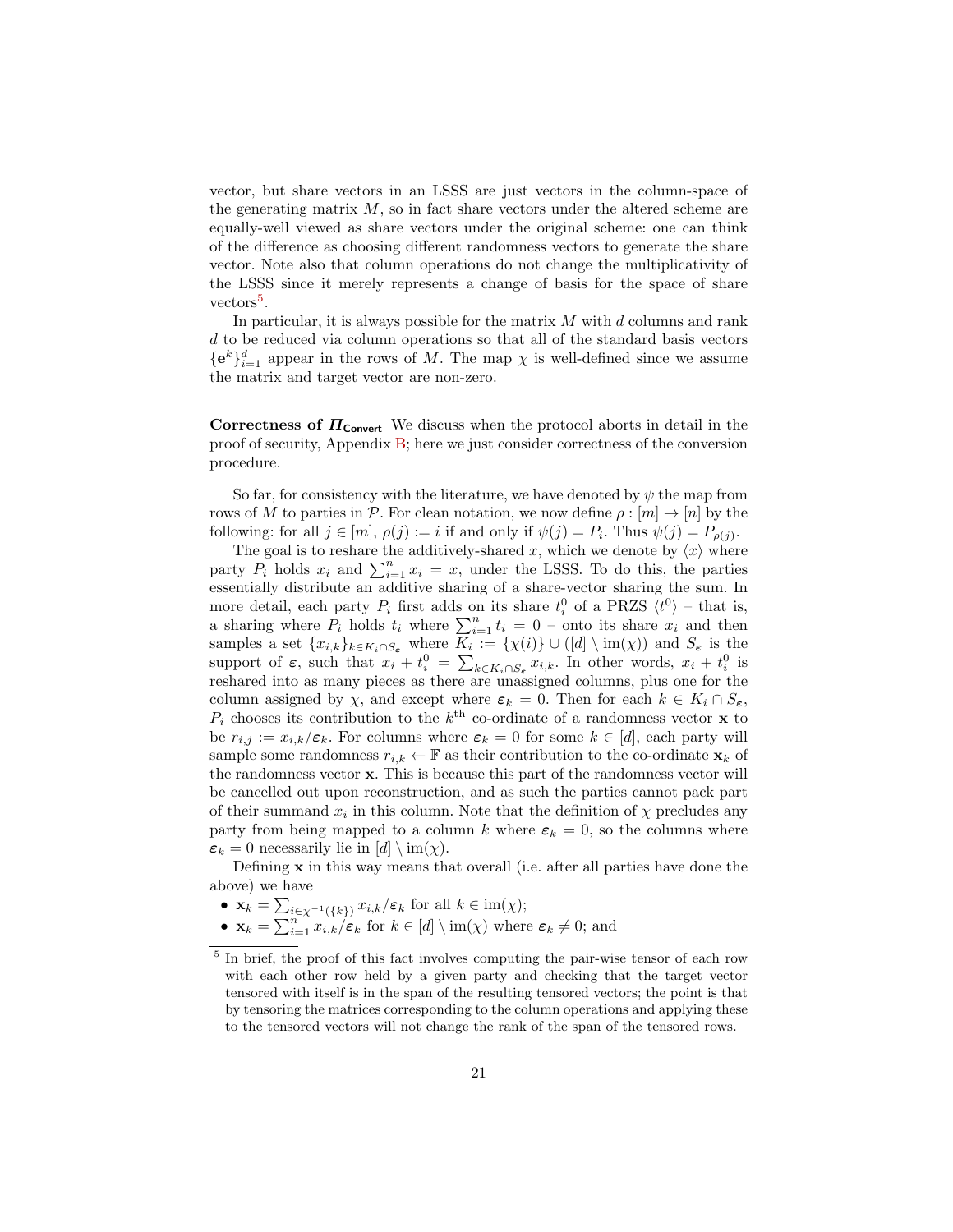vector, but share vectors in an LSSS are just vectors in the column-space of the generating matrix  $M$ , so in fact share vectors under the altered scheme are equally-well viewed as share vectors under the original scheme: one can think of the difference as choosing different randomness vectors to generate the share vector. Note also that column operations do not change the multiplicativity of the LSSS since it merely represents a change of basis for the space of share  $vectors<sup>5</sup>$  $vectors<sup>5</sup>$  $vectors<sup>5</sup>$ .

In particular, it is always possible for the matrix  $M$  with  $d$  columns and rank d to be reduced via column operations so that all of the standard basis vectors  ${e^k}_{i=1}^d$  appear in the rows of M. The map  $\chi$  is well-defined since we assume the matrix and target vector are non-zero.

Correctness of  $\Pi_{\text{Convert}}$  We discuss when the protocol aborts in detail in the proof of security, Appendix [B;](#page-36-0) here we just consider correctness of the conversion procedure.

So far, for consistency with the literature, we have denoted by  $\psi$  the map from rows of M to parties in P. For clean notation, we now define  $\rho : [m] \to [n]$  by the following: for all  $j \in [m]$ ,  $\rho(j) := i$  if and only if  $\psi(j) = P_i$ . Thus  $\psi(j) = P_{\rho(j)}$ .

The goal is to reshare the additively-shared x, which we denote by  $\langle x \rangle$  where party  $P_i$  holds  $x_i$  and  $\sum_{i=1}^n x_i = x$ , under the LSSS. To do this, the parties essentially distribute an additive sharing of a share-vector sharing the sum. In more detail, each party  $P_i$  first adds on its share  $t_i^0$  of a PRZS  $\langle t^0 \rangle$  – that is, a sharing where  $P_i$  holds  $t_i$  where  $\sum_{i=1}^n t_i = 0$  – onto its share  $x_i$  and then samples a set  $\{x_{i,k}\}_{k\in K_i\cap S_{\epsilon}}$  where  $K_i := \{\chi(i)\}\cup ([d]\setminus \mathrm{im}(\chi))$  and  $S_{\epsilon}$  is the support of  $\varepsilon$ , such that  $x_i + t_i^0 = \sum_{k \in K_i \cap S_{\varepsilon}} x_{i,k}$ . In other words,  $x_i + t_i^0$  is reshared into as many pieces as there are unassigned columns, plus one for the column assigned by  $\chi$ , and except where  $\varepsilon_k = 0$ . Then for each  $k \in K_i \cap S_{\varepsilon}$ ,  $P_i$  chooses its contribution to the  $k^{\text{th}}$  co-ordinate of a randomness vector **x** to be  $r_{i,j} := x_{i,k}/\varepsilon_k$ . For columns where  $\varepsilon_k = 0$  for some  $k \in [d]$ , each party will sample some randomness  $r_{i,k} \leftarrow \mathbb{F}$  as their contribution to the co-ordinate  $\mathbf{x}_k$  of the randomness vector x. This is because this part of the randomness vector will be cancelled out upon reconstruction, and as such the parties cannot pack part of their summand  $x_i$  in this column. Note that the definition of  $\chi$  precludes any party from being mapped to a column k where  $\varepsilon_k = 0$ , so the columns where  $\varepsilon_k = 0$  necessarily lie in  $[d] \setminus \text{im}(\chi)$ .

Defining x in this way means that overall (i.e. after all parties have done the above) we have

- $\mathbf{x}_k = \sum_{i \in \chi^{-1}(\{k\})} x_{i,k}/\varepsilon_k$  for all  $k \in \text{im}(\chi)$ ;
- $\mathbf{x}_k = \sum_{i=1}^{n} x_{i,k} / \varepsilon_k$  for  $k \in [d] \setminus \text{im}(\chi)$  where  $\varepsilon_k \neq 0$ ; and

<span id="page-20-0"></span><sup>&</sup>lt;sup>5</sup> In brief, the proof of this fact involves computing the pair-wise tensor of each row with each other row held by a given party and checking that the target vector tensored with itself is in the span of the resulting tensored vectors; the point is that by tensoring the matrices corresponding to the column operations and applying these to the tensored vectors will not change the rank of the span of the tensored rows.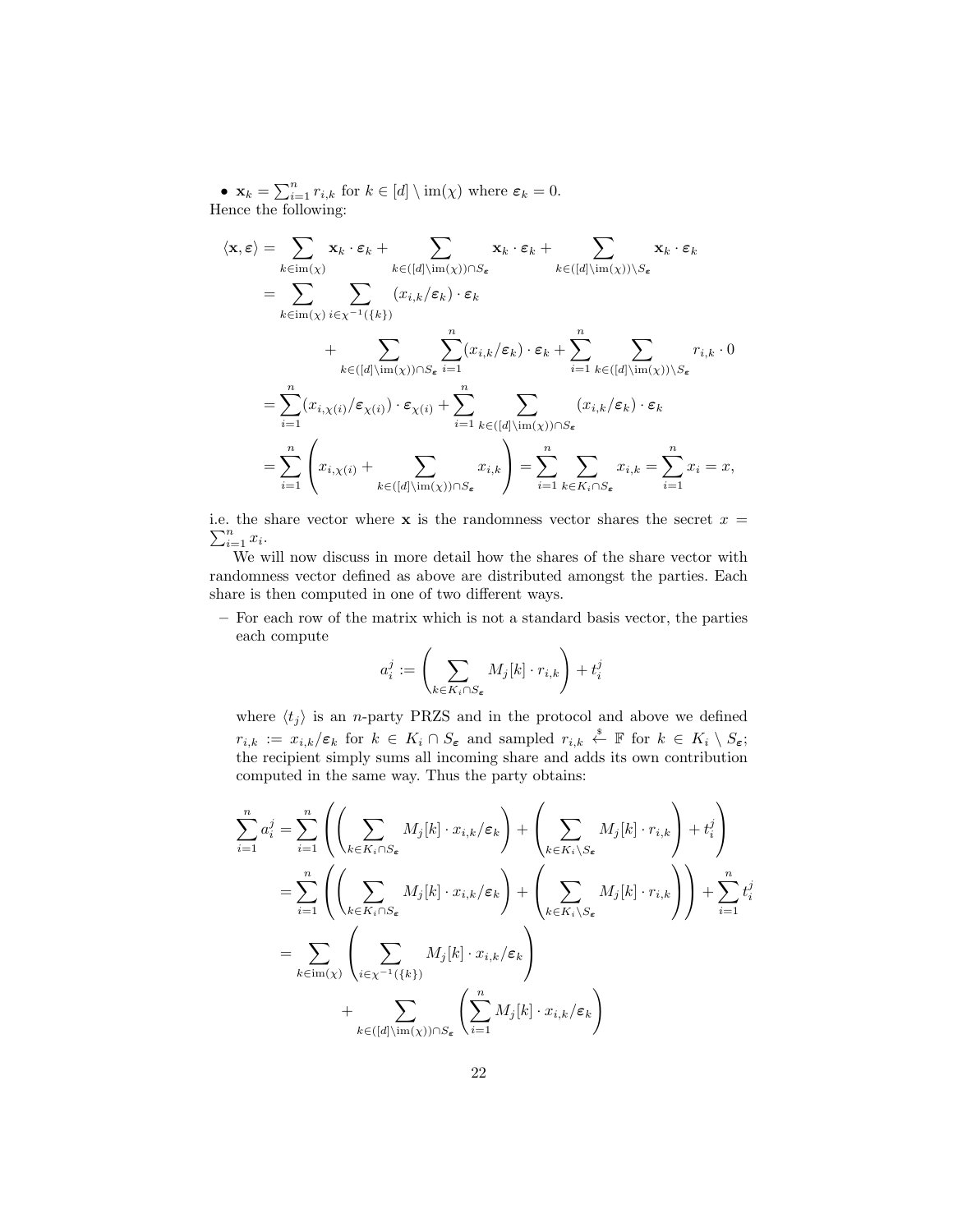•  $\mathbf{x}_k = \sum_{i=1}^n r_{i,k}$  for  $k \in [d] \setminus \text{im}(\chi)$  where  $\varepsilon_k = 0$ . Hence the following:

$$
\langle \mathbf{x}, \varepsilon \rangle = \sum_{k \in \text{im}(\chi)} \mathbf{x}_{k} \cdot \varepsilon_{k} + \sum_{k \in ([d] \setminus \text{im}(\chi)) \cap S_{\varepsilon}} \mathbf{x}_{k} \cdot \varepsilon_{k} + \sum_{k \in ([d] \setminus \text{im}(\chi)) \setminus S_{\varepsilon}} \mathbf{x}_{k} \cdot \varepsilon_{k}
$$
\n
$$
= \sum_{k \in \text{im}(\chi)} \sum_{i \in \chi^{-1}(\{k\})} (x_{i,k}/\varepsilon_{k}) \cdot \varepsilon_{k}
$$
\n
$$
+ \sum_{k \in ([d] \setminus \text{im}(\chi)) \cap S_{\varepsilon}} \sum_{i=1}^{n} (x_{i,k}/\varepsilon_{k}) \cdot \varepsilon_{k} + \sum_{i=1}^{n} \sum_{k \in ([d] \setminus \text{im}(\chi)) \setminus S_{\varepsilon}} r_{i,k} \cdot 0
$$
\n
$$
= \sum_{i=1}^{n} (x_{i,\chi(i)}/\varepsilon_{\chi(i)}) \cdot \varepsilon_{\chi(i)} + \sum_{i=1}^{n} \sum_{k \in ([d] \setminus \text{im}(\chi)) \cap S_{\varepsilon}} (x_{i,k}/\varepsilon_{k}) \cdot \varepsilon_{k}
$$
\n
$$
= \sum_{i=1}^{n} \left( x_{i,\chi(i)} + \sum_{k \in ([d] \setminus \text{im}(\chi)) \cap S_{\varepsilon}} x_{i,k} \right) = \sum_{i=1}^{n} \sum_{k \in K_{i} \cap S_{\varepsilon}} x_{i,k} = \sum_{i=1}^{n} x_{i} = x,
$$

 $\sum_{i=1}^n x_i$ . i.e. the share vector where  $x$  is the randomness vector shares the secret  $x =$ 

We will now discuss in more detail how the shares of the share vector with randomness vector defined as above are distributed amongst the parties. Each share is then computed in one of two different ways.

– For each row of the matrix which is not a standard basis vector, the parties each compute

$$
a_i^j := \left(\sum_{k \in K_i \cap S_{\pmb{\varepsilon}}} M_j[k] \cdot r_{i,k}\right) + t_i^j
$$

where  $\langle t_j \rangle$  is an *n*-party PRZS and in the protocol and above we defined  $r_{i,k} := x_{i,k}/\varepsilon_k$  for  $k \in K_i \cap S_\varepsilon$  and sampled  $r_{i,k} \overset{\hspace{0.1em}\mathsf{\scriptscriptstyle\$}}{\leftarrow} \mathbb{F}$  for  $k \in K_i \setminus S_\varepsilon$ ; the recipient simply sums all incoming share and adds its own contribution computed in the same way. Thus the party obtains:

$$
\sum_{i=1}^{n} a_i^j = \sum_{i=1}^{n} \left( \left( \sum_{k \in K_i \cap S_{\epsilon}} M_j[k] \cdot x_{i,k}/\varepsilon_k \right) + \left( \sum_{k \in K_i \setminus S_{\epsilon}} M_j[k] \cdot r_{i,k} \right) + t_i^j \right)
$$
  

$$
= \sum_{i=1}^{n} \left( \left( \sum_{k \in K_i \cap S_{\epsilon}} M_j[k] \cdot x_{i,k}/\varepsilon_k \right) + \left( \sum_{k \in K_i \setminus S_{\epsilon}} M_j[k] \cdot r_{i,k} \right) \right) + \sum_{i=1}^{n} t_i^j
$$
  

$$
= \sum_{k \in \text{im}(\chi)} \left( \sum_{i \in \chi^{-1}(\{k\})} M_j[k] \cdot x_{i,k}/\varepsilon_k \right)
$$
  

$$
+ \sum_{k \in ([d] \setminus \text{im}(\chi)) \cap S_{\epsilon}} \left( \sum_{i=1}^{n} M_j[k] \cdot x_{i,k}/\varepsilon_k \right)
$$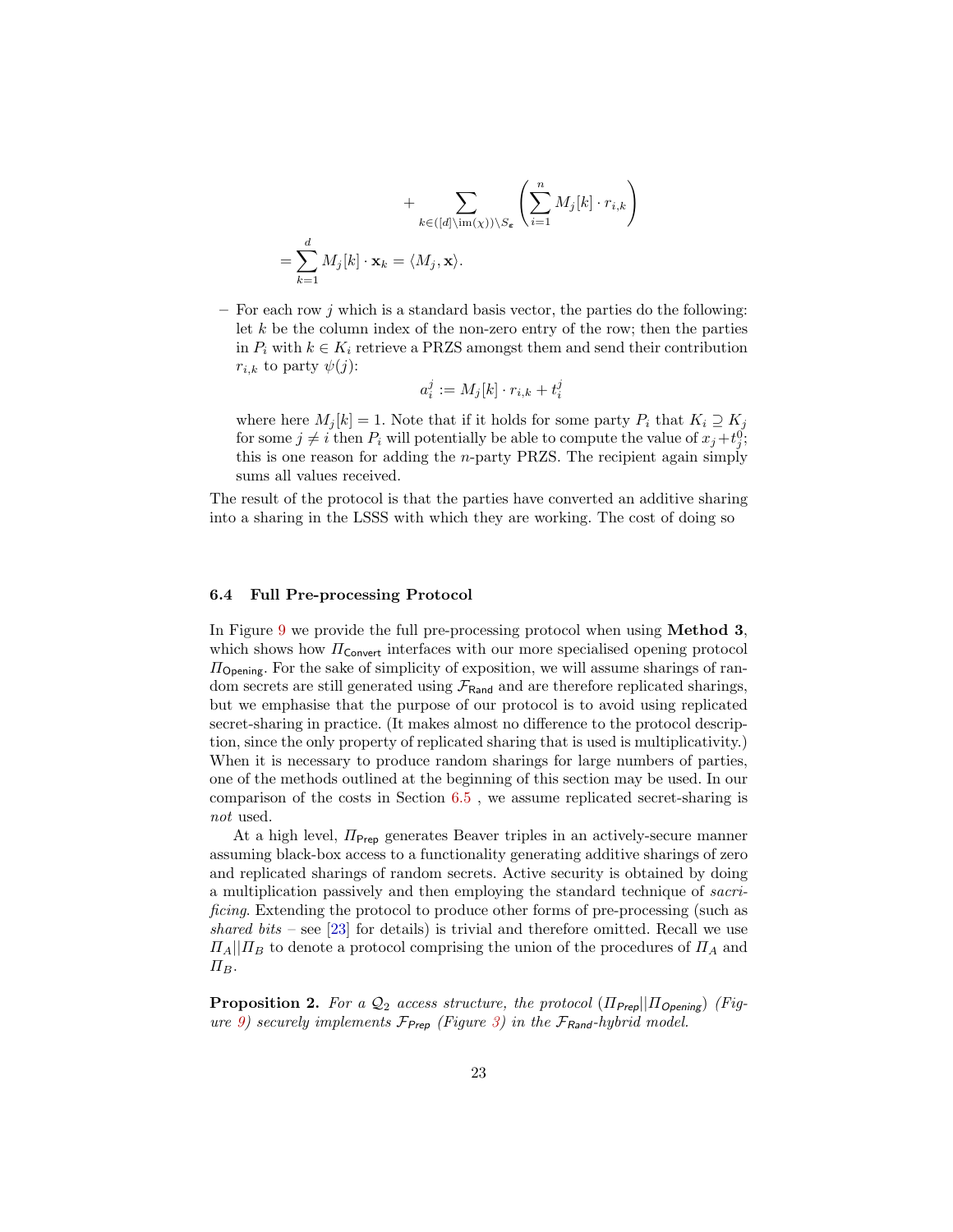+ 
$$
\sum_{k \in ([d] \setminus \operatorname{im}(\chi)) \setminus S_{\epsilon}} \left( \sum_{i=1}^{n} M_{j}[k] \cdot r_{i,k} \right)
$$
  
= 
$$
\sum_{k=1}^{d} M_{j}[k] \cdot \mathbf{x}_{k} = \langle M_{j}, \mathbf{x} \rangle.
$$

 $-$  For each row j which is a standard basis vector, the parties do the following: let  $k$  be the column index of the non-zero entry of the row; then the parties in  $P_i$  with  $k \in K_i$  retrieve a PRZS amongst them and send their contribution  $r_{i,k}$  to party  $\psi(j)$ :

$$
a_i^j := M_j[k] \cdot r_{i,k} + t_i^j
$$

where here  $M_j[k] = 1$ . Note that if it holds for some party  $P_i$  that  $K_i \supseteq K_j$ for some  $j \neq i$  then  $P_i$  will potentially be able to compute the value of  $x_j + t_j^0$ ; this is one reason for adding the n-party PRZS. The recipient again simply sums all values received.

The result of the protocol is that the parties have converted an additive sharing into a sharing in the LSSS with which they are working. The cost of doing so

### 6.4 Full Pre-processing Protocol

In Figure [9](#page-32-0) we provide the full pre-processing protocol when using Method 3, which shows how  $\Pi_{\mathsf{Convert}}$  interfaces with our more specialised opening protocol  $\Pi_{\text{Opening}}$ . For the sake of simplicity of exposition, we will assume sharings of random secrets are still generated using  $\mathcal{F}_{\text{Rand}}$  and are therefore replicated sharings, but we emphasise that the purpose of our protocol is to avoid using replicated secret-sharing in practice. (It makes almost no difference to the protocol description, since the only property of replicated sharing that is used is multiplicativity.) When it is necessary to produce random sharings for large numbers of parties, one of the methods outlined at the beginning of this section may be used. In our comparison of the costs in Section [6.5](#page-23-1) , we assume replicated secret-sharing is not used.

At a high level,  $\Pi_{\text{Prep}}$  generates Beaver triples in an actively-secure manner assuming black-box access to a functionality generating additive sharings of zero and replicated sharings of random secrets. Active security is obtained by doing a multiplication passively and then employing the standard technique of sacrificing. Extending the protocol to produce other forms of pre-processing (such as shared bits – see [\[23\]](#page-26-2) for details) is trivial and therefore omitted. Recall we use  $\Pi_A||\Pi_B$  to denote a protocol comprising the union of the procedures of  $\Pi_A$  and  $\Pi_B$ .

<span id="page-22-0"></span>**Proposition 2.** For a  $\mathcal{Q}_2$  access structure, the protocol ( $\Pi_{\text{Prep}}||\Pi_{\text{Opening}}$ ) (Fig-ure [9\)](#page-32-0) securely implements  $\mathcal{F}_{\mathsf{Prep}}$  (Figure [3\)](#page-14-0) in the  $\mathcal{F}_{\mathsf{Rand}}$ -hybrid model.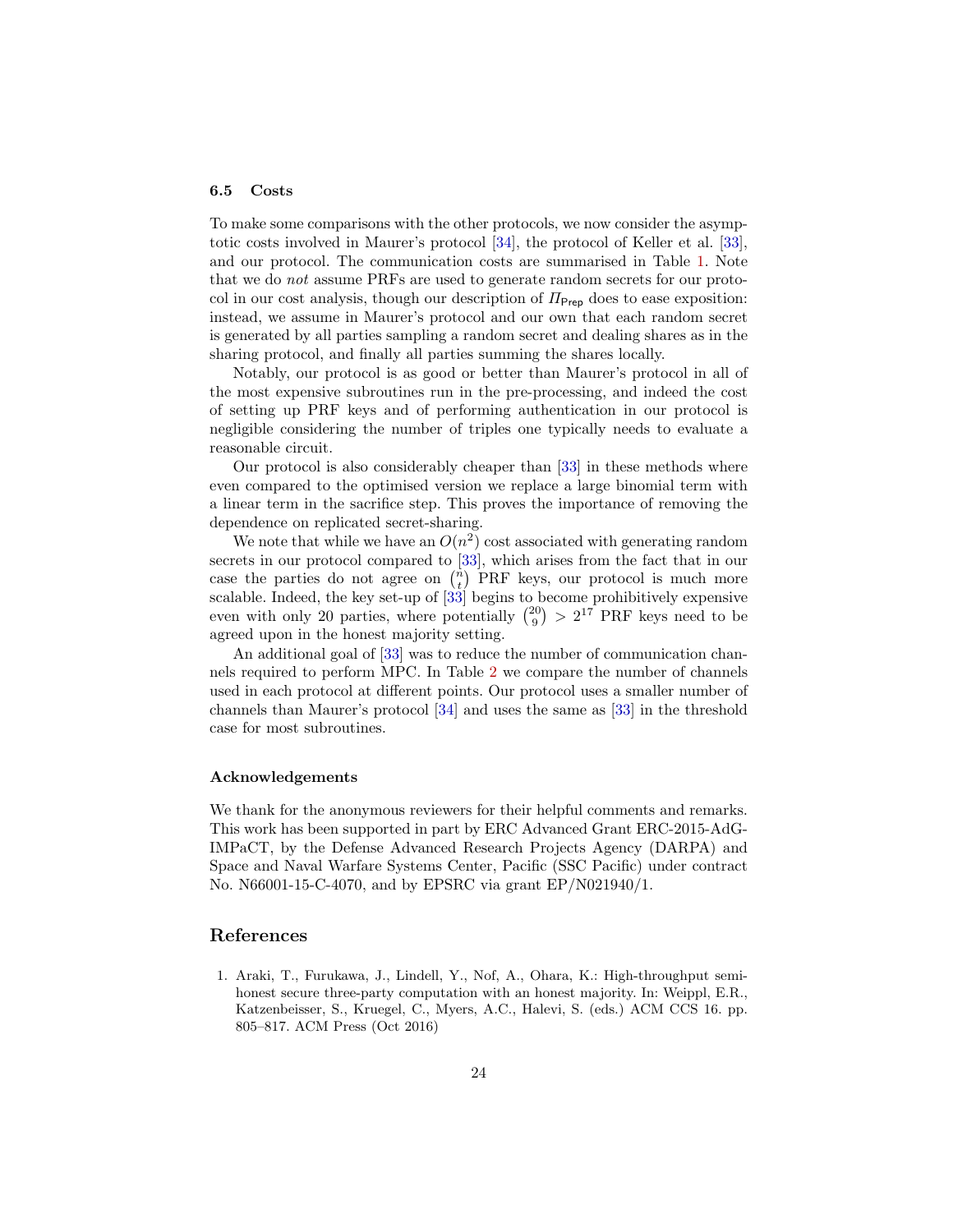### <span id="page-23-1"></span>6.5 Costs

To make some comparisons with the other protocols, we now consider the asymptotic costs involved in Maurer's protocol [\[34\]](#page-26-6), the protocol of Keller et al. [\[33\]](#page-26-8), and our protocol. The communication costs are summarised in Table [1.](#page-24-0) Note that we do not assume PRFs are used to generate random secrets for our protocol in our cost analysis, though our description of  $\Pi_{\text{Preo}}$  does to ease exposition: instead, we assume in Maurer's protocol and our own that each random secret is generated by all parties sampling a random secret and dealing shares as in the sharing protocol, and finally all parties summing the shares locally.

Notably, our protocol is as good or better than Maurer's protocol in all of the most expensive subroutines run in the pre-processing, and indeed the cost of setting up PRF keys and of performing authentication in our protocol is negligible considering the number of triples one typically needs to evaluate a reasonable circuit.

Our protocol is also considerably cheaper than [\[33\]](#page-26-8) in these methods where even compared to the optimised version we replace a large binomial term with a linear term in the sacrifice step. This proves the importance of removing the dependence on replicated secret-sharing.

We note that while we have an  $O(n^2)$  cost associated with generating random secrets in our protocol compared to [\[33\]](#page-26-8), which arises from the fact that in our case the parties do not agree on  $\binom{n}{t}$  PRF keys, our protocol is much more scalable. Indeed, the key set-up of [\[33\]](#page-26-8) begins to become prohibitively expensive even with only 20 parties, where potentially  $\binom{20}{9}$  >  $2^{17}$  PRF keys need to be agreed upon in the honest majority setting.

An additional goal of [\[33\]](#page-26-8) was to reduce the number of communication channels required to perform MPC. In Table [2](#page-24-1) we compare the number of channels used in each protocol at different points. Our protocol uses a smaller number of channels than Maurer's protocol [\[34\]](#page-26-6) and uses the same as [\[33\]](#page-26-8) in the threshold case for most subroutines.

### Acknowledgements

We thank for the anonymous reviewers for their helpful comments and remarks. This work has been supported in part by ERC Advanced Grant ERC-2015-AdG-IMPaCT, by the Defense Advanced Research Projects Agency (DARPA) and Space and Naval Warfare Systems Center, Pacific (SSC Pacific) under contract No. N66001-15-C-4070, and by EPSRC via grant EP/N021940/1.

# References

<span id="page-23-0"></span>1. Araki, T., Furukawa, J., Lindell, Y., Nof, A., Ohara, K.: High-throughput semihonest secure three-party computation with an honest majority. In: Weippl, E.R., Katzenbeisser, S., Kruegel, C., Myers, A.C., Halevi, S. (eds.) ACM CCS 16. pp. 805–817. ACM Press (Oct 2016)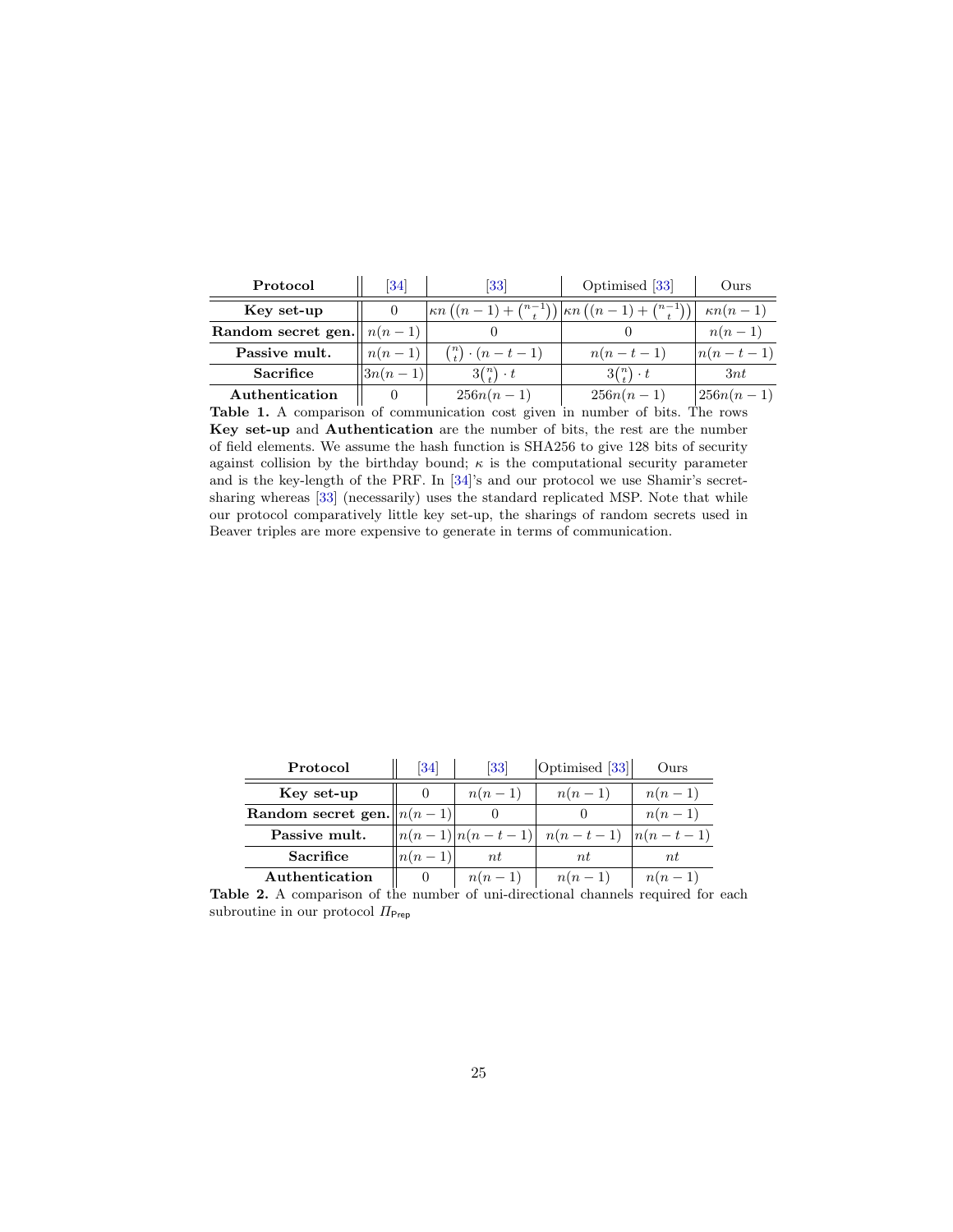| Protocol                          | 34          | [33]                                                                                                                    | Optimised [33]            | Ours                           |
|-----------------------------------|-------------|-------------------------------------------------------------------------------------------------------------------------|---------------------------|--------------------------------|
| Key set-up                        |             | $\left \kappa n\left(\left(n-1\right)+\binom{n-1}{t}\right)\right \kappa n\left(\left(n-1\right)+\binom{n-1}{t}\right)$ |                           | $\kappa n(n-1)$                |
| Random secret gen. $\  n(n-1) \ $ |             |                                                                                                                         |                           | $n(n-1)$                       |
| Passive mult.                     | $n(n-1)$    | $\binom{n}{t} \cdot (n-t-1)$                                                                                            | $n(n-t-1)$                | $\left  n(n-t-1)\right\rangle$ |
| <b>Sacrifice</b>                  | $ 3n(n-1) $ | $3^n$ . t                                                                                                               | $3^{n \choose t} \cdot t$ | 3nt                            |
| Authentication                    |             | $256n(n-1)$                                                                                                             | $256n(n-1)$               | $ 256n(n-1) $                  |

<span id="page-24-0"></span>Table 1. A comparison of communication cost given in number of bits. The rows Key set-up and Authentication are the number of bits, the rest are the number of field elements. We assume the hash function is SHA256 to give 128 bits of security against collision by the birthday bound;  $\kappa$  is the computational security parameter and is the key-length of the PRF. In [\[34\]](#page-26-6)'s and our protocol we use Shamir's secretsharing whereas [\[33\]](#page-26-8) (necessarily) uses the standard replicated MSP. Note that while our protocol comparatively little key set-up, the sharings of random secrets used in Beaver triples are more expensive to generate in terms of communication.

| Protocol                        | 34         | 33                  | Optimised [33]          | Ours     |
|---------------------------------|------------|---------------------|-------------------------|----------|
| Key set-up                      |            | $n(n-1)$            | $n(n-1)$                | $n(n-1)$ |
| Random secret gen. $  n(n-1)  $ |            |                     |                         | $n(n-1)$ |
| Passive mult.                   |            | $ n(n-1) n(n-t-1) $ | $n(n-t-1)$ $ n(n-t-1) $ |          |
| <b>Sacrifice</b>                | $\ln(n-1)$ | nt                  | nt                      | nt       |
| Authentication                  |            | $n(n-1)$            | $n(n-1)$                | $n(n-1)$ |

<span id="page-24-1"></span>Table 2. A comparison of the number of uni-directional channels required for each subroutine in our protocol  $\Pi_{\mathsf{Prep}}$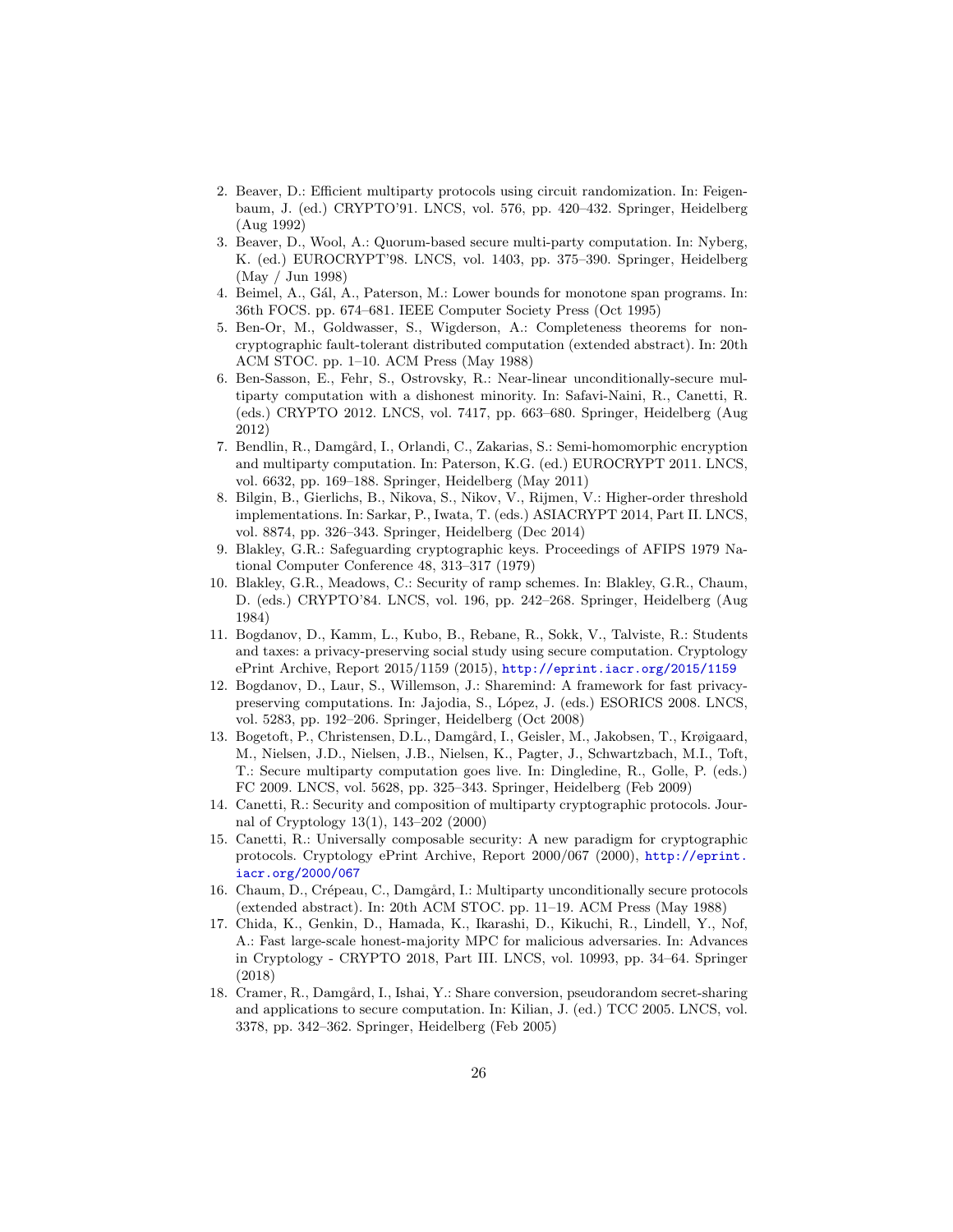- <span id="page-25-12"></span>2. Beaver, D.: Efficient multiparty protocols using circuit randomization. In: Feigenbaum, J. (ed.) CRYPTO'91. LNCS, vol. 576, pp. 420–432. Springer, Heidelberg (Aug 1992)
- <span id="page-25-7"></span>3. Beaver, D., Wool, A.: Quorum-based secure multi-party computation. In: Nyberg, K. (ed.) EUROCRYPT'98. LNCS, vol. 1403, pp. 375–390. Springer, Heidelberg (May / Jun 1998)
- <span id="page-25-10"></span>4. Beimel, A., Gál, A., Paterson, M.: Lower bounds for monotone span programs. In: 36th FOCS. pp. 674–681. IEEE Computer Society Press (Oct 1995)
- <span id="page-25-5"></span>5. Ben-Or, M., Goldwasser, S., Wigderson, A.: Completeness theorems for noncryptographic fault-tolerant distributed computation (extended abstract). In: 20th ACM STOC. pp. 1–10. ACM Press (May 1988)
- <span id="page-25-8"></span>6. Ben-Sasson, E., Fehr, S., Ostrovsky, R.: Near-linear unconditionally-secure multiparty computation with a dishonest minority. In: Safavi-Naini, R., Canetti, R. (eds.) CRYPTO 2012. LNCS, vol. 7417, pp. 663–680. Springer, Heidelberg (Aug 2012)
- <span id="page-25-3"></span>7. Bendlin, R., Damgård, I., Orlandi, C., Zakarias, S.: Semi-homomorphic encryption and multiparty computation. In: Paterson, K.G. (ed.) EUROCRYPT 2011. LNCS, vol. 6632, pp. 169–188. Springer, Heidelberg (May 2011)
- <span id="page-25-2"></span>8. Bilgin, B., Gierlichs, B., Nikova, S., Nikov, V., Rijmen, V.: Higher-order threshold implementations. In: Sarkar, P., Iwata, T. (eds.) ASIACRYPT 2014, Part II. LNCS, vol. 8874, pp. 326–343. Springer, Heidelberg (Dec 2014)
- <span id="page-25-4"></span>9. Blakley, G.R.: Safeguarding cryptographic keys. Proceedings of AFIPS 1979 National Computer Conference 48, 313–317 (1979)
- <span id="page-25-16"></span>10. Blakley, G.R., Meadows, C.: Security of ramp schemes. In: Blakley, G.R., Chaum, D. (eds.) CRYPTO'84. LNCS, vol. 196, pp. 242–268. Springer, Heidelberg (Aug 1984)
- <span id="page-25-1"></span>11. Bogdanov, D., Kamm, L., Kubo, B., Rebane, R., Sokk, V., Talviste, R.: Students and taxes: a privacy-preserving social study using secure computation. Cryptology ePrint Archive, Report 2015/1159 (2015), <http://eprint.iacr.org/2015/1159>
- <span id="page-25-15"></span>12. Bogdanov, D., Laur, S., Willemson, J.: Sharemind: A framework for fast privacypreserving computations. In: Jajodia, S., López, J. (eds.) ESORICS 2008. LNCS, vol. 5283, pp. 192–206. Springer, Heidelberg (Oct 2008)
- <span id="page-25-0"></span>13. Bogetoft, P., Christensen, D.L., Damgård, I., Geisler, M., Jakobsen, T., Krøigaard, M., Nielsen, J.D., Nielsen, J.B., Nielsen, K., Pagter, J., Schwartzbach, M.I., Toft, T.: Secure multiparty computation goes live. In: Dingledine, R., Golle, P. (eds.) FC 2009. LNCS, vol. 5628, pp. 325–343. Springer, Heidelberg (Feb 2009)
- <span id="page-25-11"></span>14. Canetti, R.: Security and composition of multiparty cryptographic protocols. Journal of Cryptology 13(1), 143–202 (2000)
- <span id="page-25-14"></span>15. Canetti, R.: Universally composable security: A new paradigm for cryptographic protocols. Cryptology ePrint Archive, Report 2000/067 (2000), [http://eprint.](http://eprint.iacr.org/2000/067) [iacr.org/2000/067](http://eprint.iacr.org/2000/067)
- <span id="page-25-6"></span>16. Chaum, D., Crépeau, C., Damgård, I.: Multiparty unconditionally secure protocols (extended abstract). In: 20th ACM STOC. pp. 11–19. ACM Press (May 1988)
- <span id="page-25-9"></span>17. Chida, K., Genkin, D., Hamada, K., Ikarashi, D., Kikuchi, R., Lindell, Y., Nof, A.: Fast large-scale honest-majority MPC for malicious adversaries. In: Advances in Cryptology - CRYPTO 2018, Part III. LNCS, vol. 10993, pp. 34–64. Springer (2018)
- <span id="page-25-13"></span>18. Cramer, R., Damgård, I., Ishai, Y.: Share conversion, pseudorandom secret-sharing and applications to secure computation. In: Kilian, J. (ed.) TCC 2005. LNCS, vol. 3378, pp. 342–362. Springer, Heidelberg (Feb 2005)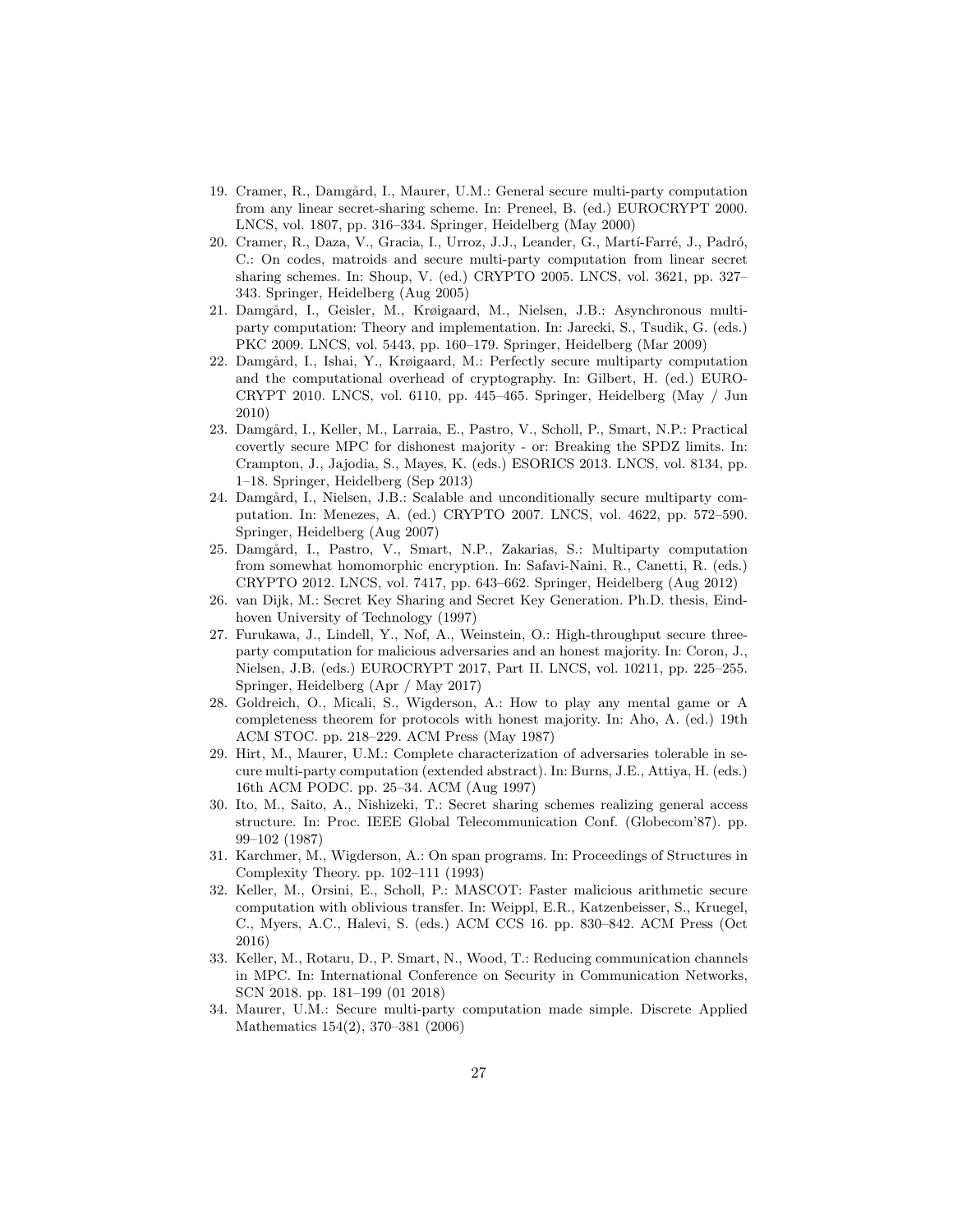- <span id="page-26-11"></span>19. Cramer, R., Damgård, I., Maurer, U.M.: General secure multi-party computation from any linear secret-sharing scheme. In: Preneel, B. (ed.) EUROCRYPT 2000. LNCS, vol. 1807, pp. 316–334. Springer, Heidelberg (May 2000)
- <span id="page-26-10"></span>20. Cramer, R., Daza, V., Gracia, I., Urroz, J.J., Leander, G., Martí-Farré, J., Padró, C.: On codes, matroids and secure multi-party computation from linear secret sharing schemes. In: Shoup, V. (ed.) CRYPTO 2005. LNCS, vol. 3621, pp. 327– 343. Springer, Heidelberg (Aug 2005)
- <span id="page-26-3"></span>21. Damgård, I., Geisler, M., Krøigaard, M., Nielsen, J.B.: Asynchronous multiparty computation: Theory and implementation. In: Jarecki, S., Tsudik, G. (eds.) PKC 2009. LNCS, vol. 5443, pp. 160–179. Springer, Heidelberg (Mar 2009)
- <span id="page-26-7"></span>22. Damgård, I., Ishai, Y., Krøigaard, M.: Perfectly secure multiparty computation and the computational overhead of cryptography. In: Gilbert, H. (ed.) EURO-CRYPT 2010. LNCS, vol. 6110, pp. 445–465. Springer, Heidelberg (May / Jun 2010)
- <span id="page-26-2"></span>23. Damgård, I., Keller, M., Larraia, E., Pastro, V., Scholl, P., Smart, N.P.: Practical covertly secure MPC for dishonest majority - or: Breaking the SPDZ limits. In: Crampton, J., Jajodia, S., Mayes, K. (eds.) ESORICS 2013. LNCS, vol. 8134, pp. 1–18. Springer, Heidelberg (Sep 2013)
- <span id="page-26-15"></span>24. Damgård, I., Nielsen, J.B.: Scalable and unconditionally secure multiparty computation. In: Menezes, A. (ed.) CRYPTO 2007. LNCS, vol. 4622, pp. 572–590. Springer, Heidelberg (Aug 2007)
- <span id="page-26-0"></span>25. Damgård, I., Pastro, V., Smart, N.P., Zakarias, S.: Multiparty computation from somewhat homomorphic encryption. In: Safavi-Naini, R., Canetti, R. (eds.) CRYPTO 2012. LNCS, vol. 7417, pp. 643–662. Springer, Heidelberg (Aug 2012)
- <span id="page-26-13"></span>26. van Dijk, M.: Secret Key Sharing and Secret Key Generation. Ph.D. thesis, Eindhoven University of Technology (1997)
- <span id="page-26-9"></span>27. Furukawa, J., Lindell, Y., Nof, A., Weinstein, O.: High-throughput secure threeparty computation for malicious adversaries and an honest majority. In: Coron, J., Nielsen, J.B. (eds.) EUROCRYPT 2017, Part II. LNCS, vol. 10211, pp. 225–255. Springer, Heidelberg (Apr / May 2017)
- <span id="page-26-4"></span>28. Goldreich, O., Micali, S., Wigderson, A.: How to play any mental game or A completeness theorem for protocols with honest majority. In: Aho, A. (ed.) 19th ACM STOC. pp. 218–229. ACM Press (May 1987)
- <span id="page-26-5"></span>29. Hirt, M., Maurer, U.M.: Complete characterization of adversaries tolerable in secure multi-party computation (extended abstract). In: Burns, J.E., Attiya, H. (eds.) 16th ACM PODC. pp. 25–34. ACM (Aug 1997)
- <span id="page-26-14"></span>30. Ito, M., Saito, A., Nishizeki, T.: Secret sharing schemes realizing general access structure. In: Proc. IEEE Global Telecommunication Conf. (Globecom'87). pp. 99–102 (1987)
- <span id="page-26-12"></span>31. Karchmer, M., Wigderson, A.: On span programs. In: Proceedings of Structures in Complexity Theory. pp. 102–111 (1993)
- <span id="page-26-1"></span>32. Keller, M., Orsini, E., Scholl, P.: MASCOT: Faster malicious arithmetic secure computation with oblivious transfer. In: Weippl, E.R., Katzenbeisser, S., Kruegel, C., Myers, A.C., Halevi, S. (eds.) ACM CCS 16. pp. 830–842. ACM Press (Oct 2016)
- <span id="page-26-8"></span>33. Keller, M., Rotaru, D., P. Smart, N., Wood, T.: Reducing communication channels in MPC. In: International Conference on Security in Communication Networks, SCN 2018. pp. 181–199 (01 2018)
- <span id="page-26-6"></span>34. Maurer, U.M.: Secure multi-party computation made simple. Discrete Applied Mathematics 154(2), 370–381 (2006)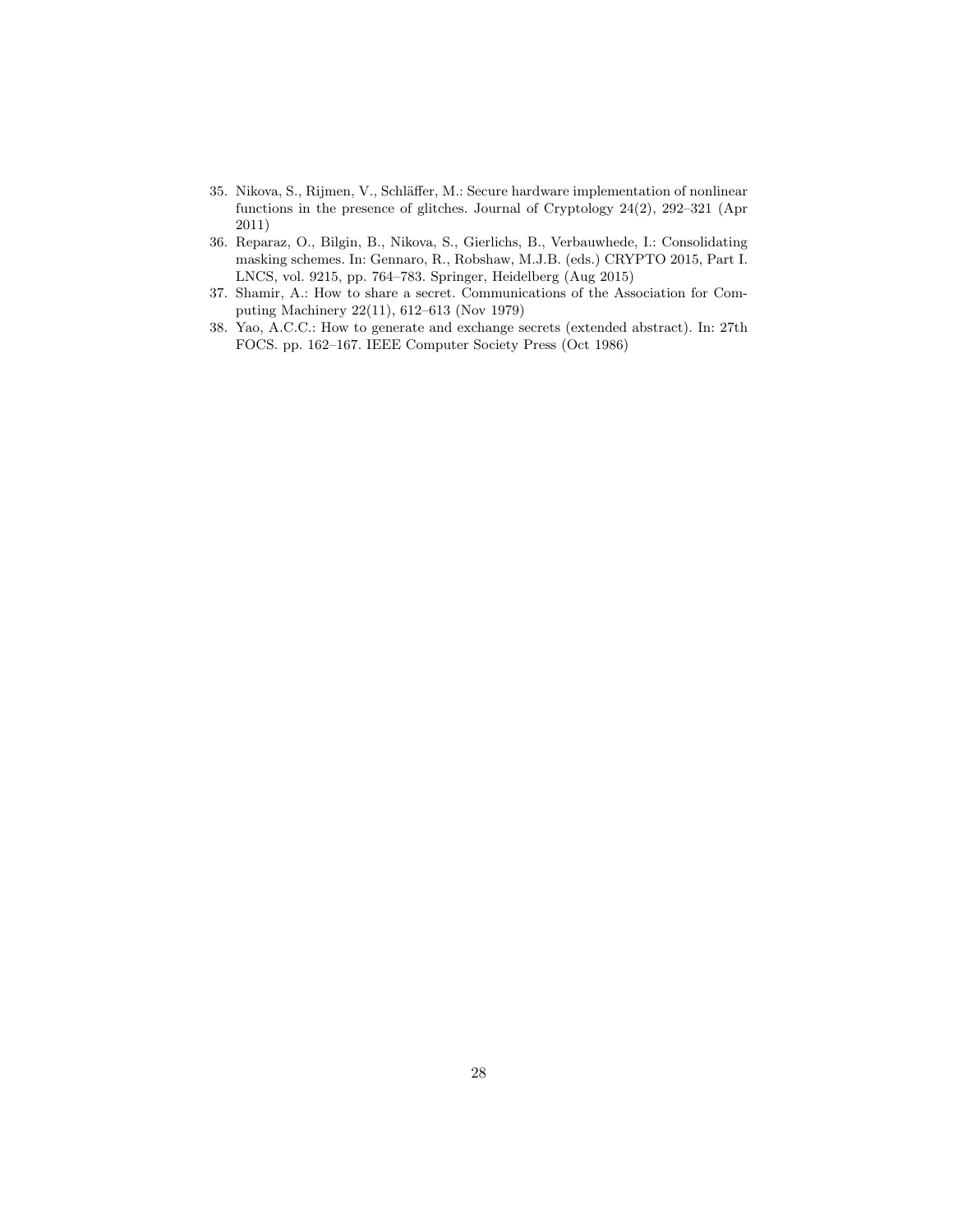- <span id="page-27-0"></span>35. Nikova, S., Rijmen, V., Schläffer, M.: Secure hardware implementation of nonlinear functions in the presence of glitches. Journal of Cryptology 24(2), 292–321 (Apr 2011)
- <span id="page-27-1"></span>36. Reparaz, O., Bilgin, B., Nikova, S., Gierlichs, B., Verbauwhede, I.: Consolidating masking schemes. In: Gennaro, R., Robshaw, M.J.B. (eds.) CRYPTO 2015, Part I. LNCS, vol. 9215, pp. 764–783. Springer, Heidelberg (Aug 2015)
- <span id="page-27-3"></span>37. Shamir, A.: How to share a secret. Communications of the Association for Computing Machinery 22(11), 612–613 (Nov 1979)
- <span id="page-27-2"></span>38. Yao, A.C.C.: How to generate and exchange secrets (extended abstract). In: 27th FOCS. pp. 162–167. IEEE Computer Society Press (Oct 1986)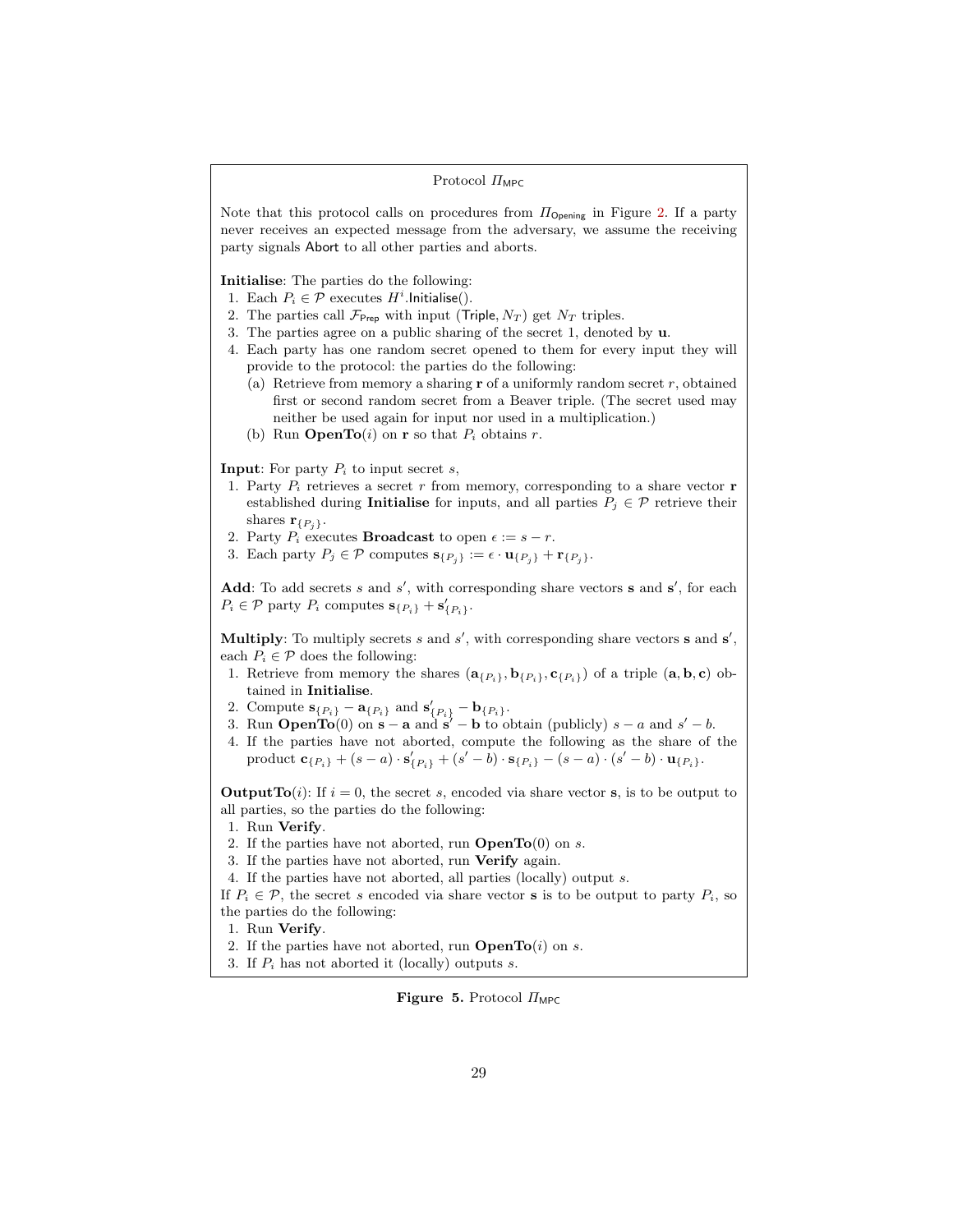### Protocol  $\varPi_{\text{MPC}}$

Note that this protocol calls on procedures from  $\Pi_{\text{Opening}}$  in Figure [2.](#page-13-0) If a party never receives an expected message from the adversary, we assume the receiving party signals Abort to all other parties and aborts.

# Initialise: The parties do the following:

1. Each  $P_i \in \mathcal{P}$  executes  $H^i$ . Initialise().

- 2. The parties call  $\mathcal{F}_{\text{Prep}}$  with input (Triple,  $N_T$ ) get  $N_T$  triples.
- 3. The parties agree on a public sharing of the secret 1, denoted by u.
- 4. Each party has one random secret opened to them for every input they will provide to the protocol: the parties do the following:
	- (a) Retrieve from memory a sharing  $\mathbf r$  of a uniformly random secret  $r$ , obtained first or second random secret from a Beaver triple. (The secret used may neither be used again for input nor used in a multiplication.)
	- (b) Run **OpenTo** $(i)$  on **r** so that  $P_i$  obtains r.

### **Input:** For party  $P_i$  to input secret s,

- 1. Party  $P_i$  retrieves a secret r from memory, corresponding to a share vector **r** established during **Initialise** for inputs, and all parties  $P_i \in \mathcal{P}$  retrieve their shares  $\mathbf{r}_{\{P_i\}}$ .
- 2. Party  $P_i$  executes **Broadcast** to open  $\epsilon := s r$ .
- 3. Each party  $P_j \in \mathcal{P}$  computes  $\mathbf{s}_{\{P_j\}} := \epsilon \cdot \mathbf{u}_{\{P_j\}} + \mathbf{r}_{\{P_j\}}.$

Add: To add secrets s and  $s'$ , with corresponding share vectors s and  $s'$ , for each  $P_i \in \mathcal{P}$  party  $P_i$  computes  $\mathbf{s}_{\{P_i\}} + \mathbf{s}'_{\{P_i\}}$ .

Multiply: To multiply secrets s and  $s'$ , with corresponding share vectors s and  $s'$ , each  $P_i \in \mathcal{P}$  does the following:

- 1. Retrieve from memory the shares  $(a_{\{P_i\}}, b_{\{P_i\}}, c_{\{P_i\}})$  of a triple  $(a, b, c)$  obtained in Initialise.
- 2. Compute  $\mathbf{s}_{\{P_i\}} \mathbf{a}_{\{P_i\}}$  and  $\mathbf{s}'_{\{P_i\}} \mathbf{b}_{\{P_i\}}$ .
- 3. Run **OpenTo**(0) on  $\mathbf{s} \mathbf{a}$  and  $\mathbf{s}' \mathbf{b}$  to obtain (publicly)  $s a$  and  $s' b$ .
- 4. If the parties have not aborted, compute the following as the share of the product  $\mathbf{c}_{\{P_i\}} + (s - a) \cdot \mathbf{s}'_{\{P_i\}} + (s' - b) \cdot \mathbf{s}_{\{P_i\}} - (s - a) \cdot (s' - b) \cdot \mathbf{u}_{\{P_i\}}.$

**OutputTo**(i): If  $i = 0$ , the secret s, encoded via share vector s, is to be output to all parties, so the parties do the following:

- 1. Run Verify.
- 2. If the parties have not aborted, run  $OpenTo(0)$  on s.
- 3. If the parties have not aborted, run Verify again.
- 4. If the parties have not aborted, all parties (locally) output s.

If  $P_i \in \mathcal{P}$ , the secret s encoded via share vector **s** is to be output to party  $P_i$ , so the parties do the following:

- 1. Run Verify.
- 2. If the parties have not aborted, run  $\mathbf{OpenTo}(i)$  on s.
- 3. If  $P_i$  has not aborted it (locally) outputs s.

### <span id="page-28-0"></span>Figure 5. Protocol  $\Pi_{\text{MPC}}$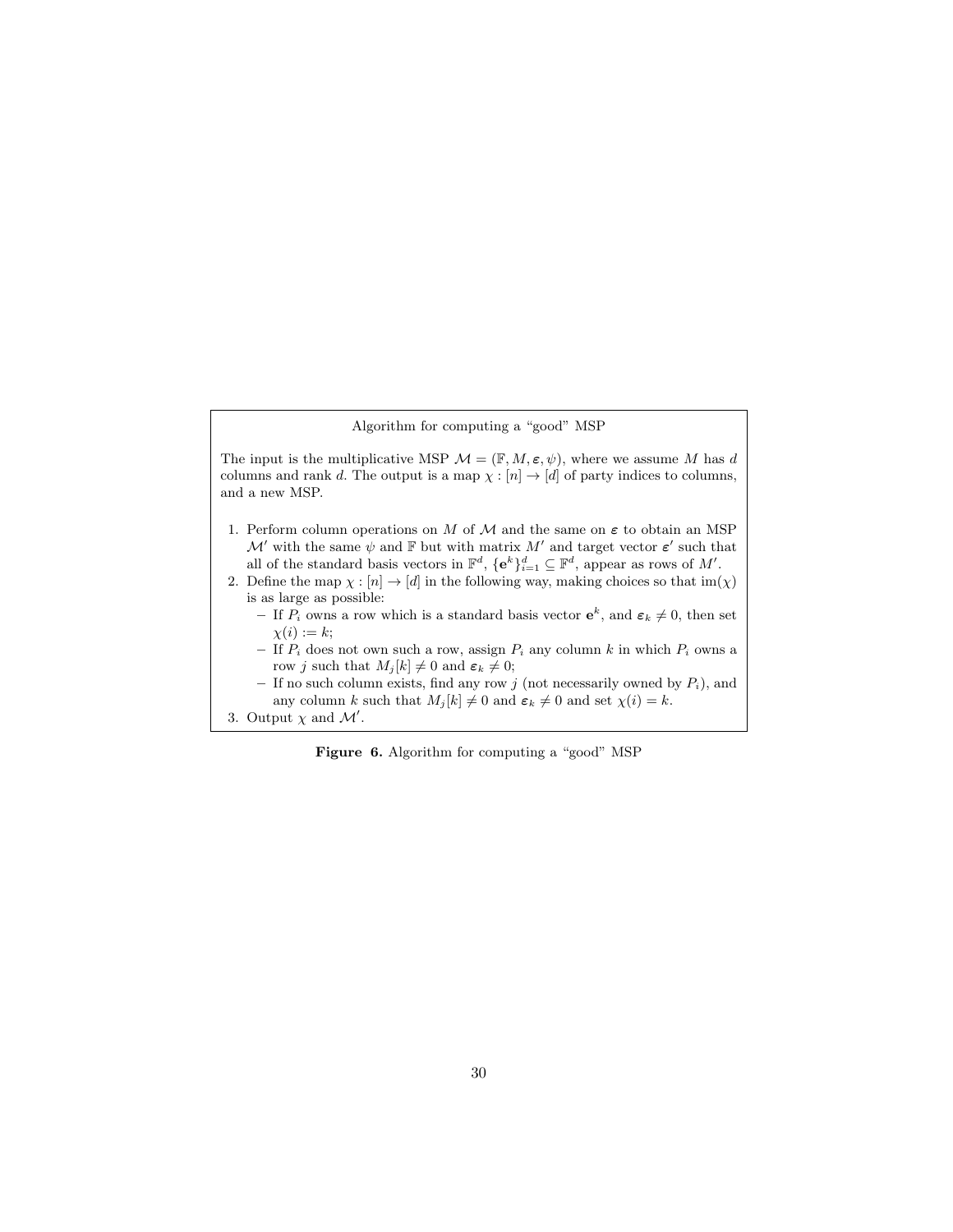Algorithm for computing a "good" MSP

The input is the multiplicative MSP  $\mathcal{M} = (\mathbb{F}, M, \varepsilon, \psi)$ , where we assume M has d columns and rank d. The output is a map  $\chi : [n] \to [d]$  of party indices to columns, and a new MSP.

- 1. Perform column operations on M of M and the same on  $\varepsilon$  to obtain an MSP  $\mathcal{M}'$  with the same  $\psi$  and  $\mathbb F$  but with matrix  $M'$  and target vector  $\varepsilon'$  such that all of the standard basis vectors in  $\mathbb{F}^d$ ,  $\{e^k\}_{i=1}^d \subseteq \mathbb{F}^d$ , appear as rows of M'.
- 2. Define the map  $\chi : [n] \to [d]$  in the following way, making choices so that im $(\chi)$ is as large as possible:
	- If  $P_i$  owns a row which is a standard basis vector  $e^k$ , and  $\varepsilon_k \neq 0$ , then set  $\chi(i) := k;$
	- If  $P_i$  does not own such a row, assign  $P_i$  any column k in which  $P_i$  owns a row j such that  $M_j[k] \neq 0$  and  $\varepsilon_k \neq 0$ ;
	- If no such column exists, find any row  $j$  (not necessarily owned by  $P_i$ ), and any column k such that  $M_j[k] \neq 0$  and  $\varepsilon_k \neq 0$  and set  $\chi(i) = k$ .
- 3. Output  $\chi$  and  $\mathcal{M}'$ .

<span id="page-29-0"></span>Figure 6. Algorithm for computing a "good" MSP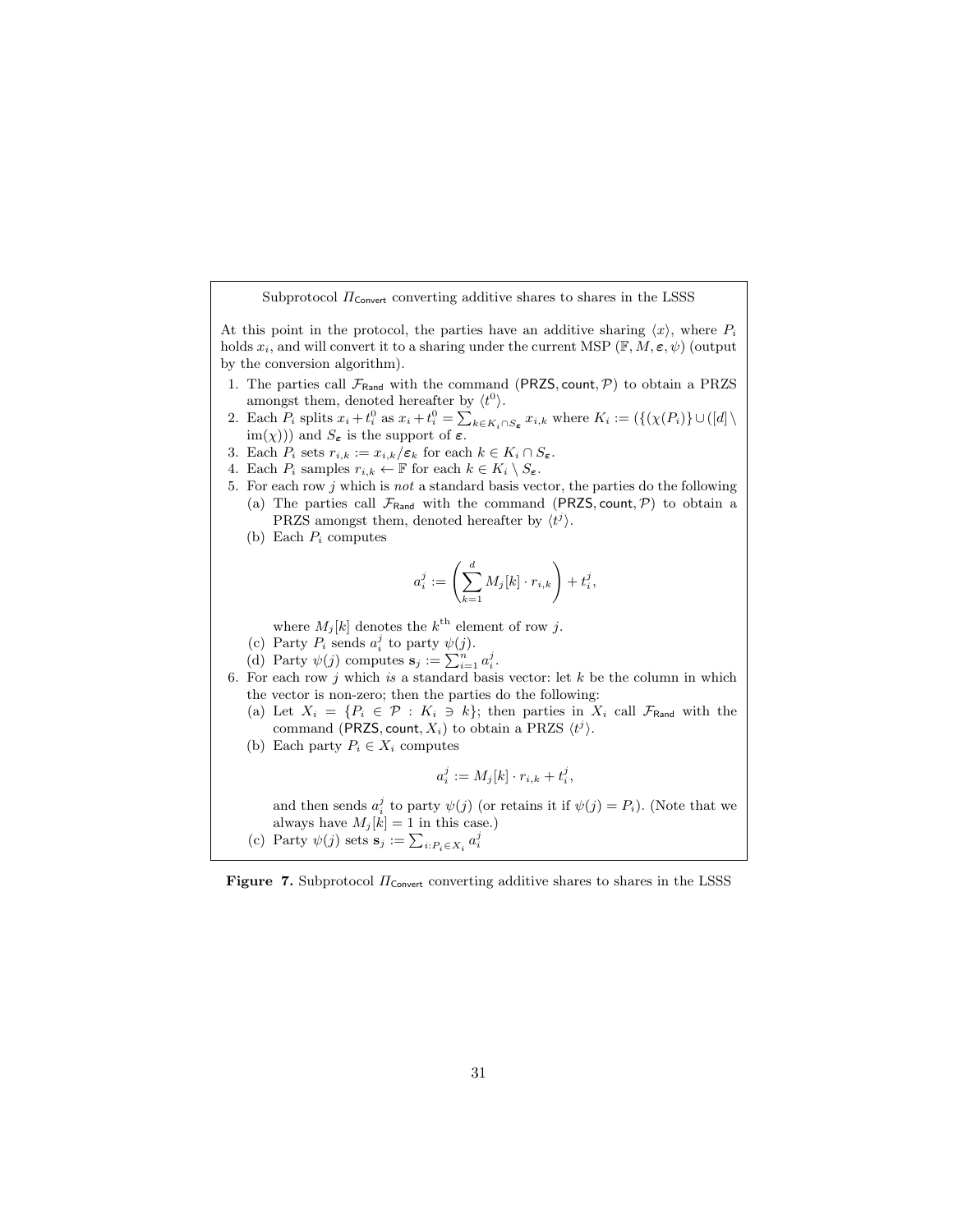Subprotocol  $\Pi_{\text{Convert}}$  converting additive shares to shares in the LSSS

At this point in the protocol, the parties have an additive sharing  $\langle x \rangle$ , where  $P_i$ holds  $x_i$ , and will convert it to a sharing under the current MSP ( $\mathbb{F}, M, \varepsilon, \psi$ ) (output by the conversion algorithm).

- 1. The parties call  $\mathcal{F}_{\text{Rand}}$  with the command (PRZS, count,  $\mathcal{P}$ ) to obtain a PRZS amongst them, denoted hereafter by  $\langle t^0 \rangle$ .
- 2. Each  $P_i$  splits  $x_i + t_i^0$  as  $x_i + t_i^0 = \sum_{k \in K_i \cap S_{\epsilon}} x_{i,k}$  where  $K_i := (\{(\chi(P_i)\} \cup ([d]) \setminus \chi(P_i))\})$  $\text{im}(\chi)$ ) and  $S_{\varepsilon}$  is the support of  $\varepsilon$ .
- 3. Each  $P_i$  sets  $r_{i,k} := x_{i,k}/\varepsilon_k$  for each  $k \in K_i \cap S_{\varepsilon}$ .
- 4. Each  $P_i$  samples  $r_{i,k} \leftarrow \mathbb{F}$  for each  $k \in K_i \setminus S_{\epsilon}$ .
- 5. For each row  $j$  which is  $not$  a standard basis vector, the parties do the following (a) The parties call  $\mathcal{F}_{\text{Rand}}$  with the command (PRZS, count, P) to obtain a PRZS amongst them, denoted hereafter by  $\langle t^j \rangle$ .
	- (b) Each  $P_i$  computes

$$
a_i^j := \left(\sum_{k=1}^d M_j[k] \cdot r_{i,k}\right) + t_i^j,
$$

where  $M_j[k]$  denotes the  $k^{\text{th}}$  element of row j.

- (c) Party  $P_i$  sends  $a_i^j$  to party  $\psi(j)$ .
- (d) Party  $\psi(j)$  computes  $\mathbf{s}_j := \sum_{i=1}^n a_i^j$ .
- 6. For each row j which is a standard basis vector: let k be the column in which the vector is non-zero; then the parties do the following:
	- (a) Let  $X_i = \{P_i \in \mathcal{P} : K_i \ni k\}$ ; then parties in  $X_i$  call  $\mathcal{F}_{\text{Rand}}$  with the command (PRZS, count,  $X_i$ ) to obtain a PRZS  $\langle t^j \rangle$ .
	- (b) Each party  $P_i \in X_i$  computes

$$
a_i^j := M_j[k] \cdot r_{i,k} + t_i^j,
$$

and then sends  $a_i^j$  to party  $\psi(j)$  (or retains it if  $\psi(j) = P_i$ ). (Note that we always have  $M_j[k] = 1$  in this case.)

<span id="page-30-0"></span>(c) Party  $\psi(j)$  sets  $\mathbf{s}_j := \sum_{i:P_i \in X_i} a_i^j$ 

Figure 7. Subprotocol  $\Pi_{\mathsf{Convert}}$  converting additive shares to shares in the LSSS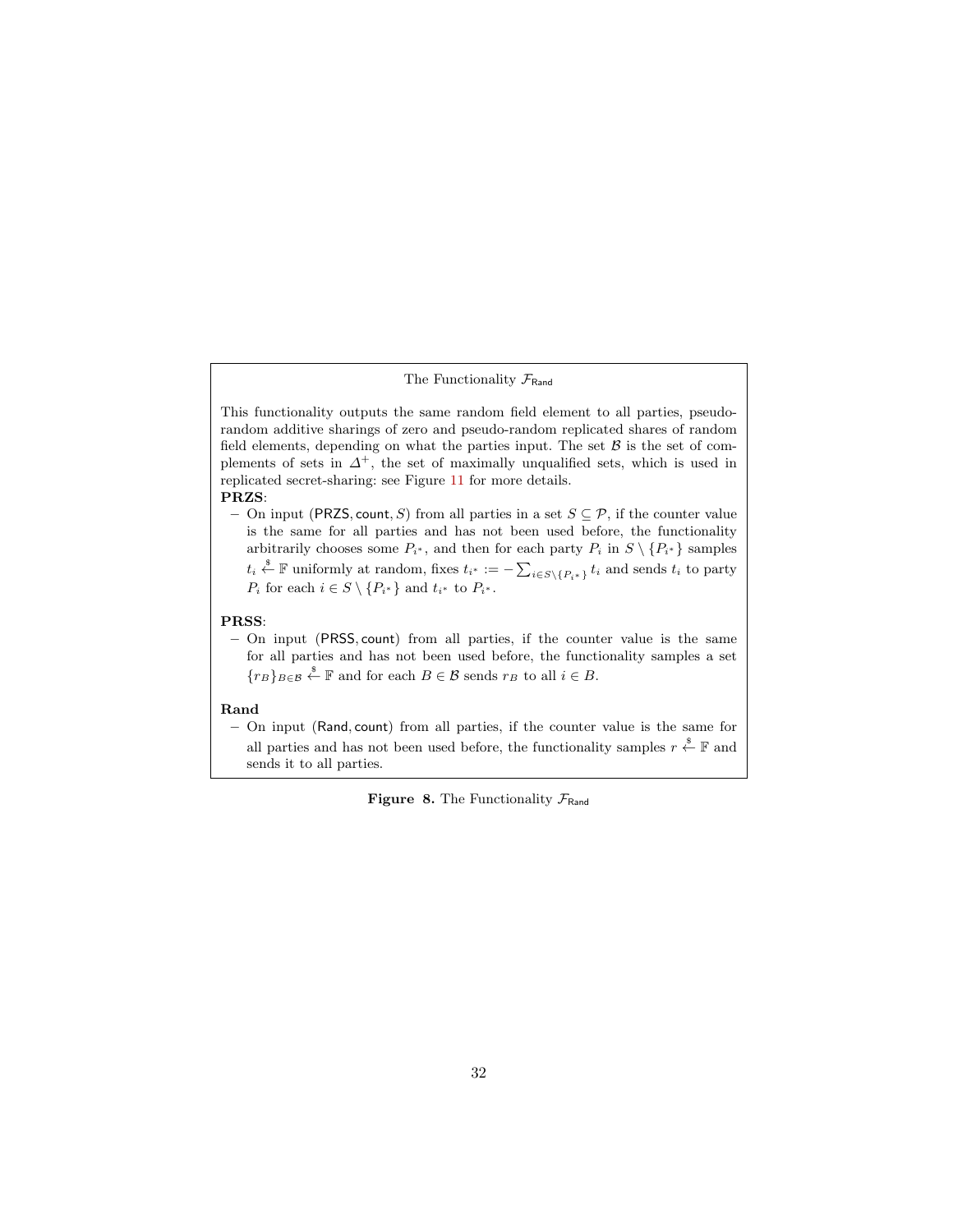# The Functionality  $\mathcal{F}_{\text{Rand}}$

This functionality outputs the same random field element to all parties, pseudorandom additive sharings of zero and pseudo-random replicated shares of random field elements, depending on what the parties input. The set  $\beta$  is the set of complements of sets in  $\Delta^+$ , the set of maximally unqualified sets, which is used in replicated secret-sharing: see Figure [11](#page-34-0) for more details.

### PRZS:

– On input (PRZS, count, S) from all parties in a set  $S \subseteq \mathcal{P}$ , if the counter value is the same for all parties and has not been used before, the functionality arbitrarily chooses some  $P_{i^*}$ , and then for each party  $P_i$  in  $S \setminus \{P_{i^*}\}\$  samples  $t_i \overset{\$}{\leftarrow} \mathbb{F}$  uniformly at random, fixes  $t_{i^*} := -\sum_{i \in S \setminus \{P_{i^*}\}} t_i$  and sends  $t_i$  to party  $P_i$  for each  $i \in S \setminus \{P_{i^*}\}\$ and  $t_{i^*}$  to  $P_{i^*}.$ 

### PRSS:

– On input (PRSS, count) from all parties, if the counter value is the same for all parties and has not been used before, the functionality samples a set  ${r_B}_{B \in \mathcal{B}} \stackrel{\$}{\leftarrow} \mathbb{F}$  and for each  $B \in \mathcal{B}$  sends  $r_B$  to all  $i \in B$ .

### Rand

– On input (Rand, count) from all parties, if the counter value is the same for all parties and has not been used before, the functionality samples  $r \stackrel{\$}{\leftarrow} \mathbb{F}$  and sends it to all parties.

<span id="page-31-0"></span>**Figure 8.** The Functionality  $\mathcal{F}_{\text{Rand}}$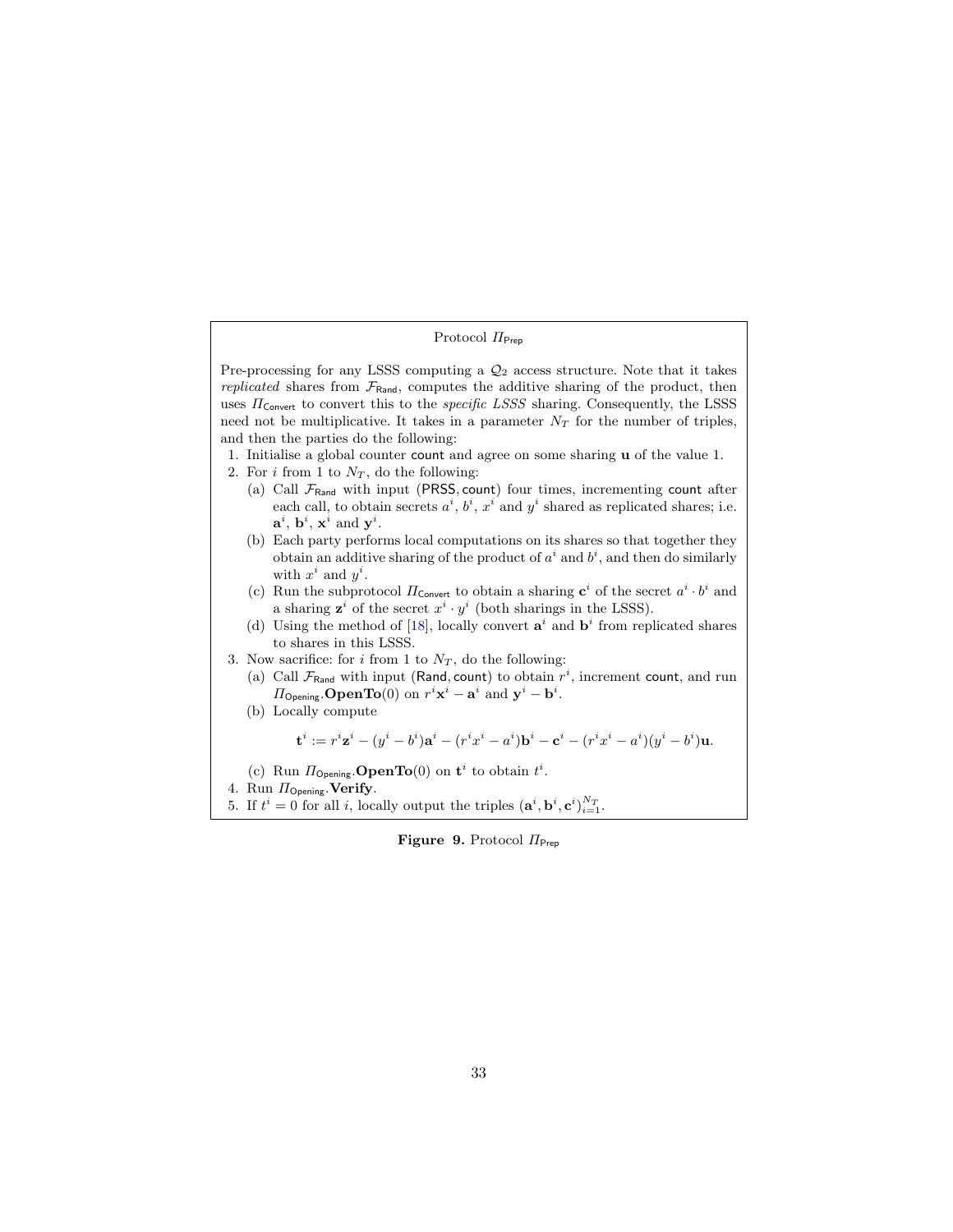# Protocol  $\Pi_{\mathsf{Prep}}$

Pre-processing for any LSSS computing a  $\mathcal{Q}_2$  access structure. Note that it takes replicated shares from  $\mathcal{F}_{\text{Rand}}$ , computes the additive sharing of the product, then uses  $\Pi_{\mathsf{Convert}}$  to convert this to the *specific LSSS* sharing. Consequently, the LSSS need not be multiplicative. It takes in a parameter  $N_T$  for the number of triples, and then the parties do the following:

- 1. Initialise a global counter count and agree on some sharing u of the value 1.
- 2. For i from 1 to  $N_T$ , do the following:
	- (a) Call  $\mathcal{F}_{\text{Rand}}$  with input (PRSS, count) four times, incrementing count after each call, to obtain secrets  $a^i$ ,  $b^i$ ,  $x^i$  and  $y^i$  shared as replicated shares; i.e.  $\mathbf{a}^i$ ,  $\mathbf{b}^i$ ,  $\mathbf{x}^i$  and  $\mathbf{y}^i$ .
	- (b) Each party performs local computations on its shares so that together they obtain an additive sharing of the product of  $a^i$  and  $b^i$ , and then do similarly with  $x^i$  and  $y^i$ .
	- (c) Run the subprotocol  $\Pi_{\text{Convert}}$  to obtain a sharing  $\mathbf{c}^i$  of the secret  $a^i \cdot b^i$  and a sharing  $\mathbf{z}^i$  of the secret  $x^i \cdot y^i$  (both sharings in the LSSS).
	- (d) Using the method of [\[18\]](#page-25-13), locally convert  $a^i$  and  $b^i$  from replicated shares to shares in this LSSS.
- 3. Now sacrifice: for i from 1 to  $N_T$ , do the following:
	- (a) Call  $\mathcal{F}_{\text{Rand}}$  with input (Rand, count) to obtain  $r^i$ , increment count, and run  $\Pi_{\mathsf{Opening}}.\mathbf{OpenTo}(0) \text{ on } r^i\mathbf{x}^i - \mathbf{a}^i \text{ and } \mathbf{y}^i - \mathbf{b}^i.$
	- (b) Locally compute

$$
\mathbf{t}^i := r^i \mathbf{z}^i - (y^i - b^i) \mathbf{a}^i - (r^i x^i - a^i) \mathbf{b}^i - \mathbf{c}^i - (r^i x^i - a^i) (y^i - b^i) \mathbf{u}.
$$

- (c) Run  $\Pi_{\text{Opening}}$ . **OpenTo**(0) on  $\mathbf{t}^i$  to obtain  $t^i$ .
- 4. Run  $\Pi_{\mathsf{Opening}}$ . Verify.
- 5. If  $t^i = 0$  for all *i*, locally output the triples  $(\mathbf{a}^i, \mathbf{b}^i, \mathbf{c}^i)_{i=1}^{N_T}$ .

<span id="page-32-0"></span>Figure 9. Protocol  $\Pi_{\text{Prep}}$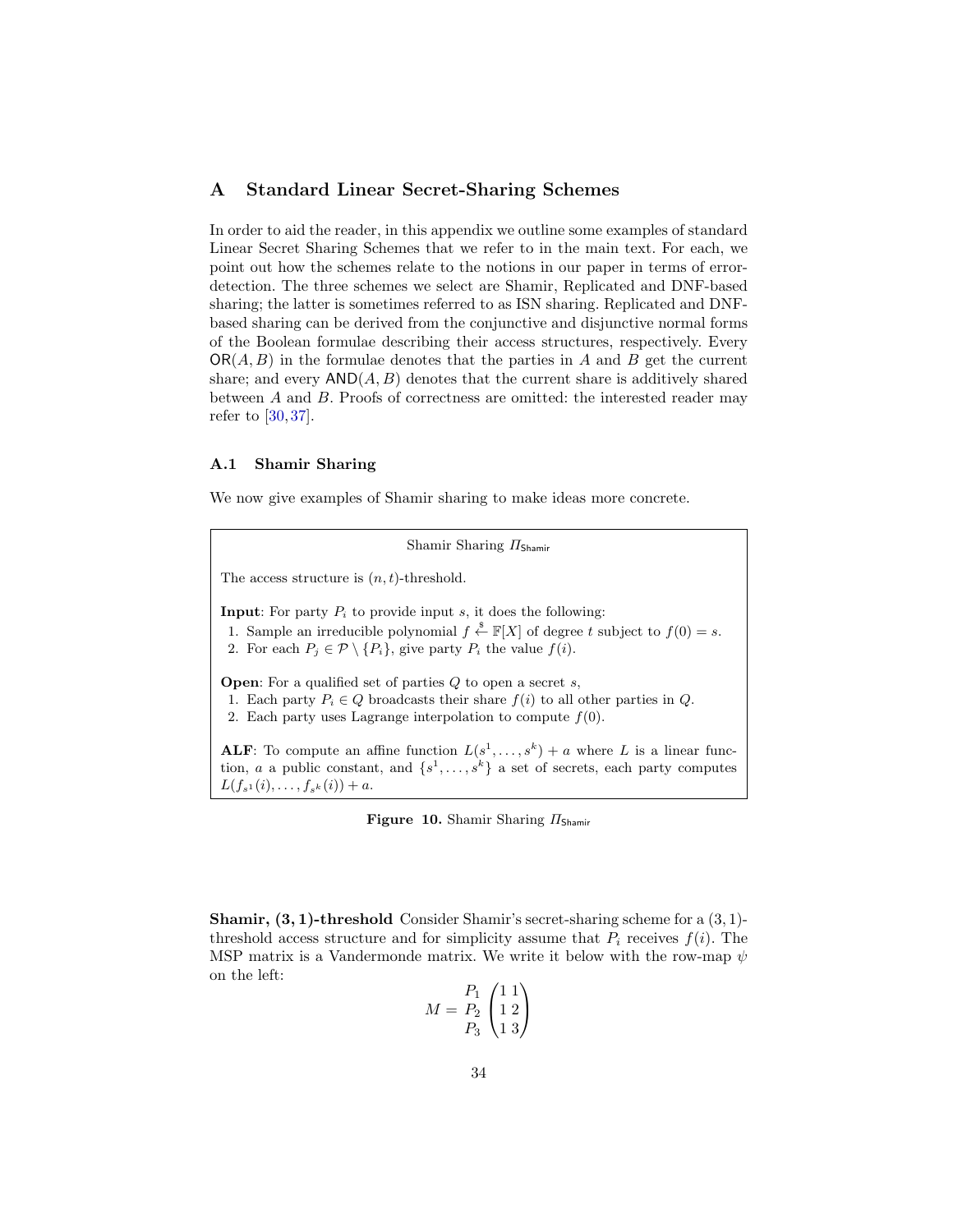# <span id="page-33-0"></span>A Standard Linear Secret-Sharing Schemes

In order to aid the reader, in this appendix we outline some examples of standard Linear Secret Sharing Schemes that we refer to in the main text. For each, we point out how the schemes relate to the notions in our paper in terms of errordetection. The three schemes we select are Shamir, Replicated and DNF-based sharing; the latter is sometimes referred to as ISN sharing. Replicated and DNFbased sharing can be derived from the conjunctive and disjunctive normal forms of the Boolean formulae describing their access structures, respectively. Every  $OR(A, B)$  in the formulae denotes that the parties in A and B get the current share; and every  $AND(A, B)$  denotes that the current share is additively shared between A and B. Proofs of correctness are omitted: the interested reader may refer to [\[30,](#page-26-14) [37\]](#page-27-3).

### A.1 Shamir Sharing

We now give examples of Shamir sharing to make ideas more concrete.

Shamir Sharing ΠShamir The access structure is  $(n, t)$ -threshold. **Input:** For party  $P_i$  to provide input s, it does the following: 1. Sample an irreducible polynomial  $f \stackrel{\$}{\leftarrow} \mathbb{F}[X]$  of degree t subject to  $f(0) = s$ . 2. For each  $P_j \in \mathcal{P} \setminus \{P_i\}$ , give party  $P_i$  the value  $f(i)$ . **Open:** For a qualified set of parties  $Q$  to open a secret  $s$ , 1. Each party  $P_i \in Q$  broadcasts their share  $f(i)$  to all other parties in  $Q$ . 2. Each party uses Lagrange interpolation to compute  $f(0)$ . **ALF**: To compute an affine function  $L(s^1, \ldots, s^k) + a$  where L is a linear function, *a* a public constant, and  $\{s^1, \ldots, s^k\}$  a set of secrets, each party computes  $L(f_{s^1}(i), \ldots, f_{s^k}(i)) + a.$ 

Figure 10. Shamir Sharing  $\Pi$ <sub>Shamir</sub>

**Shamir, (3, 1)-threshold** Consider Shamir's secret-sharing scheme for a  $(3, 1)$ threshold access structure and for simplicity assume that  $P_i$  receives  $f(i)$ . The MSP matrix is a Vandermonde matrix. We write it below with the row-map  $\psi$ on the left:

$$
M = \frac{P_1}{P_2} \begin{pmatrix} 1 & 1 \\ 1 & 2 \\ 1 & 3 \end{pmatrix}
$$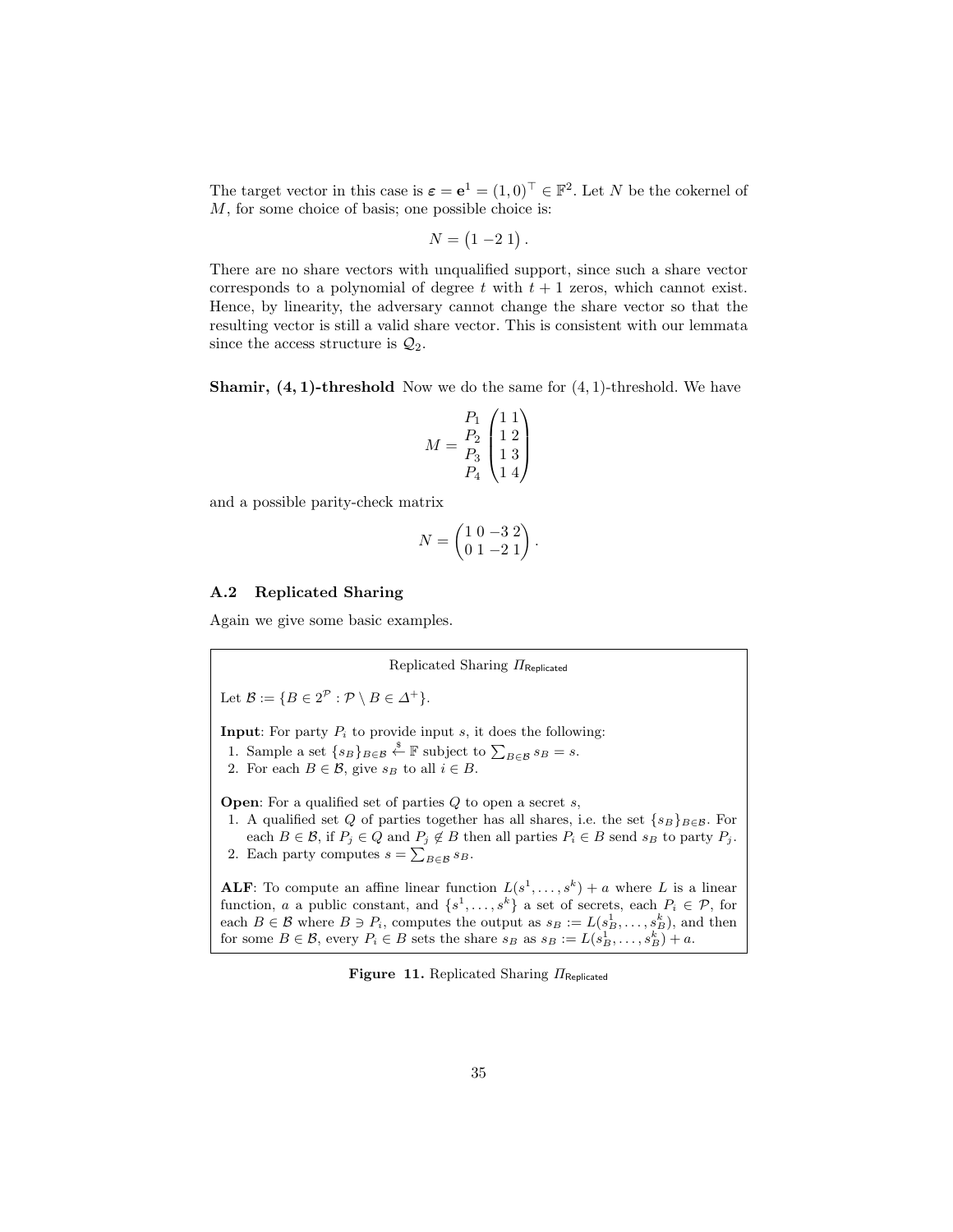The target vector in this case is  $\boldsymbol{\varepsilon} = \mathbf{e}^1 = (1,0)^\top \in \mathbb{F}^2$ . Let N be the cokernel of M, for some choice of basis; one possible choice is:

$$
N = (1 - 2 1).
$$

There are no share vectors with unqualified support, since such a share vector corresponds to a polynomial of degree t with  $t + 1$  zeros, which cannot exist. Hence, by linearity, the adversary cannot change the share vector so that the resulting vector is still a valid share vector. This is consistent with our lemmata since the access structure is  $\mathcal{Q}_2$ .

**Shamir, (4, 1)-threshold** Now we do the same for  $(4, 1)$ -threshold. We have

$$
M = \begin{bmatrix} P_1 & 1 & 1 \\ P_2 & 1 & 2 \\ P_3 & 1 & 3 \\ P_4 & 1 & 4 \end{bmatrix}
$$

and a possible parity-check matrix

$$
N = \begin{pmatrix} 1 & 0 & -3 & 2 \\ 0 & 1 & -2 & 1 \end{pmatrix}
$$

Replicated Sharing ΠReplicated

.

### A.2 Replicated Sharing

Again we give some basic examples.

Let  $\mathcal{B} := \{ B \in 2^{\mathcal{P}} : \mathcal{P} \setminus B \in \Delta^+ \}.$ 

**Input:** For party  $P_i$  to provide input s, it does the following:

- 1. Sample a set  $\{s_B\}_{B \in \mathcal{B}} \overset{\$}{\leftarrow} \mathbb{F}$  subject to  $\sum_{B \in \mathcal{B}} s_B = s$ .
- 2. For each  $B \in \mathcal{B}$ , give  $s_B$  to all  $i \in B$ .

**Open:** For a qualified set of parties  $Q$  to open a secret  $s$ ,

1. A qualified set  $Q$  of parties together has all shares, i.e. the set  $\{s_B\}_{B\in\mathcal{B}}$ . For each  $B \in \mathcal{B}$ , if  $P_j \in Q$  and  $P_j \notin B$  then all parties  $P_i \in B$  send  $s_B$  to party  $P_j$ . 2. Each party computes  $s = \sum_{B \in \mathcal{B}} s_B$ .

**ALF**: To compute an affine linear function  $L(s^1, \ldots, s^k) + a$  where L is a linear function, a a public constant, and  $\{s^1, \ldots, s^k\}$  a set of secrets, each  $P_i \in \mathcal{P}$ , for each  $B \in \mathcal{B}$  where  $B \ni P_i$ , computes the output as  $s_B := L(s_B^1, \ldots, s_B^k)$ , and then for some  $B \in \mathcal{B}$ , every  $P_i \in B$  sets the share  $s_B$  as  $s_B := L(s_B^1, \ldots, s_B^k) + a$ .

<span id="page-34-0"></span>Figure 11. Replicated Sharing  $\Pi_{\mathsf{Replicated}}$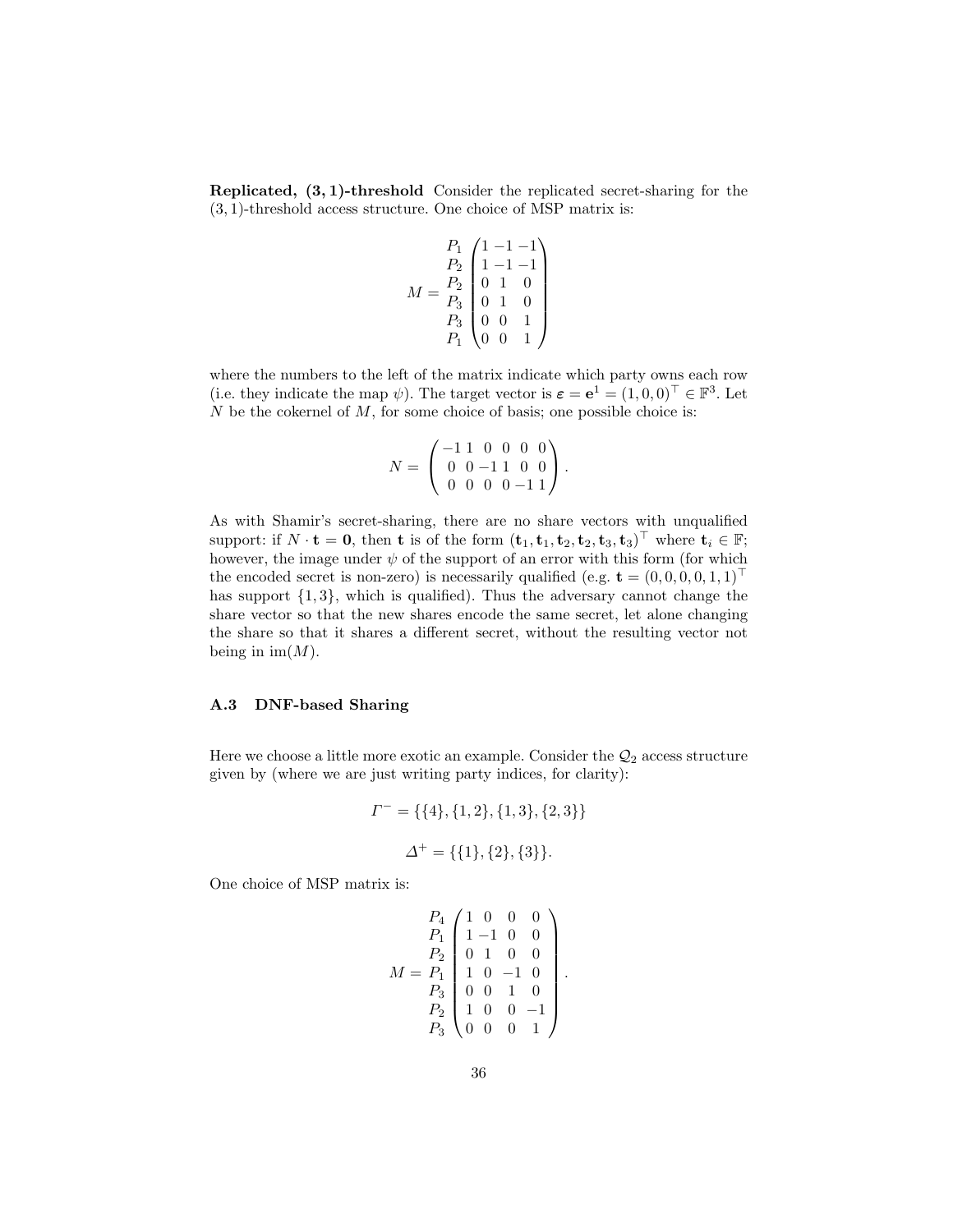Replicated, (3, 1)-threshold Consider the replicated secret-sharing for the (3, 1)-threshold access structure. One choice of MSP matrix is:

$$
M = \begin{bmatrix} P_1 & 1 & -1 & -1 \\ P_2 & 1 & -1 & -1 \\ 0 & 1 & 0 & 0 \\ P_3 & 0 & 1 & 0 \\ 0 & 0 & 1 & 0 \\ P_1 & 0 & 0 & 1 \end{bmatrix}
$$

where the numbers to the left of the matrix indicate which party owns each row (i.e. they indicate the map  $\psi$ ). The target vector is  $\boldsymbol{\varepsilon} = \mathbf{e}^1 = (1, 0, 0)^\top \in \mathbb{F}^3$ . Let  $N$  be the cokernel of  $M$ , for some choice of basis; one possible choice is:

$$
N = \left(\begin{array}{rrr} -1 & 1 & 0 & 0 & 0 & 0 \\ 0 & 0 & -1 & 1 & 0 & 0 \\ 0 & 0 & 0 & 0 & -1 & 1 \end{array}\right).
$$

As with Shamir's secret-sharing, there are no share vectors with unqualified support: if  $N \cdot \mathbf{t} = \mathbf{0}$ , then  $\mathbf{t}$  is of the form  $(\mathbf{t}_1, \mathbf{t}_1, \mathbf{t}_2, \mathbf{t}_3, \mathbf{t}_3)^\top$  where  $\mathbf{t}_i \in \mathbb{F}$ ; however, the image under  $\psi$  of the support of an error with this form (for which the encoded secret is non-zero) is necessarily qualified (e.g.  $\mathbf{t} = (0,0,0,0,1,1)^{\top}$ has support  $\{1,3\}$ , which is qualified). Thus the adversary cannot change the share vector so that the new shares encode the same secret, let alone changing the share so that it shares a different secret, without the resulting vector not being in  $\text{im}(M)$ .

### A.3 DNF-based Sharing

Here we choose a little more exotic an example. Consider the  $\mathcal{Q}_2$  access structure given by (where we are just writing party indices, for clarity):

$$
\Gamma^- = \{ \{4\}, \{1, 2\}, \{1, 3\}, \{2, 3\} \}
$$

$$
\Delta^+ = \{ \{1\}, \{2\}, \{3\} \}.
$$

One choice of MSP matrix is:

$$
M = \begin{bmatrix} P_4 & 1 & 0 & 0 & 0 \\ P_1 & 1 & -1 & 0 & 0 \\ P_2 & 0 & 1 & 0 & 0 \\ 0 & 1 & 0 & 0 & 0 \\ P_3 & 0 & 0 & 1 & 0 \\ P_2 & 1 & 0 & 0 & -1 \\ P_3 & 0 & 0 & 0 & 1 \end{bmatrix}
$$

.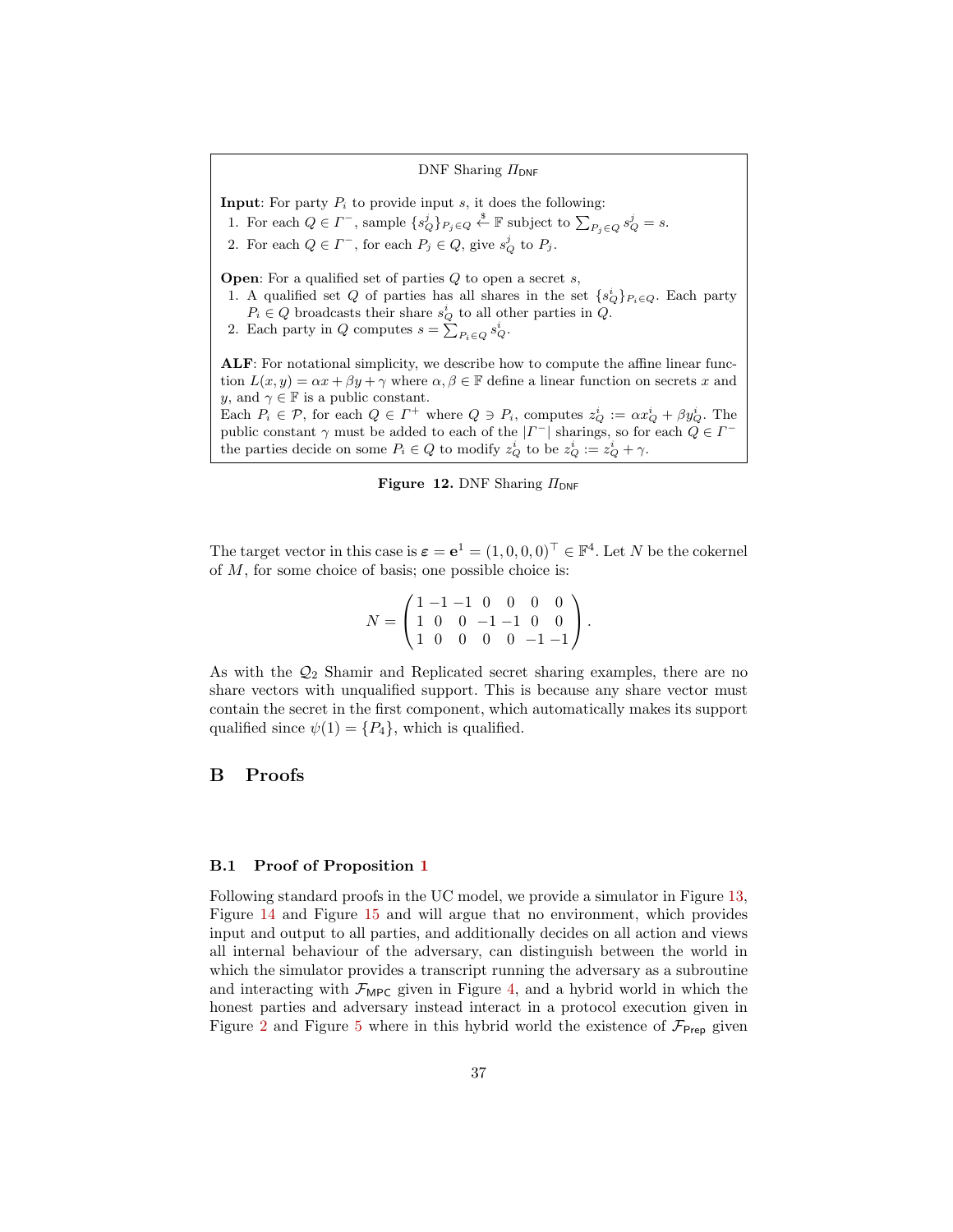DNF Sharing  $\Pi_{\text{DNF}}$ **Input:** For party  $P_i$  to provide input  $s$ , it does the following: 1. For each  $Q \in \Gamma^-$ , sample  $\{s_Q^j\}_{P_j \in Q} \stackrel{\hspace{0.1em}\mathsf{\scriptscriptstyle\$}}{\leftarrow} \mathbb{F}$  subject to  $\sum_{P_j \in Q} s_Q^j = s$ . 2. For each  $Q \in \Gamma^-$ , for each  $P_j \in Q$ , give  $s_Q^j$  to  $P_j$ . **Open:** For a qualified set of parties  $Q$  to open a secret  $s$ , 1. A qualified set Q of parties has all shares in the set  $\{s_Q^i\}_{P_i \in Q}$ . Each party  $P_i \in Q$  broadcasts their share  $s_Q^i$  to all other parties in  $Q$ . 2. Each party in Q computes  $s = \sum_{P_i \in Q} s_Q^i$ . ALF: For notational simplicity, we describe how to compute the affine linear function  $L(x, y) = \alpha x + \beta y + \gamma$  where  $\alpha, \beta \in \mathbb{F}$  define a linear function on secrets x and y, and  $\gamma \in \mathbb{F}$  is a public constant. Each  $P_i \in \mathcal{P}$ , for each  $Q \in \Gamma^+$  where  $Q \ni P_i$ , computes  $z_Q^i := \alpha x_Q^i + \beta y_Q^i$ . The public constant  $\gamma$  must be added to each of the  $|\Gamma^{-}|$  sharings, so for each  $Q \in \Gamma^{-}$ the parties decide on some  $P_i \in Q$  to modify  $z_Q^i$  to be  $z_Q^i := z_Q^i + \gamma$ .



The target vector in this case is  $\boldsymbol{\varepsilon} = \mathbf{e}^1 = (1, 0, 0, 0)^\top \in \mathbb{F}^4$ . Let N be the cokernel of M, for some choice of basis; one possible choice is:

| $N = \begin{pmatrix} 1 & -1 & -1 & 0 & 0 & 0 & 0 \\ 1 & 0 & 0 & -1 & -1 & 0 & 0 \\ 1 & 0 & 0 & 0 & 0 & -1 & -1 \end{pmatrix}.$ |  |  |  |  |
|--------------------------------------------------------------------------------------------------------------------------------|--|--|--|--|

As with the  $\mathcal{Q}_2$  Shamir and Replicated secret sharing examples, there are no share vectors with unqualified support. This is because any share vector must contain the secret in the first component, which automatically makes its support qualified since  $\psi(1) = \{P_4\}$ , which is qualified.

### <span id="page-36-0"></span>B Proofs

### B.1 Proof of Proposition [1](#page-16-2)

Following standard proofs in the UC model, we provide a simulator in Figure [13,](#page-44-0) Figure [14](#page-45-0) and Figure [15](#page-46-0) and will argue that no environment, which provides input and output to all parties, and additionally decides on all action and views all internal behaviour of the adversary, can distinguish between the world in which the simulator provides a transcript running the adversary as a subroutine and interacting with  $\mathcal{F}_{\text{MPC}}$  given in Figure [4,](#page-15-0) and a hybrid world in which the honest parties and adversary instead interact in a protocol execution given in Figure [2](#page-13-0) and Figure [5](#page-28-0) where in this hybrid world the existence of  $\mathcal{F}_{\text{Prep}}$  given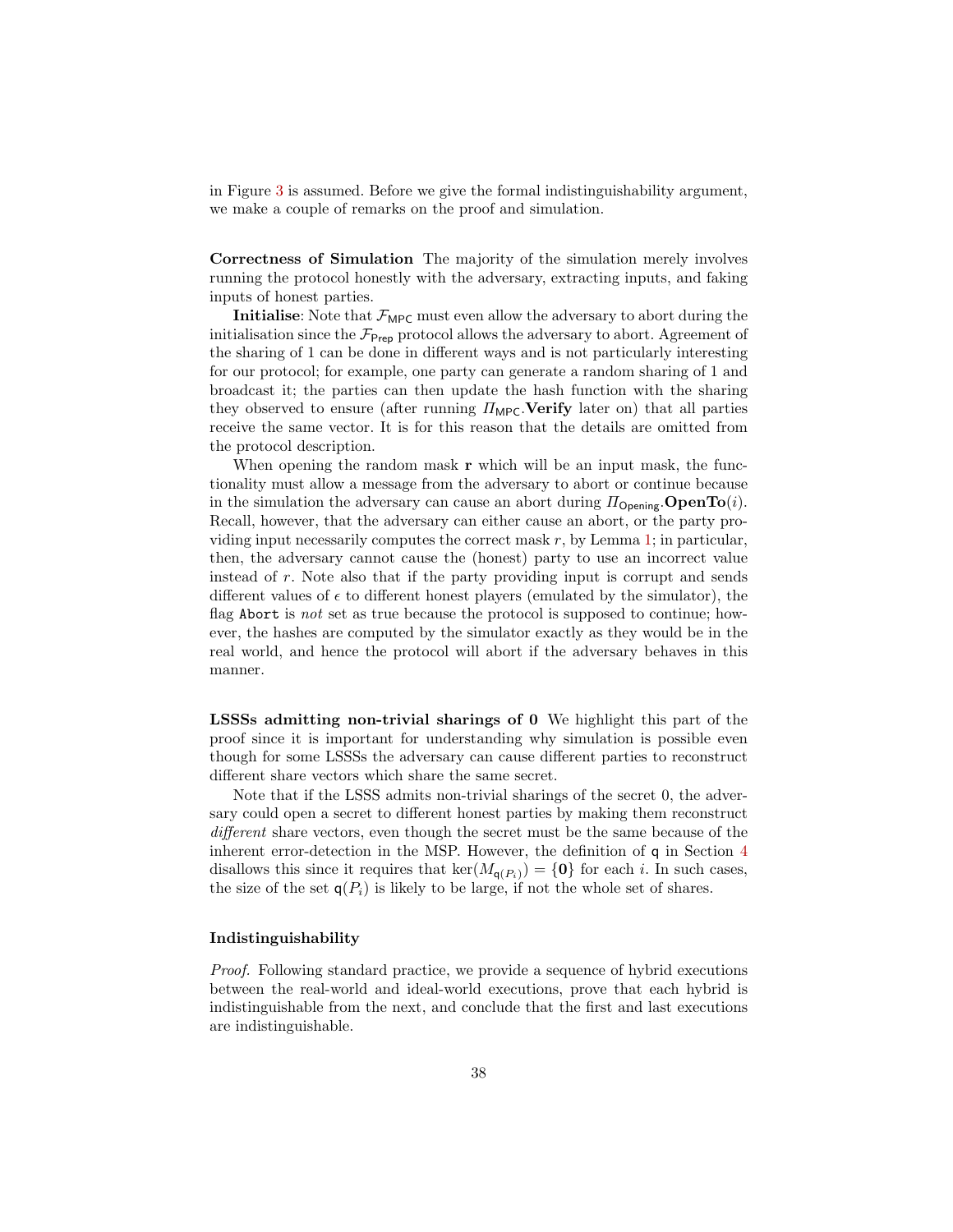in Figure [3](#page-14-0) is assumed. Before we give the formal indistinguishability argument, we make a couple of remarks on the proof and simulation.

Correctness of Simulation The majority of the simulation merely involves running the protocol honestly with the adversary, extracting inputs, and faking inputs of honest parties.

**Initialise:** Note that  $\mathcal{F}_{\text{MPC}}$  must even allow the adversary to abort during the initialisation since the  $\mathcal{F}_{\text{Prep}}$  protocol allows the adversary to abort. Agreement of the sharing of 1 can be done in different ways and is not particularly interesting for our protocol; for example, one party can generate a random sharing of 1 and broadcast it; the parties can then update the hash function with the sharing they observed to ensure (after running  $\Pi_{\text{MPC}}$ . Verify later on) that all parties receive the same vector. It is for this reason that the details are omitted from the protocol description.

When opening the random mask  $\bf{r}$  which will be an input mask, the functionality must allow a message from the adversary to abort or continue because in the simulation the adversary can cause an abort during  $\Pi_{\text{Opening}}$ . **OpenTo**(*i*). Recall, however, that the adversary can either cause an abort, or the party providing input necessarily computes the correct mask  $r$ , by Lemma [1;](#page-10-0) in particular, then, the adversary cannot cause the (honest) party to use an incorrect value instead of r. Note also that if the party providing input is corrupt and sends different values of  $\epsilon$  to different honest players (emulated by the simulator), the flag Abort is not set as true because the protocol is supposed to continue; however, the hashes are computed by the simulator exactly as they would be in the real world, and hence the protocol will abort if the adversary behaves in this manner.

LSSSs admitting non-trivial sharings of 0 We highlight this part of the proof since it is important for understanding why simulation is possible even though for some LSSSs the adversary can cause different parties to reconstruct different share vectors which share the same secret.

Note that if the LSSS admits non-trivial sharings of the secret 0, the adversary could open a secret to different honest parties by making them reconstruct different share vectors, even though the secret must be the same because of the inherent error-detection in the MSP. However, the definition of q in Section [4](#page-11-0) disallows this since it requires that  $\ker(M_{\mathsf{q}(P_i)}) = \{\mathbf{0}\}\$  for each i. In such cases, the size of the set  $q(P_i)$  is likely to be large, if not the whole set of shares.

#### Indistinguishability

Proof. Following standard practice, we provide a sequence of hybrid executions between the real-world and ideal-world executions, prove that each hybrid is indistinguishable from the next, and conclude that the first and last executions are indistinguishable.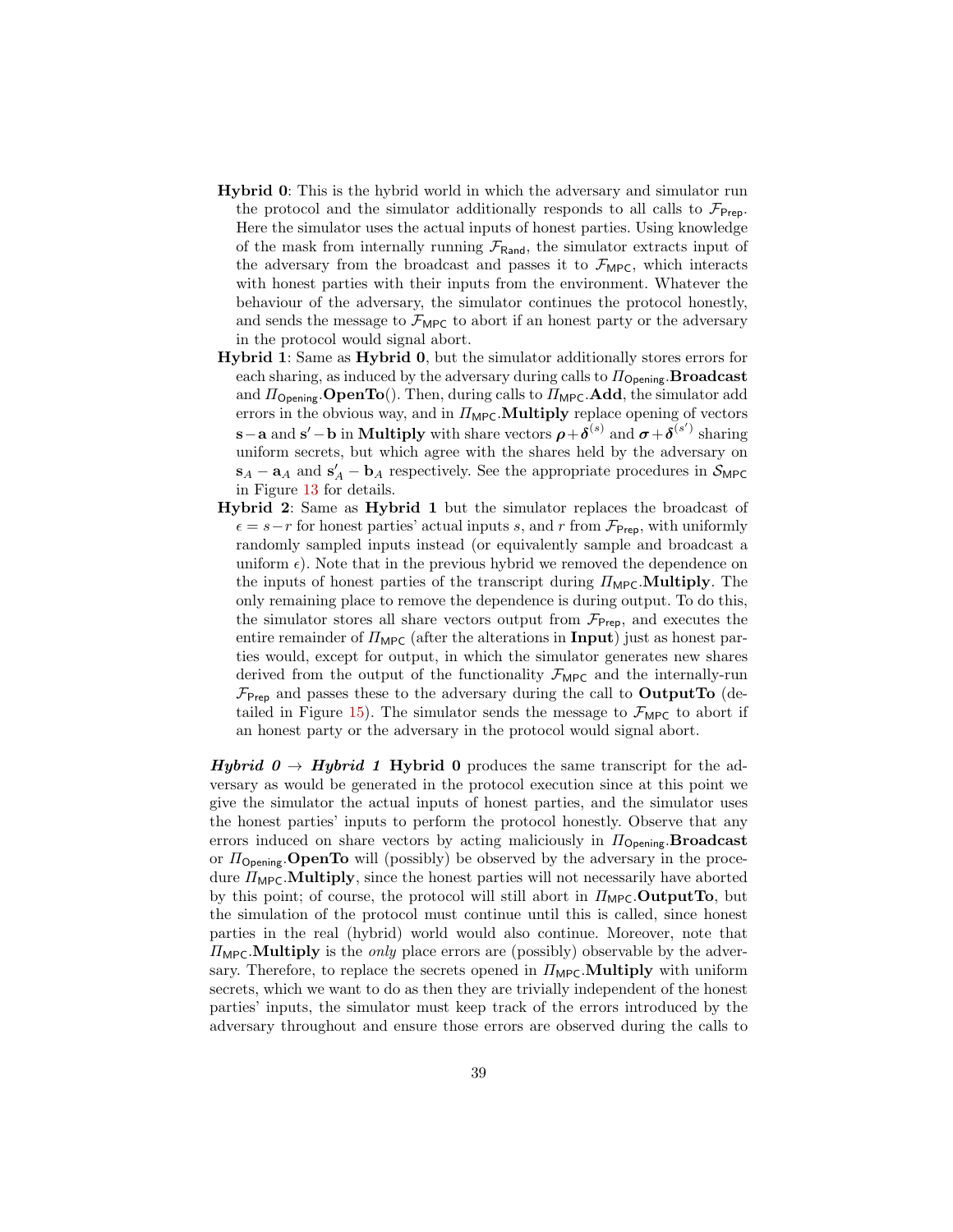- Hybrid 0: This is the hybrid world in which the adversary and simulator run the protocol and the simulator additionally responds to all calls to  $\mathcal{F}_{\text{Prep}}$ . Here the simulator uses the actual inputs of honest parties. Using knowledge of the mask from internally running  $\mathcal{F}_{\text{Rand}}$ , the simulator extracts input of the adversary from the broadcast and passes it to  $\mathcal{F}_{\text{MPC}}$ , which interacts with honest parties with their inputs from the environment. Whatever the behaviour of the adversary, the simulator continues the protocol honestly, and sends the message to  $\mathcal{F}_{\text{MPC}}$  to abort if an honest party or the adversary in the protocol would signal abort.
- Hybrid 1: Same as Hybrid 0, but the simulator additionally stores errors for each sharing, as induced by the adversary during calls to  $\Pi_{\text{Opening}}$ . **Broadcast** and  $\Pi_{\text{Opening}}.\text{OpenTo}()$ . Then, during calls to  $\Pi_{\text{MPC}}.\text{Add},$  the simulator add errors in the obvious way, and in  $\Pi_{\text{MPC}}$ . Multiply replace opening of vectors s – a and s' – b in Multiply with share vectors  $\rho + \delta^{(s)}$  and  $\sigma + \delta^{(s')}$  sharing uniform secrets, but which agree with the shares held by the adversary on  $\mathbf{s}_A - \mathbf{a}_A$  and  $\mathbf{s}'_A - \mathbf{b}_A$  respectively. See the appropriate procedures in  $\mathcal{S}_{\text{MPC}}$ in Figure [13](#page-44-0) for details.
- Hybrid 2: Same as Hybrid 1 but the simulator replaces the broadcast of  $\epsilon = s-r$  for honest parties' actual inputs s, and r from  $\mathcal{F}_{\text{Prep}}$ , with uniformly randomly sampled inputs instead (or equivalently sample and broadcast a uniform  $\epsilon$ ). Note that in the previous hybrid we removed the dependence on the inputs of honest parties of the transcript during  $\Pi_{\text{MPC}}$ . Multiply. The only remaining place to remove the dependence is during output. To do this, the simulator stores all share vectors output from  $\mathcal{F}_{\text{Prep}}$ , and executes the entire remainder of  $\Pi_{\text{MPC}}$  (after the alterations in **Input**) just as honest parties would, except for output, in which the simulator generates new shares derived from the output of the functionality  $\mathcal{F}_{\text{MPC}}$  and the internally-run  $\mathcal{F}_{\text{Prep}}$  and passes these to the adversary during the call to **OutputTo** (de-tailed in Figure [15\)](#page-46-0). The simulator sends the message to  $\mathcal{F}_{\text{MPC}}$  to abort if an honest party or the adversary in the protocol would signal abort.

**Hybrid 0**  $\rightarrow$  **Hybrid 1** Hybrid 0 produces the same transcript for the adversary as would be generated in the protocol execution since at this point we give the simulator the actual inputs of honest parties, and the simulator uses the honest parties' inputs to perform the protocol honestly. Observe that any errors induced on share vectors by acting maliciously in  $\Pi_{\text{Opening}}$ . **Broadcast** or  $\Pi_{\text{Opening}}$ . **OpenTo** will (possibly) be observed by the adversary in the procedure  $\Pi_{\text{MPC}}$ . **Multiply**, since the honest parties will not necessarily have aborted by this point; of course, the protocol will still abort in  $\Pi_{\text{MPC}}$ . **OutputTo**, but the simulation of the protocol must continue until this is called, since honest parties in the real (hybrid) world would also continue. Moreover, note that  $\Pi_{\text{Mpc}}$ . Multiply is the *only* place errors are (possibly) observable by the adversary. Therefore, to replace the secrets opened in  $\Pi_{\text{MPC}}$ . Multiply with uniform secrets, which we want to do as then they are trivially independent of the honest parties' inputs, the simulator must keep track of the errors introduced by the adversary throughout and ensure those errors are observed during the calls to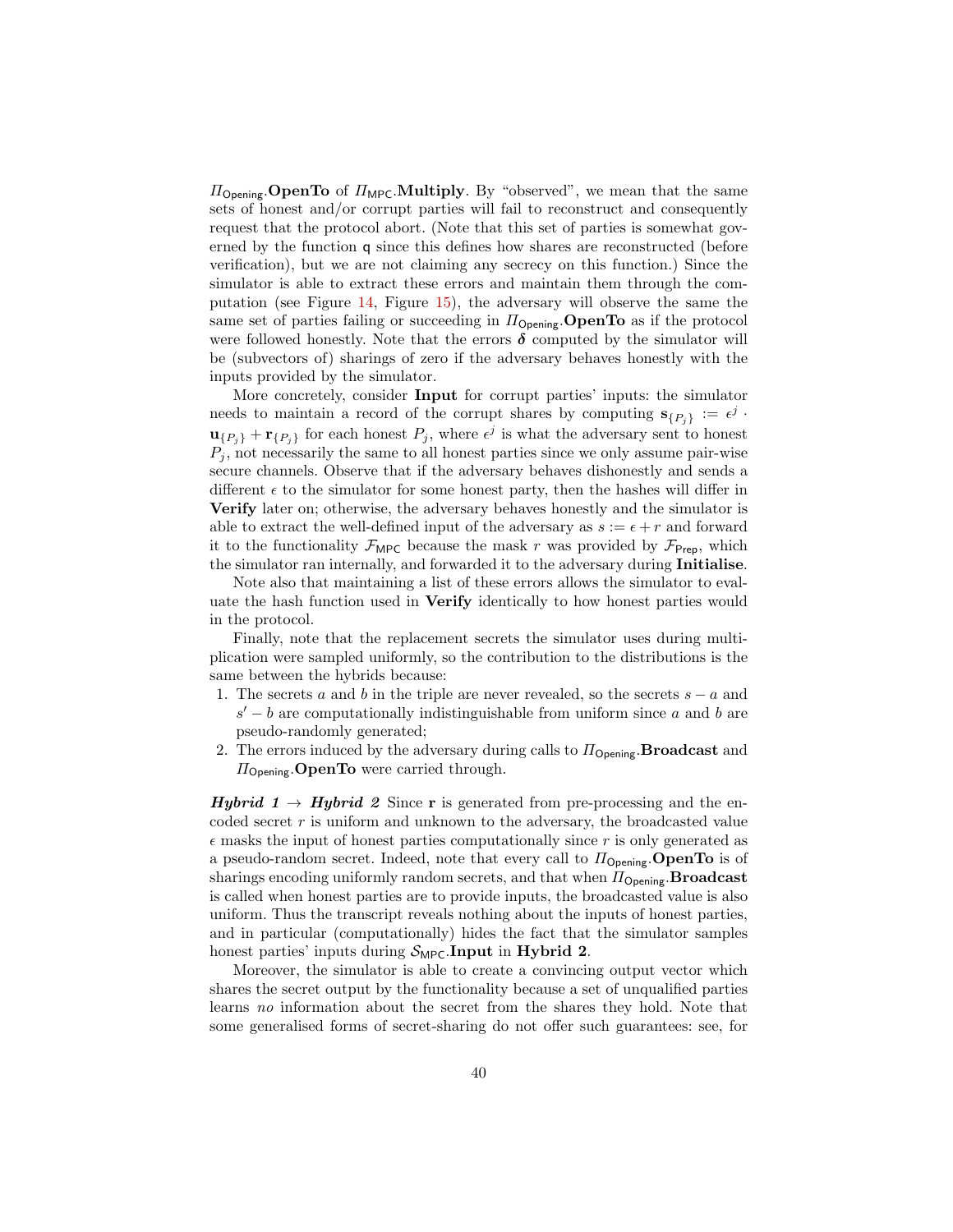$\Pi_{\text{Opening}}$ . **OpenTo** of  $\Pi_{\text{MPC}}$ . **Multiply**. By "observed", we mean that the same sets of honest and/or corrupt parties will fail to reconstruct and consequently request that the protocol abort. (Note that this set of parties is somewhat governed by the function q since this defines how shares are reconstructed (before verification), but we are not claiming any secrecy on this function.) Since the simulator is able to extract these errors and maintain them through the computation (see Figure [14,](#page-45-0) Figure [15\)](#page-46-0), the adversary will observe the same the same set of parties failing or succeeding in  $\Pi_{\text{Opening}}$ . OpenTo as if the protocol were followed honestly. Note that the errors  $\delta$  computed by the simulator will be (subvectors of) sharings of zero if the adversary behaves honestly with the inputs provided by the simulator.

More concretely, consider Input for corrupt parties' inputs: the simulator needs to maintain a record of the corrupt shares by computing  $\mathbf{s}_{\{P_j\}} := \epsilon^j$ .  $\mathbf{u}_{\{P_j\}} + \mathbf{r}_{\{P_j\}}$  for each honest  $P_j$ , where  $\epsilon^j$  is what the adversary sent to honest  $P_i$ , not necessarily the same to all honest parties since we only assume pair-wise secure channels. Observe that if the adversary behaves dishonestly and sends a different  $\epsilon$  to the simulator for some honest party, then the hashes will differ in Verify later on; otherwise, the adversary behaves honestly and the simulator is able to extract the well-defined input of the adversary as  $s := \epsilon + r$  and forward it to the functionality  $\mathcal{F}_{\mathsf{MPC}}$  because the mask r was provided by  $\mathcal{F}_{\mathsf{Prep}}$ , which the simulator ran internally, and forwarded it to the adversary during Initialise.

Note also that maintaining a list of these errors allows the simulator to evaluate the hash function used in Verify identically to how honest parties would in the protocol.

Finally, note that the replacement secrets the simulator uses during multiplication were sampled uniformly, so the contribution to the distributions is the same between the hybrids because:

- 1. The secrets a and b in the triple are never revealed, so the secrets  $s a$  and  $s' - b$  are computationally indistinguishable from uniform since a and b are pseudo-randomly generated;
- 2. The errors induced by the adversary during calls to  $\Pi_{\text{Opening}}$ . **Broadcast** and  $\Pi_{\text{Opening}}$ . **OpenTo** were carried through.

**Hybrid 1**  $\rightarrow$  **Hybrid 2** Since **r** is generated from pre-processing and the encoded secret  $r$  is uniform and unknown to the adversary, the broadcasted value  $\epsilon$  masks the input of honest parties computationally since r is only generated as a pseudo-random secret. Indeed, note that every call to  $\Pi_{\text{Opening}}$ . **OpenTo** is of sharings encoding uniformly random secrets, and that when  $\Pi_{\text{Opening}}$ . **Broadcast** is called when honest parties are to provide inputs, the broadcasted value is also uniform. Thus the transcript reveals nothing about the inputs of honest parties, and in particular (computationally) hides the fact that the simulator samples honest parties' inputs during  $S_{\text{MPC}}$ . Input in Hybrid 2.

Moreover, the simulator is able to create a convincing output vector which shares the secret output by the functionality because a set of unqualified parties learns no information about the secret from the shares they hold. Note that some generalised forms of secret-sharing do not offer such guarantees: see, for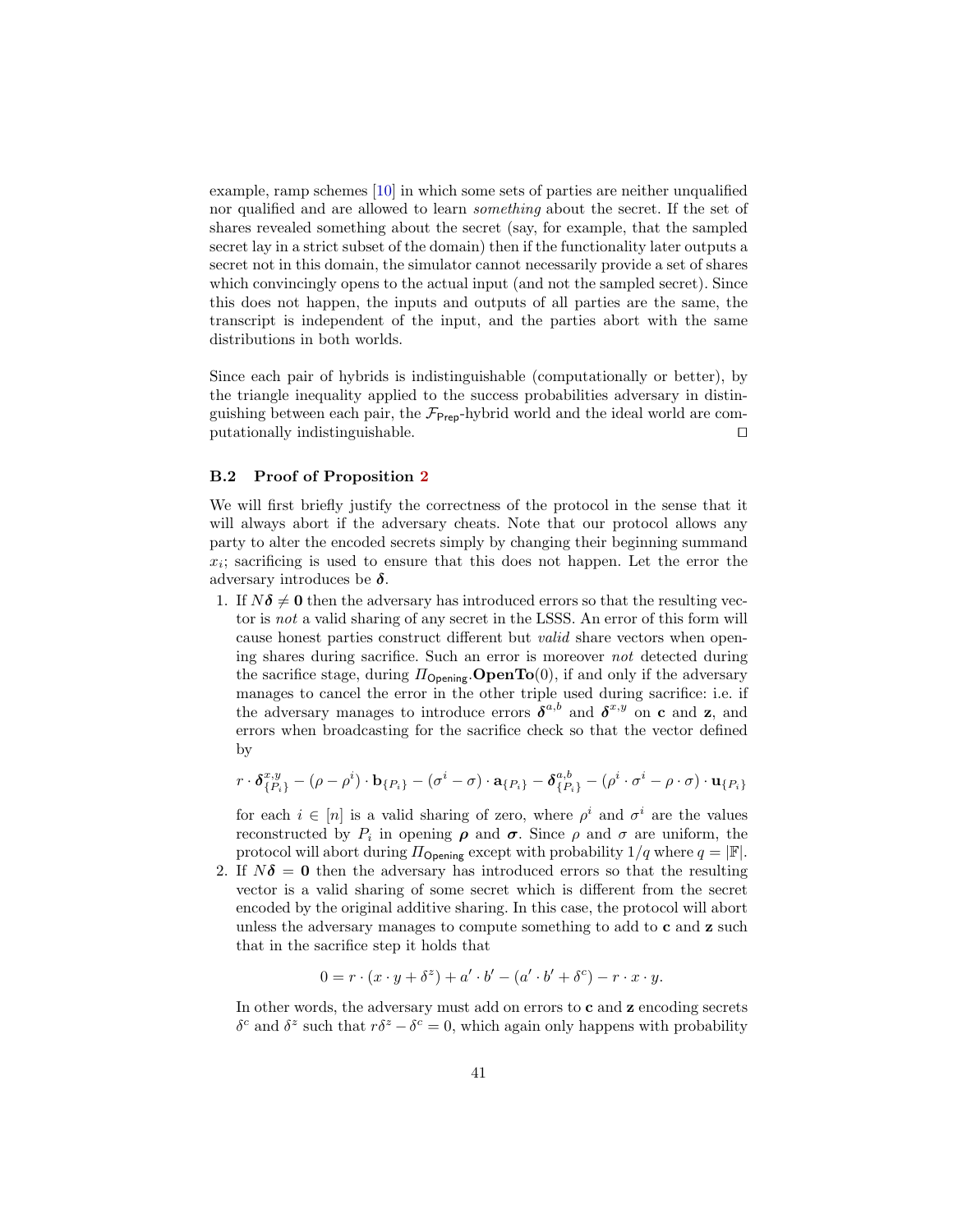example, ramp schemes [\[10\]](#page-25-16) in which some sets of parties are neither unqualified nor qualified and are allowed to learn something about the secret. If the set of shares revealed something about the secret (say, for example, that the sampled secret lay in a strict subset of the domain) then if the functionality later outputs a secret not in this domain, the simulator cannot necessarily provide a set of shares which convincingly opens to the actual input (and not the sampled secret). Since this does not happen, the inputs and outputs of all parties are the same, the transcript is independent of the input, and the parties abort with the same distributions in both worlds.

Since each pair of hybrids is indistinguishable (computationally or better), by the triangle inequality applied to the success probabilities adversary in distinguishing between each pair, the  $\mathcal{F}_{\text{Preo}}$ -hybrid world and the ideal world are com $p$ utationally indistinguishable.  $\Box$ 

### B.2 Proof of Proposition [2](#page-22-0)

We will first briefly justify the correctness of the protocol in the sense that it will always abort if the adversary cheats. Note that our protocol allows any party to alter the encoded secrets simply by changing their beginning summand  $x_i$ ; sacrificing is used to ensure that this does not happen. Let the error the adversary introduces be  $\delta$ .

1. If  $N\delta \neq 0$  then the adversary has introduced errors so that the resulting vector is not a valid sharing of any secret in the LSSS. An error of this form will cause honest parties construct different but valid share vectors when opening shares during sacrifice. Such an error is moreover not detected during the sacrifice stage, during  $\Pi_{\text{Opening}}$ . **OpenTo**(0), if and only if the adversary manages to cancel the error in the other triple used during sacrifice: i.e. if the adversary manages to introduce errors  $\delta^{a,b}$  and  $\delta^{x,y}$  on c and z, and errors when broadcasting for the sacrifice check so that the vector defined by

$$
r \cdot \boldsymbol{\delta}_{\{P_i\}}^{x,y} - (\rho - \rho^i) \cdot \mathbf{b}_{\{P_i\}} - (\sigma^i - \sigma) \cdot \mathbf{a}_{\{P_i\}} - \boldsymbol{\delta}_{\{P_i\}}^{a,b} - (\rho^i \cdot \sigma^i - \rho \cdot \sigma) \cdot \mathbf{u}_{\{P_i\}}
$$

for each  $i \in [n]$  is a valid sharing of zero, where  $\rho^i$  and  $\sigma^i$  are the values reconstructed by  $P_i$  in opening  $\rho$  and  $\sigma$ . Since  $\rho$  and  $\sigma$  are uniform, the protocol will abort during  $\Pi_{\text{Opening}}$  except with probability  $1/q$  where  $q = |\mathbb{F}|$ .

2. If  $N\delta = 0$  then the adversary has introduced errors so that the resulting vector is a valid sharing of some secret which is different from the secret encoded by the original additive sharing. In this case, the protocol will abort unless the adversary manages to compute something to add to c and z such that in the sacrifice step it holds that

$$
0 = r \cdot (x \cdot y + \delta^z) + a' \cdot b' - (a' \cdot b' + \delta^c) - r \cdot x \cdot y.
$$

In other words, the adversary must add on errors to c and z encoding secrets δ<sup>c</sup> and δ<sup>z</sup> such that  $rδ^z - δ^c = 0$ , which again only happens with probability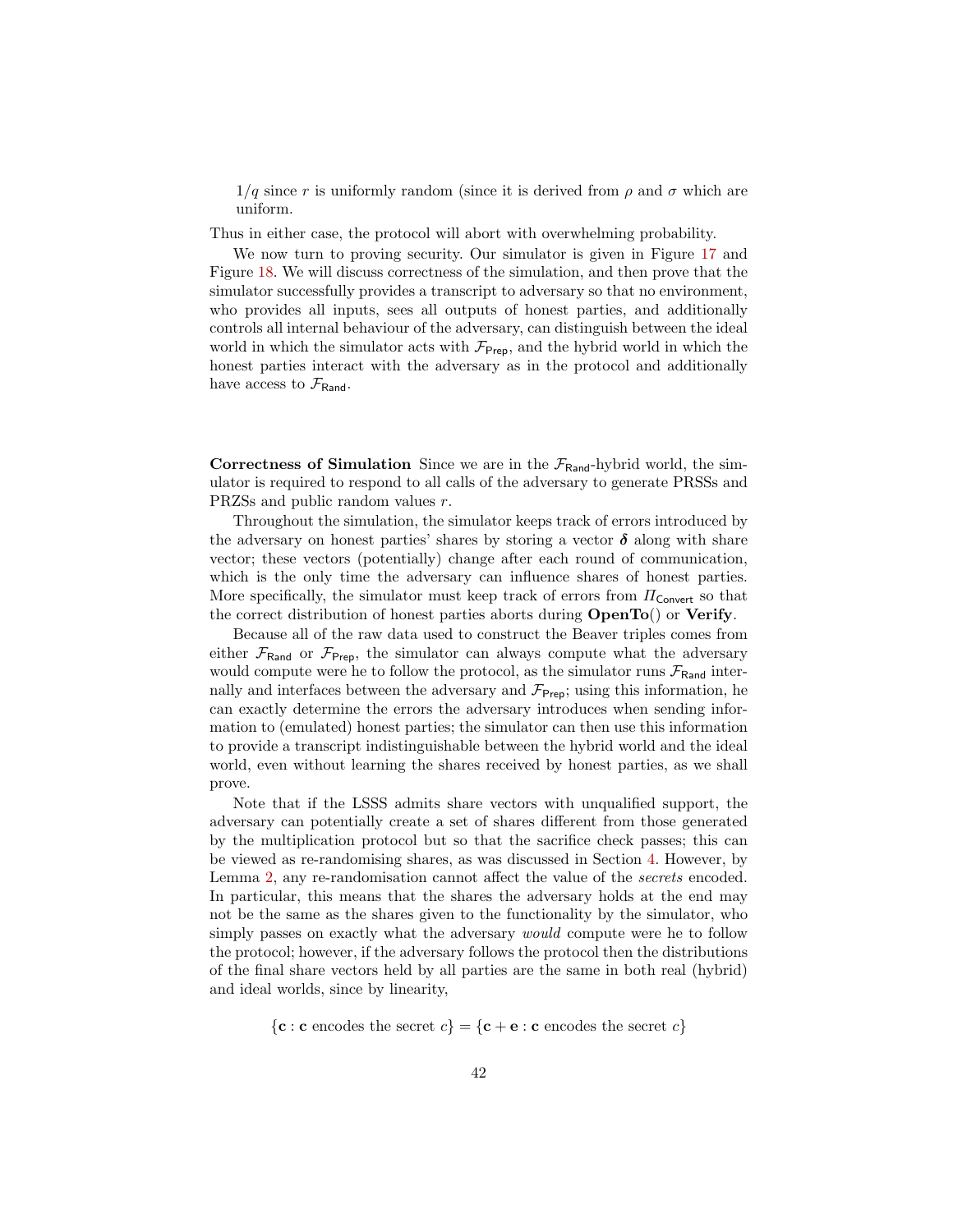$1/q$  since r is uniformly random (since it is derived from  $\rho$  and  $\sigma$  which are uniform.

Thus in either case, the protocol will abort with overwhelming probability.

We now turn to proving security. Our simulator is given in Figure [17](#page-48-0) and Figure [18.](#page-49-0) We will discuss correctness of the simulation, and then prove that the simulator successfully provides a transcript to adversary so that no environment, who provides all inputs, sees all outputs of honest parties, and additionally controls all internal behaviour of the adversary, can distinguish between the ideal world in which the simulator acts with  $\mathcal{F}_{\text{Prep}}$ , and the hybrid world in which the honest parties interact with the adversary as in the protocol and additionally have access to  $\mathcal{F}_{\text{Rand}}$ .

Correctness of Simulation Since we are in the  $\mathcal{F}_{\text{Rand}}$ -hybrid world, the simulator is required to respond to all calls of the adversary to generate PRSSs and PRZSs and public random values r.

Throughout the simulation, the simulator keeps track of errors introduced by the adversary on honest parties' shares by storing a vector  $\delta$  along with share vector; these vectors (potentially) change after each round of communication, which is the only time the adversary can influence shares of honest parties. More specifically, the simulator must keep track of errors from  $\Pi_{\text{Convert}}$  so that the correct distribution of honest parties aborts during OpenTo() or Verify.

Because all of the raw data used to construct the Beaver triples comes from either  $\mathcal{F}_{\text{Rand}}$  or  $\mathcal{F}_{\text{Prep}}$ , the simulator can always compute what the adversary would compute were he to follow the protocol, as the simulator runs  $\mathcal{F}_{\text{Rand}}$  internally and interfaces between the adversary and  $\mathcal{F}_{\text{Prep}}$ ; using this information, he can exactly determine the errors the adversary introduces when sending information to (emulated) honest parties; the simulator can then use this information to provide a transcript indistinguishable between the hybrid world and the ideal world, even without learning the shares received by honest parties, as we shall prove.

Note that if the LSSS admits share vectors with unqualified support, the adversary can potentially create a set of shares different from those generated by the multiplication protocol but so that the sacrifice check passes; this can be viewed as re-randomising shares, as was discussed in Section [4.](#page-11-0) However, by Lemma [2,](#page-10-1) any re-randomisation cannot affect the value of the *secrets* encoded. In particular, this means that the shares the adversary holds at the end may not be the same as the shares given to the functionality by the simulator, who simply passes on exactly what the adversary *would* compute were he to follow the protocol; however, if the adversary follows the protocol then the distributions of the final share vectors held by all parties are the same in both real (hybrid) and ideal worlds, since by linearity,

 ${c : c \text{ encodes the secret } c} = {c + e : c \text{ encodes the secret } c}$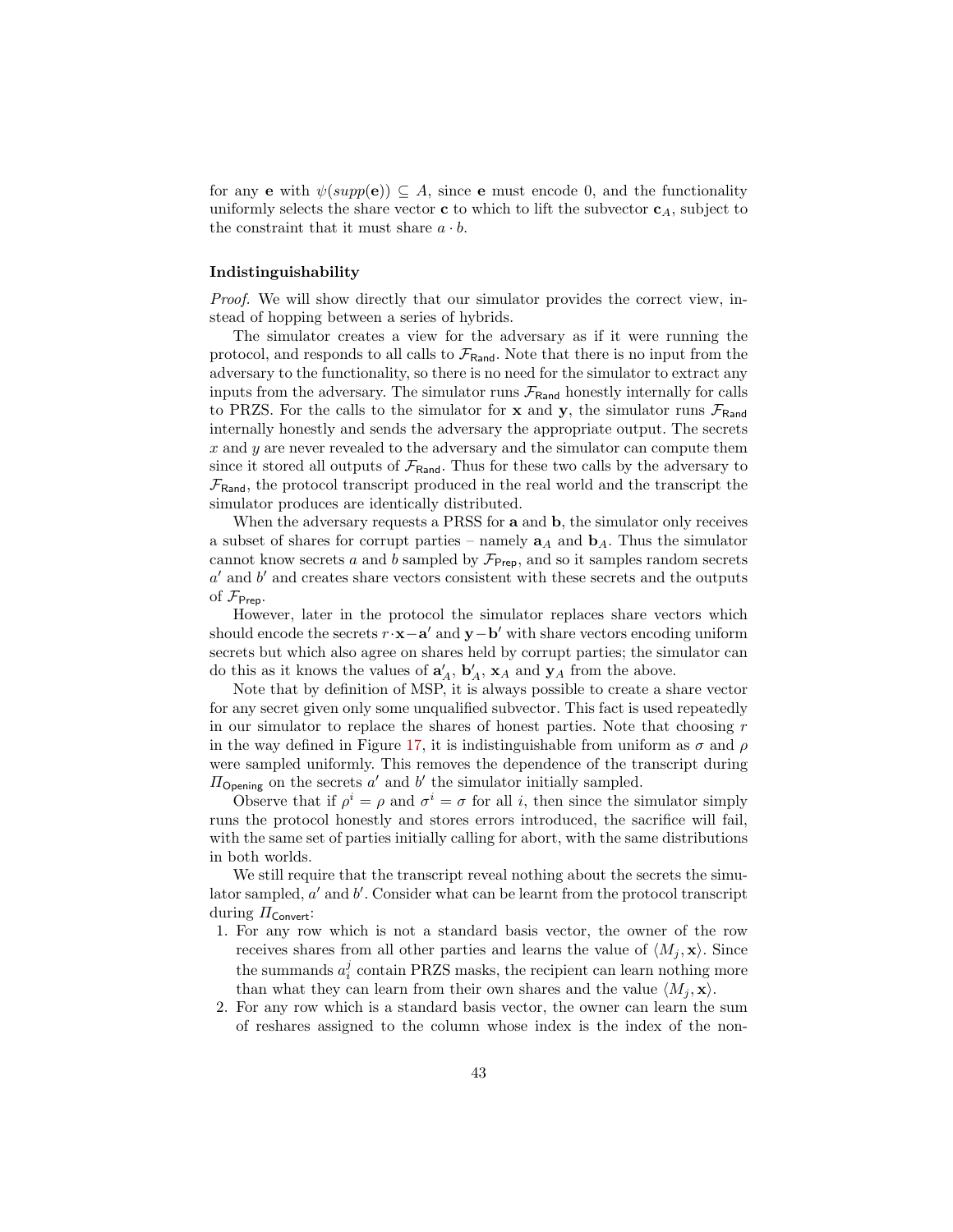for any **e** with  $\psi(supp(e)) \subseteq A$ , since **e** must encode 0, and the functionality uniformly selects the share vector **c** to which to lift the subvector  $c_A$ , subject to the constraint that it must share  $a \cdot b$ .

### Indistinguishability

Proof. We will show directly that our simulator provides the correct view, instead of hopping between a series of hybrids.

The simulator creates a view for the adversary as if it were running the protocol, and responds to all calls to  $\mathcal{F}_{\text{Rand}}$ . Note that there is no input from the adversary to the functionality, so there is no need for the simulator to extract any inputs from the adversary. The simulator runs  $\mathcal{F}_{\text{Rand}}$  honestly internally for calls to PRZS. For the calls to the simulator for  $x$  and  $y$ , the simulator runs  $\mathcal{F}_{\text{Rand}}$ internally honestly and sends the adversary the appropriate output. The secrets x and y are never revealed to the adversary and the simulator can compute them since it stored all outputs of  $\mathcal{F}_{\text{Rand}}$ . Thus for these two calls by the adversary to  $\mathcal{F}_{\text{Rand}}$ , the protocol transcript produced in the real world and the transcript the simulator produces are identically distributed.

When the adversary requests a PRSS for **a** and **b**, the simulator only receives a subset of shares for corrupt parties – namely  $a_A$  and  $b_A$ . Thus the simulator cannot know secrets a and b sampled by  $\mathcal{F}_{\text{Prep}}$ , and so it samples random secrets  $a'$  and  $b'$  and creates share vectors consistent with these secrets and the outputs of  $\mathcal{F}_{\mathsf{Prep}}$ .

However, later in the protocol the simulator replaces share vectors which should encode the secrets  $r \cdot \mathbf{x} - \mathbf{a}'$  and  $\mathbf{y} - \mathbf{b}'$  with share vectors encoding uniform secrets but which also agree on shares held by corrupt parties; the simulator can do this as it knows the values of  $\mathbf{a}'_A$ ,  $\mathbf{b}'_A$ ,  $\mathbf{x}_A$  and  $\mathbf{y}_A$  from the above.

Note that by definition of MSP, it is always possible to create a share vector for any secret given only some unqualified subvector. This fact is used repeatedly in our simulator to replace the shares of honest parties. Note that choosing  $r$ in the way defined in Figure [17,](#page-48-0) it is indistinguishable from uniform as  $\sigma$  and  $\rho$ were sampled uniformly. This removes the dependence of the transcript during  $\Pi_{\text{Opening}}$  on the secrets  $a'$  and  $b'$  the simulator initially sampled.

Observe that if  $\rho^i = \rho$  and  $\sigma^i = \sigma$  for all i, then since the simulator simply runs the protocol honestly and stores errors introduced, the sacrifice will fail, with the same set of parties initially calling for abort, with the same distributions in both worlds.

We still require that the transcript reveal nothing about the secrets the simulator sampled,  $a'$  and  $b'$ . Consider what can be learnt from the protocol transcript during  $\Pi_{\mathsf{Convert}}$ :

- 1. For any row which is not a standard basis vector, the owner of the row receives shares from all other parties and learns the value of  $\langle M_j, \mathbf{x} \rangle$ . Since the summands  $a_i^j$  contain PRZS masks, the recipient can learn nothing more than what they can learn from their own shares and the value  $\langle M_i, \mathbf{x} \rangle$ .
- 2. For any row which is a standard basis vector, the owner can learn the sum of reshares assigned to the column whose index is the index of the non-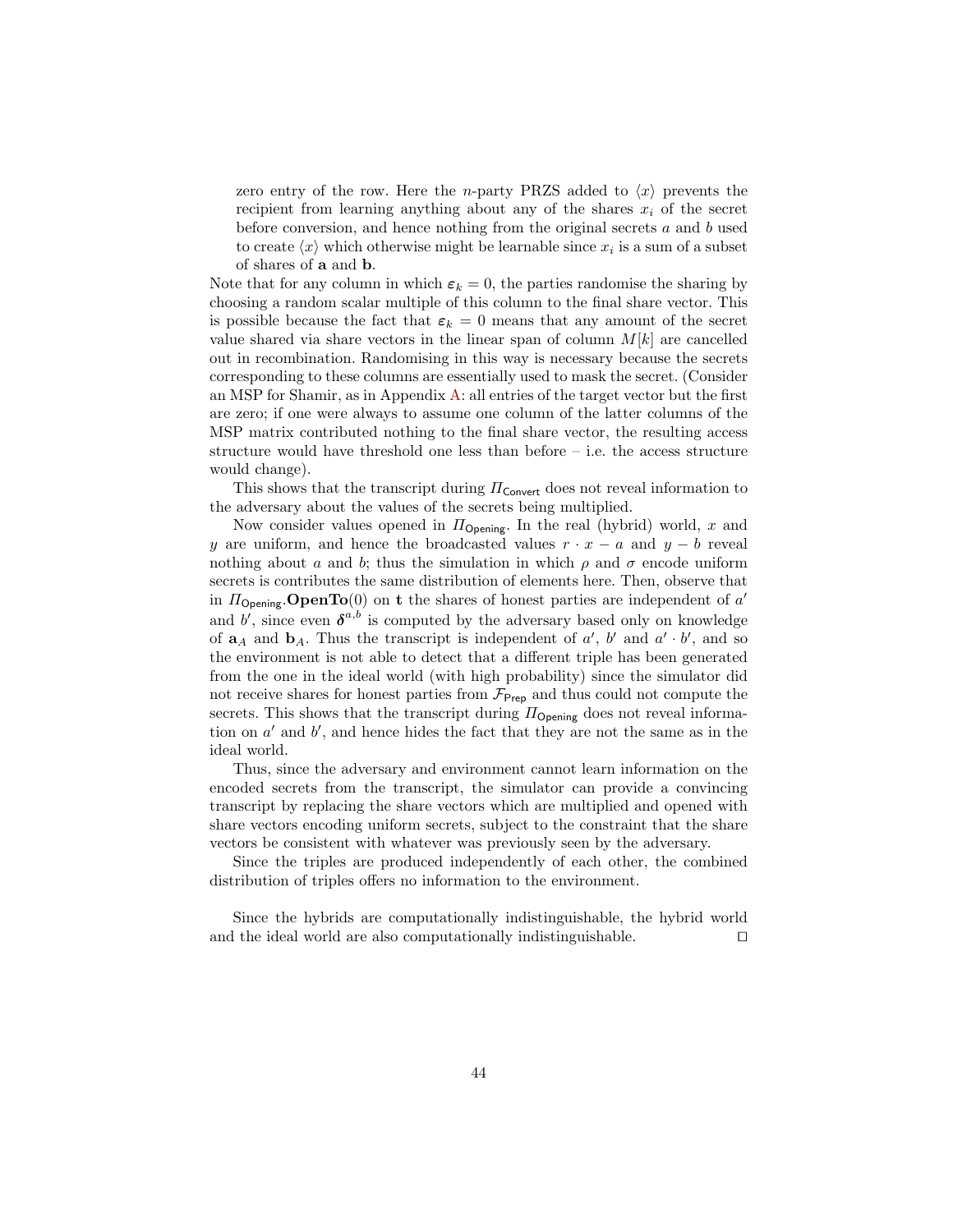zero entry of the row. Here the *n*-party PRZS added to  $\langle x \rangle$  prevents the recipient from learning anything about any of the shares  $x_i$  of the secret before conversion, and hence nothing from the original secrets  $a$  and  $b$  used to create  $\langle x \rangle$  which otherwise might be learnable since  $x_i$  is a sum of a subset of shares of a and b.

Note that for any column in which  $\varepsilon_k = 0$ , the parties randomise the sharing by choosing a random scalar multiple of this column to the final share vector. This is possible because the fact that  $\varepsilon_k = 0$  means that any amount of the secret value shared via share vectors in the linear span of column  $M[k]$  are cancelled out in recombination. Randomising in this way is necessary because the secrets corresponding to these columns are essentially used to mask the secret. (Consider an MSP for Shamir, as in Appendix [A:](#page-33-0) all entries of the target vector but the first are zero; if one were always to assume one column of the latter columns of the MSP matrix contributed nothing to the final share vector, the resulting access structure would have threshold one less than before – i.e. the access structure would change).

This shows that the transcript during  $\Pi_{\text{Convert}}$  does not reveal information to the adversary about the values of the secrets being multiplied.

Now consider values opened in  $\Pi_{\text{Opening}}$ . In the real (hybrid) world, x and y are uniform, and hence the broadcasted values  $r \cdot x - a$  and  $y - b$  reveal nothing about a and b; thus the simulation in which  $\rho$  and  $\sigma$  encode uniform secrets is contributes the same distribution of elements here. Then, observe that in  $\Pi_{\text{Opening}}$ . **OpenTo**(0) on t the shares of honest parties are independent of a' and b', since even  $\boldsymbol{\delta}^{a,b}$  is computed by the adversary based only on knowledge of  $a_A$  and  $b_A$ . Thus the transcript is independent of a', b' and a' · b', and so the environment is not able to detect that a different triple has been generated from the one in the ideal world (with high probability) since the simulator did not receive shares for honest parties from  $\mathcal{F}_{\text{Prep}}$  and thus could not compute the secrets. This shows that the transcript during  $\Pi_{\text{Opening}}$  does not reveal information on  $a'$  and  $b'$ , and hence hides the fact that they are not the same as in the ideal world.

Thus, since the adversary and environment cannot learn information on the encoded secrets from the transcript, the simulator can provide a convincing transcript by replacing the share vectors which are multiplied and opened with share vectors encoding uniform secrets, subject to the constraint that the share vectors be consistent with whatever was previously seen by the adversary.

Since the triples are produced independently of each other, the combined distribution of triples offers no information to the environment.

Since the hybrids are computationally indistinguishable, the hybrid world and the ideal world are also computationally indistinguishable.  $\Box$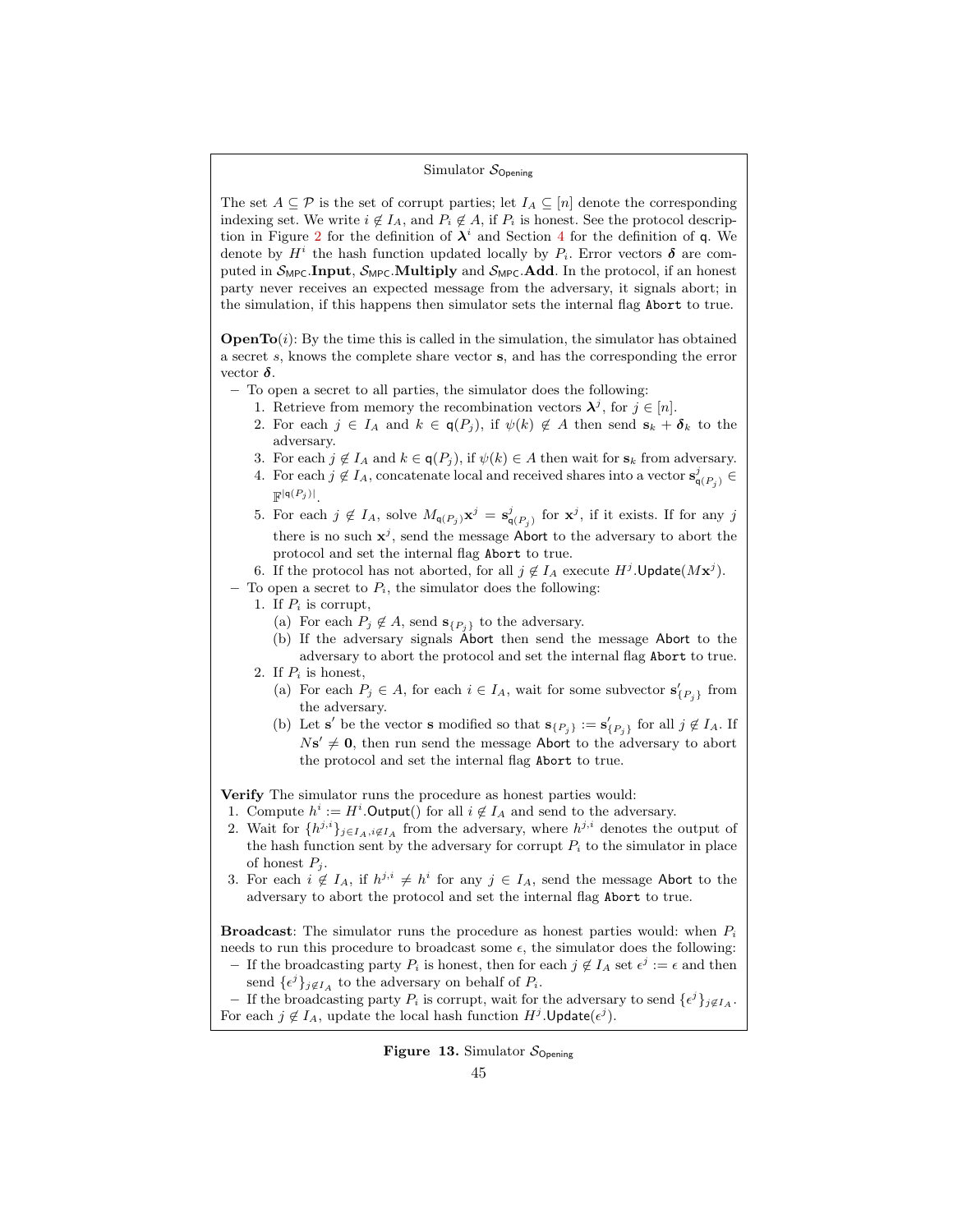### Simulator  $S_{\text{Opening}}$

The set  $A \subseteq \mathcal{P}$  is the set of corrupt parties; let  $I_A \subseteq [n]$  denote the corresponding indexing set. We write  $i \notin I_A$ , and  $P_i \notin A$ , if  $P_i$  is honest. See the protocol descrip-tion in Figure [2](#page-13-0) for the definition of  $\lambda^i$  and Section [4](#page-11-0) for the definition of q. We denote by  $H^i$  the hash function updated locally by  $P_i$ . Error vectors  $\delta$  are computed in  $S_{\text{MPC}}$ . Input,  $S_{\text{MPC}}$ . Multiply and  $S_{\text{MPC}}$ . Add. In the protocol, if an honest party never receives an expected message from the adversary, it signals abort; in the simulation, if this happens then simulator sets the internal flag Abort to true.

**OpenTo** $(i)$ : By the time this is called in the simulation, the simulator has obtained a secret s, knows the complete share vector s, and has the corresponding the error vector  $\delta$ .

- To open a secret to all parties, the simulator does the following:
	- 1. Retrieve from memory the recombination vectors  $\lambda^{j}$ , for  $j \in [n]$ .
	- 2. For each  $j \in I_A$  and  $k \in \mathsf{q}(P_j)$ , if  $\psi(k) \notin A$  then send  $\mathbf{s}_k + \boldsymbol{\delta}_k$  to the adversary.
	- 3. For each  $j \notin I_A$  and  $k \in \mathsf{q}(P_j)$ , if  $\psi(k) \in A$  then wait for  $s_k$  from adversary.
	- 4. For each  $j \notin I_A$ , concatenate local and received shares into a vector  $\mathbf{s}_{\mathsf{q}(P_j)}^j \in$  $\mathbb{F}^{|\mathsf{q}(P_j)|}.$
	- 5. For each  $j \notin I_A$ , solve  $M_{\mathsf{q}(P_j)} \mathbf{x}^j = \mathbf{s}_{\mathsf{q}(P_j)}^j$  for  $\mathbf{x}^j$ , if it exists. If for any j there is no such  $x^j$ , send the message Abort to the adversary to abort the protocol and set the internal flag Abort to true.

6. If the protocol has not aborted, for all  $j \notin I_A$  execute  $H^j$ . Update $(Mx^j)$ .

- To open a secret to  $P_i$ , the simulator does the following:
	- 1. If  $P_i$  is corrupt,
		- (a) For each  $P_j \notin A$ , send  $\mathbf{s}_{\{P_j\}}$  to the adversary.
		- (b) If the adversary signals Abort then send the message Abort to the adversary to abort the protocol and set the internal flag Abort to true.
	- 2. If  $P_i$  is honest,
		- (a) For each  $P_j \in A$ , for each  $i \in I_A$ , wait for some subvector  $\mathbf{s}'_{\{P_j\}}$  from the adversary.
		- (b) Let s' be the vector s modified so that  $\mathbf{s}_{\{P_j\}} := \mathbf{s}'_{\{P_j\}}$  for all  $j \notin I_A$ . If  $N s' \neq 0$ , then run send the message Abort to the adversary to abort the protocol and set the internal flag Abort to true.

Verify The simulator runs the procedure as honest parties would:

- 1. Compute  $h^i := H^i$ . Output() for all  $i \notin I_A$  and send to the adversary.
- 2. Wait for  $\{h^{j,i}\}_{j\in I_A,i\notin I_A}$  from the adversary, where  $h^{j,i}$  denotes the output of the hash function sent by the adversary for corrupt  $P_i$  to the simulator in place of honest  $P_j$ .
- 3. For each  $i \notin I_A$ , if  $h^{j,i} \neq h^i$  for any  $j \in I_A$ , send the message Abort to the adversary to abort the protocol and set the internal flag Abort to true.

**Broadcast:** The simulator runs the procedure as honest parties would: when  $P_i$ needs to run this procedure to broadcast some  $\epsilon$ , the simulator does the following:

– If the broadcasting party  $P_i$  is honest, then for each  $j \notin I_A$  set  $ε^j := ε$  and then send  $\{\epsilon^j\}_{j \notin I_A}$  to the adversary on behalf of  $P_i$ .

− If the broadcasting party  $P_i$  is corrupt, wait for the adversary to send  $\{e^j\}_{j \notin I_A}$ . For each  $j \notin I_A$ , update the local hash function  $H^j$ . Update $(\epsilon^j)$ .

# <span id="page-44-0"></span>**Figure 13.** Simulator  $S_{\text{Onening}}$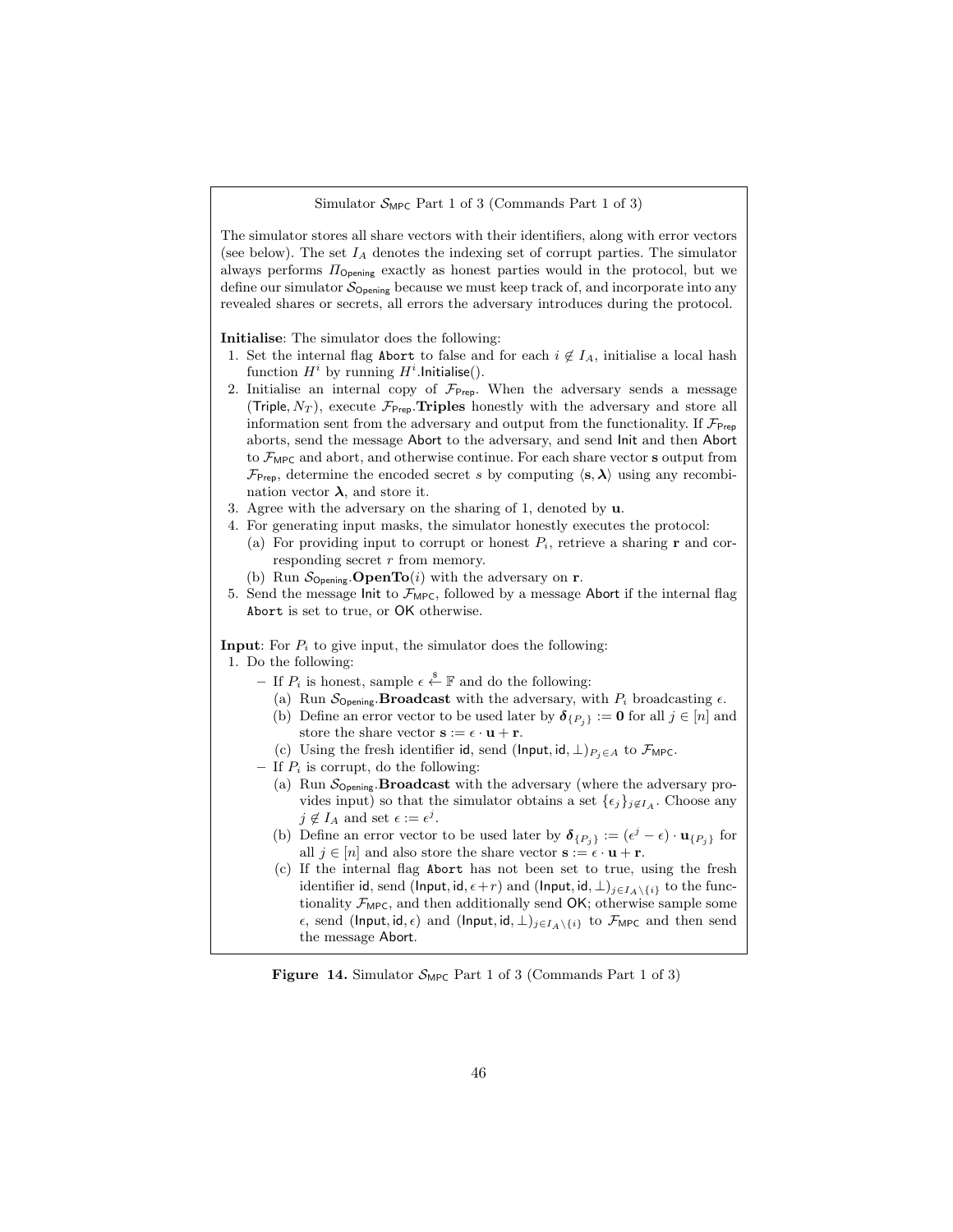Simulator  $S_{\text{MPC}}$  Part 1 of 3 (Commands Part 1 of 3)

The simulator stores all share vectors with their identifiers, along with error vectors (see below). The set  $I_A$  denotes the indexing set of corrupt parties. The simulator always performs  $\Pi_{\text{Opening}}$  exactly as honest parties would in the protocol, but we define our simulator  $S_{\text{Opening}}$  because we must keep track of, and incorporate into any revealed shares or secrets, all errors the adversary introduces during the protocol.

Initialise: The simulator does the following:

- 1. Set the internal flag Abort to false and for each  $i \notin I_A$ , initialise a local hash function  $H^i$  by running  $H^i$ . Initialise().
- 2. Initialise an internal copy of  $\mathcal{F}_{\text{Prep}}$ . When the adversary sends a message (Triple,  $N_T$ ), execute  $\mathcal{F}_{\text{Prep}}$ . Triples honestly with the adversary and store all information sent from the adversary and output from the functionality. If  $\mathcal{F}_{\mathsf{Prep}}$ aborts, send the message Abort to the adversary, and send Init and then Abort to  $\mathcal{F}_{\text{MPC}}$  and abort, and otherwise continue. For each share vector s output from  $\mathcal{F}_{\text{Prep}}$ , determine the encoded secret s by computing  $\langle s, \lambda \rangle$  using any recombination vector  $\lambda$ , and store it.
- 3. Agree with the adversary on the sharing of 1, denoted by u.
- 4. For generating input masks, the simulator honestly executes the protocol:
	- (a) For providing input to corrupt or honest  $P_i$ , retrieve a sharing **r** and corresponding secret r from memory.
	- (b) Run  $\mathcal{S}_{\text{Opening}}$ . **OpenTo**(*i*) with the adversary on **r**.
- 5. Send the message Init to  $\mathcal{F}_{\text{MPC}}$ , followed by a message Abort if the internal flag Abort is set to true, or OK otherwise.

**Input:** For  $P_i$  to give input, the simulator does the following:

1. Do the following:

- If  $P_i$  is honest, sample  $\epsilon \overset{\$}{\leftarrow}$  **F** and do the following:
	- (a) Run  $S_{\text{Opening}}$ . **Broadcast** with the adversary, with  $P_i$  broadcasting  $\epsilon$ .
	- (b) Define an error vector to be used later by  $\delta_{\{P_i\}} := 0$  for all  $j \in [n]$  and store the share vector  $\mathbf{s} := \epsilon \cdot \mathbf{u} + \mathbf{r}$ .
- (c) Using the fresh identifier id, send (Input, id,  $\perp$ ) $_{P_i \in A}$  to  $\mathcal{F}_{\text{MPC}}$ .
- If  $P_i$  is corrupt, do the following:
	- (a) Run  $S_{\text{Opening}}$ . **Broadcast** with the adversary (where the adversary provides input) so that the simulator obtains a set  $\{\epsilon_j\}_{j\notin I_A}$ . Choose any  $j \notin I_A$  and set  $\epsilon := \epsilon^j$ .
	- (b) Define an error vector to be used later by  $\boldsymbol{\delta}_{\{P_j\}} := (\epsilon^j \epsilon) \cdot \mathbf{u}_{\{P_j\}}$  for all  $j \in [n]$  and also store the share vector  $\mathbf{s} := \epsilon \cdot \mathbf{u} + \mathbf{r}$ .
	- (c) If the internal flag Abort has not been set to true, using the fresh identifier id, send (Input, id,  $\epsilon + r$ ) and (Input, id,  $\bot$ )<sub>j∈IA</sub>\{i} to the functionality  $\mathcal{F}_{\text{MPC}}$ , and then additionally send  $\mathsf{OK};$  otherwise sample some  $\epsilon$ , send (Input, id,  $\epsilon$ ) and (Input, id,  $\perp$ )<sub>j∈IA</sub>\{i} to  $\mathcal{F}_{\text{MPC}}$  and then send the message Abort.

<span id="page-45-0"></span>**Figure 14.** Simulator  $S_{\text{MPC}}$  Part 1 of 3 (Commands Part 1 of 3)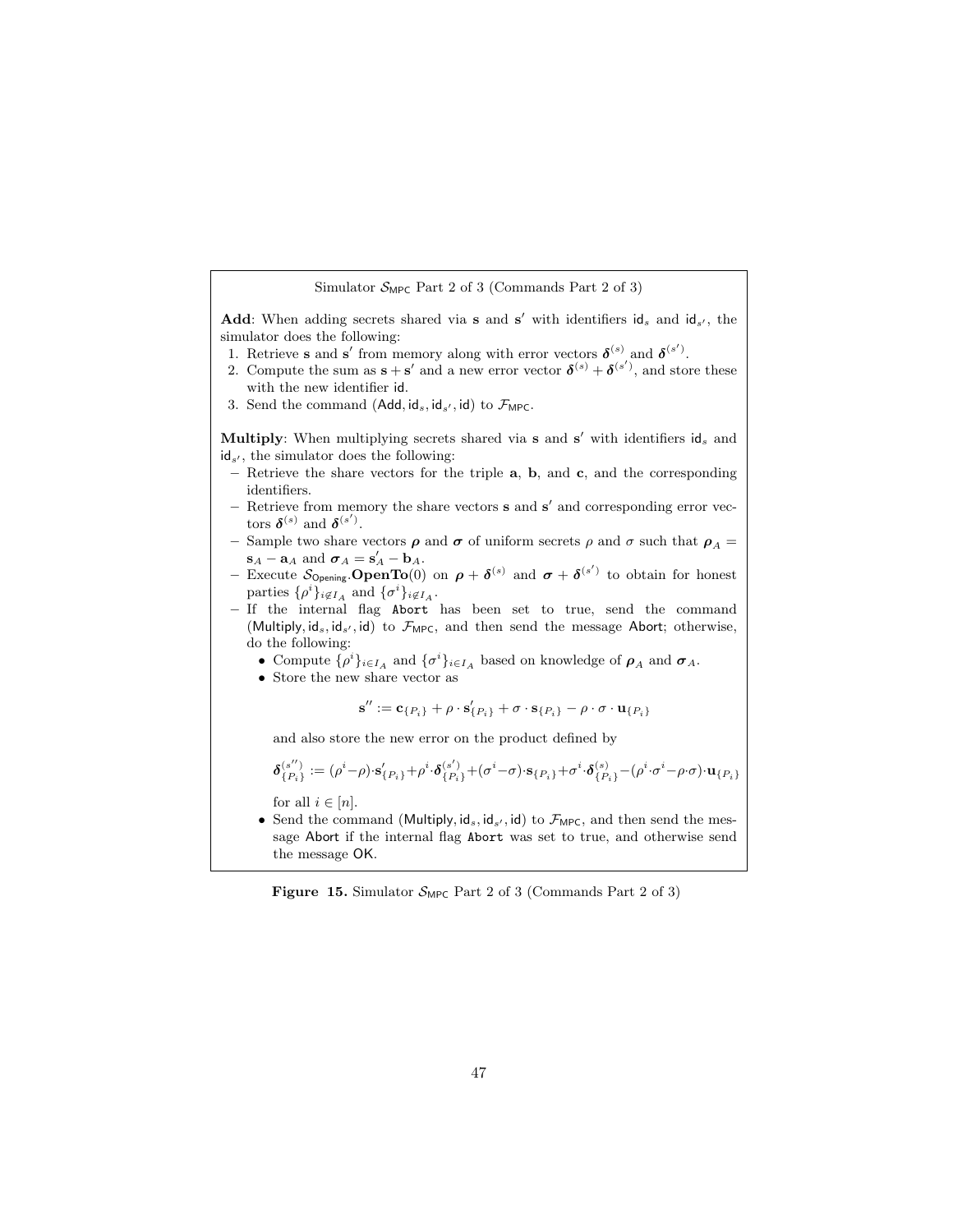Simulator  $S_{\text{MPC}}$  Part 2 of 3 (Commands Part 2 of 3)

Add: When adding secrets shared via s and s' with identifiers  $id_s$  and  $id_{s'}$ , the simulator does the following:

- 1. Retrieve **s** and **s'** from memory along with error vectors  $\boldsymbol{\delta}^{(s)}$  and  $\boldsymbol{\delta}^{(s')}$ .
- 2. Compute the sum as  $\mathbf{s} + \mathbf{s}'$  and a new error vector  $\boldsymbol{\delta}^{(s)} + \boldsymbol{\delta}^{(s')}$ , and store these with the new identifier id.
- 3. Send the command  $(Add, id_s, id_{s'}, id)$  to  $\mathcal{F}_{\text{MPC}}$ .

Multiply: When multiplying secrets shared via  $s$  and  $s'$  with identifiers  $id_s$  and  $id_{s'}$ , the simulator does the following:

- Retrieve the share vectors for the triple  $a, b,$  and  $c,$  and the corresponding identifiers.
- Retrieve from memory the share vectors **s** and **s'** and corresponding error vectors  $\boldsymbol{\delta}^{(s)}$  and  $\boldsymbol{\delta}^{(s')}$ .
- Sample two share vectors  $\rho$  and  $\sigma$  of uniform secrets  $\rho$  and  $\sigma$  such that  $\rho_A$  =  $\mathbf{s}_A - \mathbf{a}_A$  and  $\boldsymbol{\sigma}_A = \mathbf{s}'_A - \mathbf{b}_A$ .
- Execute  $S_{\text{Opening}}$  **OpenTo**(0) on  $\rho + \delta^{(s)}$  and  $\sigma + \delta^{(s')}$  to obtain for honest parties  $\{\rho^i\}_{i \notin I_A}$  and  $\{\sigma^i\}_{i \notin I_A}$ .
- If the internal flag Abort has been set to true, send the command (Multiply, ids, ids', id) to  $\mathcal{F}_{\mathsf{MPC}},$  and then send the message Abort; otherwise, do the following:
	- Compute  $\{\rho^i\}_{i\in I_A}$  and  $\{\sigma^i\}_{i\in I_A}$  based on knowledge of  $\rho_A$  and  $\sigma_A$ .
	- Store the new share vector as

$$
\mathbf{s}'' := \mathbf{c}_{\{P_i\}} + \rho \cdot \mathbf{s}'_{\{P_i\}} + \sigma \cdot \mathbf{s}_{\{P_i\}} - \rho \cdot \sigma \cdot \mathbf{u}_{\{P_i\}}
$$

and also store the new error on the product defined by

$$
\pmb\delta^{(s'')}_{\{P_i\}}:=(\rho^i-\rho)\cdot{\bf s}'_{\{P_i\}}+\rho^i\cdot\pmb\delta^{(s')}_{\{P_i\}}+(\sigma^i-\sigma)\cdot{\bf s}_{\{P_i\}}+\sigma^i\cdot\pmb\delta^{(s)}_{\{P_i\}}-(\rho^i\cdot\sigma^i-\rho\cdot\sigma)\cdot{\bf u}_{\{P_i\}}
$$

for all  $i \in [n]$ .

• Send the command (Multiply,  $id_s$ ,  $id_s$ ,  $id$ ) to  $\mathcal{F}_{\text{MPC}}$ , and then send the message Abort if the internal flag Abort was set to true, and otherwise send the message OK.

<span id="page-46-0"></span>Figure 15. Simulator  $S_{\text{MPC}}$  Part 2 of 3 (Commands Part 2 of 3)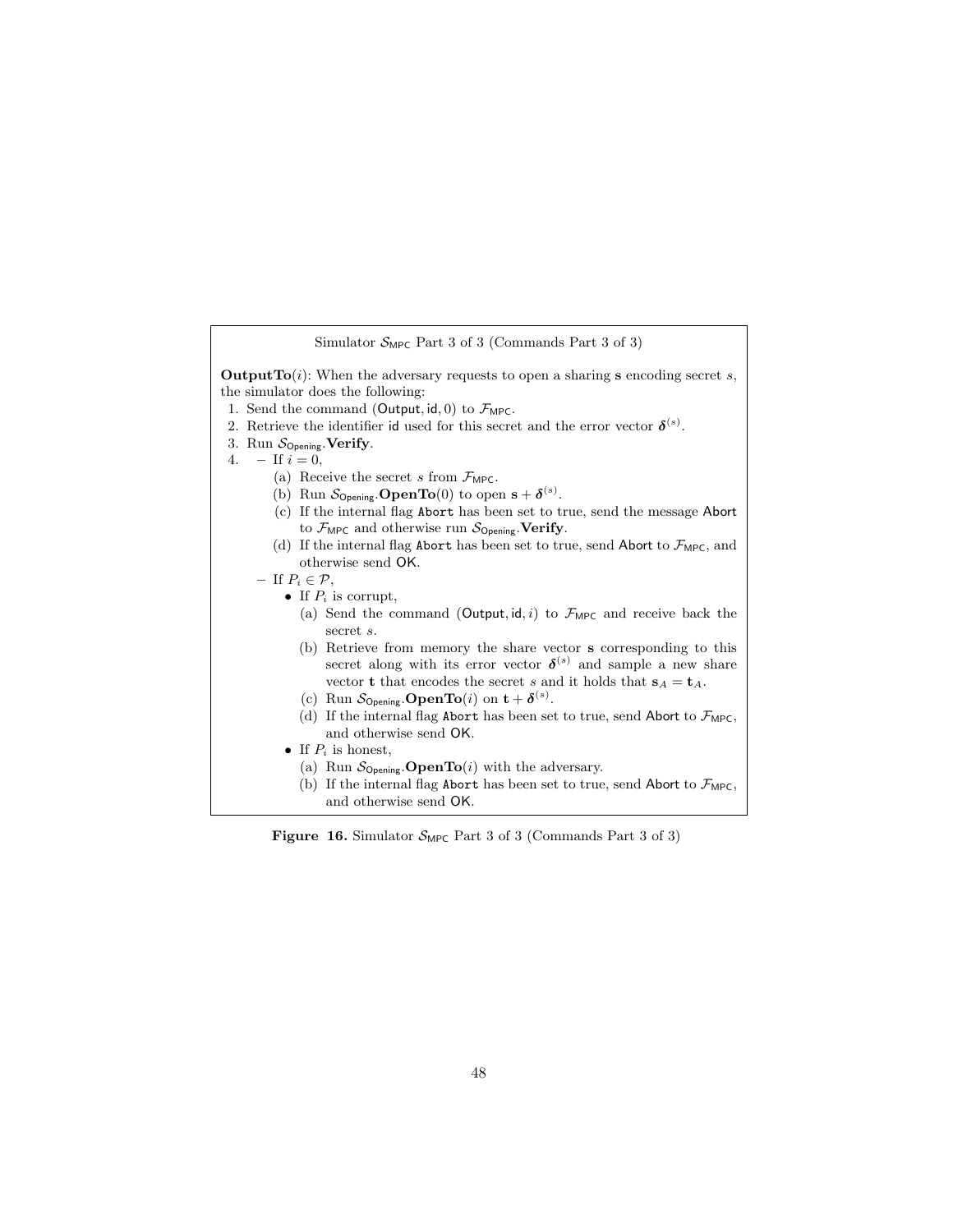| Simulator $S_{\text{MPC}}$ Part 3 of 3 (Commands Part 3 of 3)                                                                                                                                                                                                                                                                                                               |  |  |  |  |
|-----------------------------------------------------------------------------------------------------------------------------------------------------------------------------------------------------------------------------------------------------------------------------------------------------------------------------------------------------------------------------|--|--|--|--|
| <b>Output To</b> $(i)$ : When the adversary requests to open a sharing <b>s</b> encoding secret s,<br>the simulator does the following:<br>1. Send the command (Output, id, 0) to $\mathcal{F}_{\text{MPC}}$ .<br>2. Retrieve the identifier id used for this secret and the error vector $\delta^{(s)}$ .<br>3. Run $S_{\text{Opening}}$ Verify.<br>$-$ If $i = 0$ ,<br>4. |  |  |  |  |
| (a) Receive the secret s from $\mathcal{F}_{\text{MPC}}$ .                                                                                                                                                                                                                                                                                                                  |  |  |  |  |
| (b) Run $\mathcal{S}_{\text{Opening}}$ . <b>OpenTo</b> (0) to open $\mathbf{s} + \boldsymbol{\delta}^{(s)}$ .                                                                                                                                                                                                                                                               |  |  |  |  |
| (c) If the internal flag Abort has been set to true, send the message Abort                                                                                                                                                                                                                                                                                                 |  |  |  |  |
| to $\mathcal{F}_{\text{MPC}}$ and otherwise run $\mathcal{S}_{\text{Opening}}$ . Verify.<br>(d) If the internal flag Abort has been set to true, send Abort to $\mathcal{F}_{\text{MPC}}$ , and<br>otherwise send OK.                                                                                                                                                       |  |  |  |  |
| $-$ If $P_i \in \mathcal{P}$ ,                                                                                                                                                                                                                                                                                                                                              |  |  |  |  |
| • If $P_i$ is corrupt,                                                                                                                                                                                                                                                                                                                                                      |  |  |  |  |
| (a) Send the command (Output, id, i) to $\mathcal{F}_{\text{MPC}}$ and receive back the<br>secret s.                                                                                                                                                                                                                                                                        |  |  |  |  |
| (b) Retrieve from memory the share vector <b>s</b> corresponding to this<br>secret along with its error vector $\delta^{(s)}$ and sample a new share<br>vector <b>t</b> that encodes the secret <i>s</i> and it holds that $s_A = t_A$ .<br>(c) Run $S_{\text{Opening}}$ <b>OpenTo</b> ( <i>i</i> ) on $t + \delta^{(s)}$ .                                                 |  |  |  |  |
| (d) If the internal flag Abort has been set to true, send Abort to $\mathcal{F}_{\text{MPC}}$ ,<br>and otherwise send OK.                                                                                                                                                                                                                                                   |  |  |  |  |
| • If $P_i$ is honest.                                                                                                                                                                                                                                                                                                                                                       |  |  |  |  |
| (a) Run $\mathcal{S}_{\text{Opening}}$ <b>OpenTo</b> ( <i>i</i> ) with the adversary.                                                                                                                                                                                                                                                                                       |  |  |  |  |
| (b) If the internal flag Abort has been set to true, send Abort to $\mathcal{F}_{\text{MPC}}$ ,<br>and otherwise send OK.                                                                                                                                                                                                                                                   |  |  |  |  |

Figure 16. Simulator  $S_{\text{MPC}}$  Part 3 of 3 (Commands Part 3 of 3)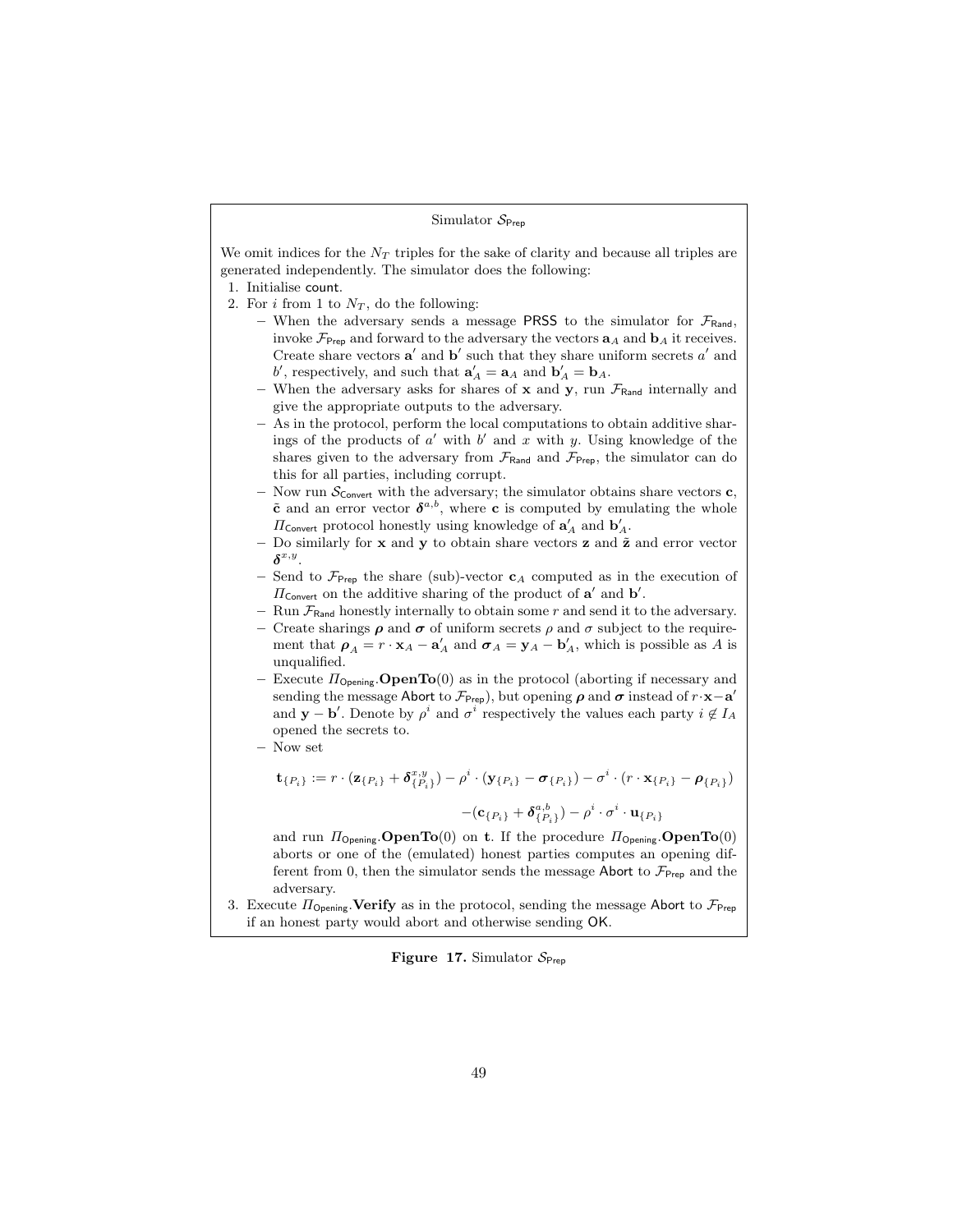#### Simulator  $S_{\text{Prep}}$

We omit indices for the  $N_T$  triples for the sake of clarity and because all triples are generated independently. The simulator does the following:

- 1. Initialise count.
- 2. For i from 1 to  $N_T$ , do the following:
	- When the adversary sends a message PRSS to the simulator for  $\mathcal{F}_{\text{Rand}}$ , invoke  $\mathcal{F}_{\text{Prep}}$  and forward to the adversary the vectors  $\mathbf{a}_A$  and  $\mathbf{b}_A$  it receives. Create share vectors  $a'$  and  $b'$  such that they share uniform secrets  $a'$  and b', respectively, and such that  $\mathbf{a}'_A = \mathbf{a}_A$  and  $\mathbf{b}'_A = \mathbf{b}_A$ .
	- When the adversary asks for shares of  $x$  and  $y$ , run  $\mathcal{F}_{\text{Rand}}$  internally and give the appropriate outputs to the adversary.
	- As in the protocol, perform the local computations to obtain additive sharings of the products of  $a'$  with  $b'$  and  $x$  with  $y$ . Using knowledge of the shares given to the adversary from  $\mathcal{F}_{\text{Rand}}$  and  $\mathcal{F}_{\text{Prep}}$ , the simulator can do this for all parties, including corrupt.
	- Now run  $\mathcal{S}_{\text{Convert}}$  with the adversary; the simulator obtains share vectors **c**,  $\tilde{\mathbf{c}}$  and an error vector  $\boldsymbol{\delta}^{a,b}$ , where **c** is computed by emulating the whole  $\Pi_{\mathsf{Convert}}$  protocol honestly using knowledge of  $\mathbf{a}'_A$  and  $\mathbf{b}'_A$ .
	- Do similarly for  $x$  and  $y$  to obtain share vectors  $z$  and  $\tilde{z}$  and error vector  $\delta^{x,y}$ .
	- Send to  $\mathcal{F}_{\text{Prep}}$  the share (sub)-vector  $c_A$  computed as in the execution of  $\Pi_{\text{Convert}}$  on the additive sharing of the product of  $\mathbf{a}'$  and  $\mathbf{b}'$ .
	- Run  $\mathcal{F}_{\text{Rand}}$  honestly internally to obtain some r and send it to the adversary.
	- Create sharings  $\rho$  and  $\sigma$  of uniform secrets  $\rho$  and  $\sigma$  subject to the requirement that  $\rho_A = r \cdot \mathbf{x}_A - \mathbf{a}'_A$  and  $\sigma_A = \mathbf{y}_A - \mathbf{b}'_A$ , which is possible as A is unqualified.
	- Execute  $\Pi_{\text{Opening}}$ . **OpenTo**(0) as in the protocol (aborting if necessary and sending the message Abort to  $\mathcal{F}_{\text{Prep}}$ ), but opening  $\rho$  and  $\sigma$  instead of  $r \cdot \mathbf{x} - \mathbf{a}'$ and **y** – **b**'. Denote by  $\rho^i$  and  $\sigma^i$  respectively the values each party  $i \notin I_A$ opened the secrets to.
	- Now set

$$
\mathbf{t}_{\{P_i\}} := r \cdot (\mathbf{z}_{\{P_i\}} + \delta_{\{P_i\}}^{x,y}) - \rho^i \cdot (\mathbf{y}_{\{P_i\}} - \sigma_{\{P_i\}}) - \sigma^i \cdot (r \cdot \mathbf{x}_{\{P_i\}} - \rho_{\{P_i\}}))
$$

$$
-(\mathbf{c}_{\{P_i\}} + \delta_{\{P_i\}}^{a,b}) - \rho^i \cdot \sigma^i \cdot \mathbf{u}_{\{P_i\}}
$$

and run  $\Pi_{\text{Opening}}$ . **OpenTo**(0) on **t**. If the procedure  $\Pi_{\text{Opening}}$ . **OpenTo**(0) aborts or one of the (emulated) honest parties computes an opening different from 0, then the simulator sends the message Abort to  $\mathcal{F}_{\text{Prep}}$  and the adversary.

3. Execute  $\Pi_{\text{Opening}}$ . Verify as in the protocol, sending the message Abort to  $\mathcal{F}_{\text{Prep}}$ if an honest party would abort and otherwise sending OK.

<span id="page-48-0"></span>Figure 17. Simulator  $S_{\text{Prep}}$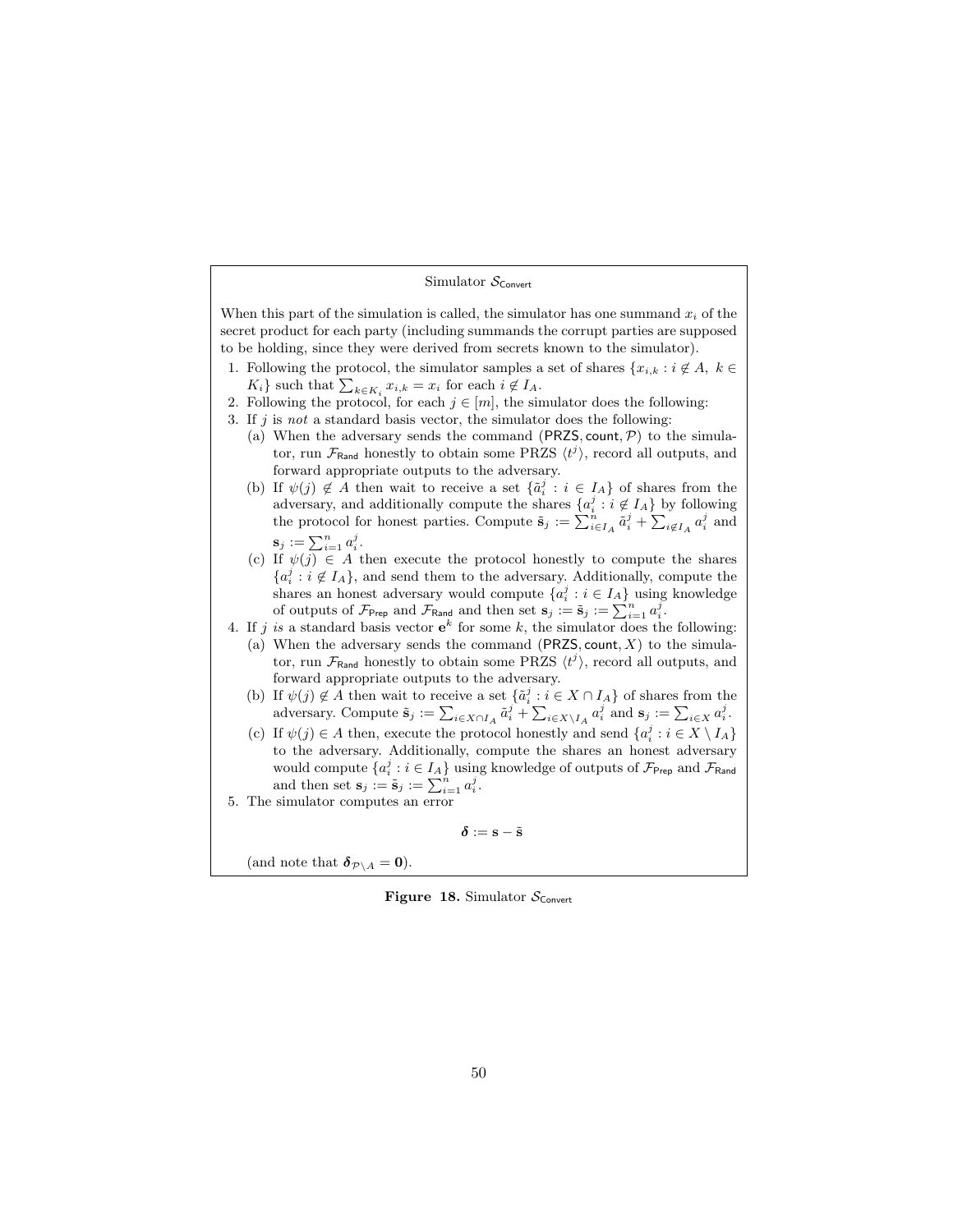#### Simulator  $S_{\text{Convert}}$

When this part of the simulation is called, the simulator has one summand  $x_i$  of the secret product for each party (including summands the corrupt parties are supposed to be holding, since they were derived from secrets known to the simulator).

- 1. Following the protocol, the simulator samples a set of shares  $\{x_{i,k} : i \notin A, k \in \mathbb{R}\}$  $K_i$  such that  $\sum_{k \in K_i} x_{i,k} = x_i$  for each  $i \notin I_A$ .
- 2. Following the protocol, for each  $j \in [m]$ , the simulator does the following:
- 3. If  $j$  is not a standard basis vector, the simulator does the following:
	- (a) When the adversary sends the command (PRZS, count,  $P$ ) to the simulator, run  $\mathcal{F}_{\text{Rand}}$  honestly to obtain some PRZS  $\langle t^j \rangle$ , record all outputs, and forward appropriate outputs to the adversary.
	- (b) If  $\psi(j) \notin A$  then wait to receive a set  $\{\tilde{a}_i^j : i \in I_A\}$  of shares from the adversary, and additionally compute the shares  $\{a_i^j : i \notin I_A\}$  by following the protocol for honest parties. Compute  $\tilde{\mathbf{s}}_j := \sum_{i \in I_A}^n \tilde{a}_i^j + \sum_{i \notin I_A} a_i^j$  and  $s_j := \sum_{i=1}^n a_i^j$ .
	- (c) If  $\psi(j) \in A$  then execute the protocol honestly to compute the shares  ${a_i^j : i \notin I_A}$ , and send them to the adversary. Additionally, compute the shares an honest adversary would compute  $\{a_i^j : i \in I_A\}$  using knowledge of outputs of  $\mathcal{F}_{\mathsf{Prep}}$  and  $\mathcal{F}_{\mathsf{Rand}}$  and then set  $\mathbf{s}_j := \tilde{\mathbf{s}}_j := \sum_{i=1}^n a_i^j$ .
- 4. If j is a standard basis vector  $e^k$  for some k, the simulator does the following:

(a) When the adversary sends the command  $(PRZS, \text{count}, X)$  to the simulator, run  $\mathcal{F}_{\text{Rand}}$  honestly to obtain some PRZS  $\langle t^j \rangle$ , record all outputs, and forward appropriate outputs to the adversary.

- (b) If  $\psi(j) \notin A$  then wait to receive a set  $\{\tilde{a}_i^j : i \in X \cap I_A\}$  of shares from the adversary. Compute  $\tilde{\mathbf{s}}_j := \sum_{i \in X \cap I_A} \tilde{a}_i^j + \sum_{i \in X \setminus I_A} a_i^j$  and  $\mathbf{s}_j := \sum_{i \in X} a_i^j$ .
- (c) If  $\psi(j) \in A$  then, execute the protocol honestly and send  $\{a_i^j : i \in X \setminus I_A\}$ to the adversary. Additionally, compute the shares an honest adversary would compute  $\{a_i^j : i \in I_A\}$  using knowledge of outputs of  $\mathcal{F}_{\mathsf{Prep}}$  and  $\mathcal{F}_{\mathsf{Rand}}$ and then set  $\mathbf{s}_j := \tilde{\mathbf{s}}_j := \sum_{i=1}^n a_i^j$ .
- 5. The simulator computes an error

<span id="page-49-0"></span>
$$
\boldsymbol{\delta} := \mathbf{s} - \tilde{\mathbf{s}}
$$

(and note that  $\delta_{\mathcal{P}\setminus A} = 0$ ).

Figure 18. Simulator  $S_{\text{Convert}}$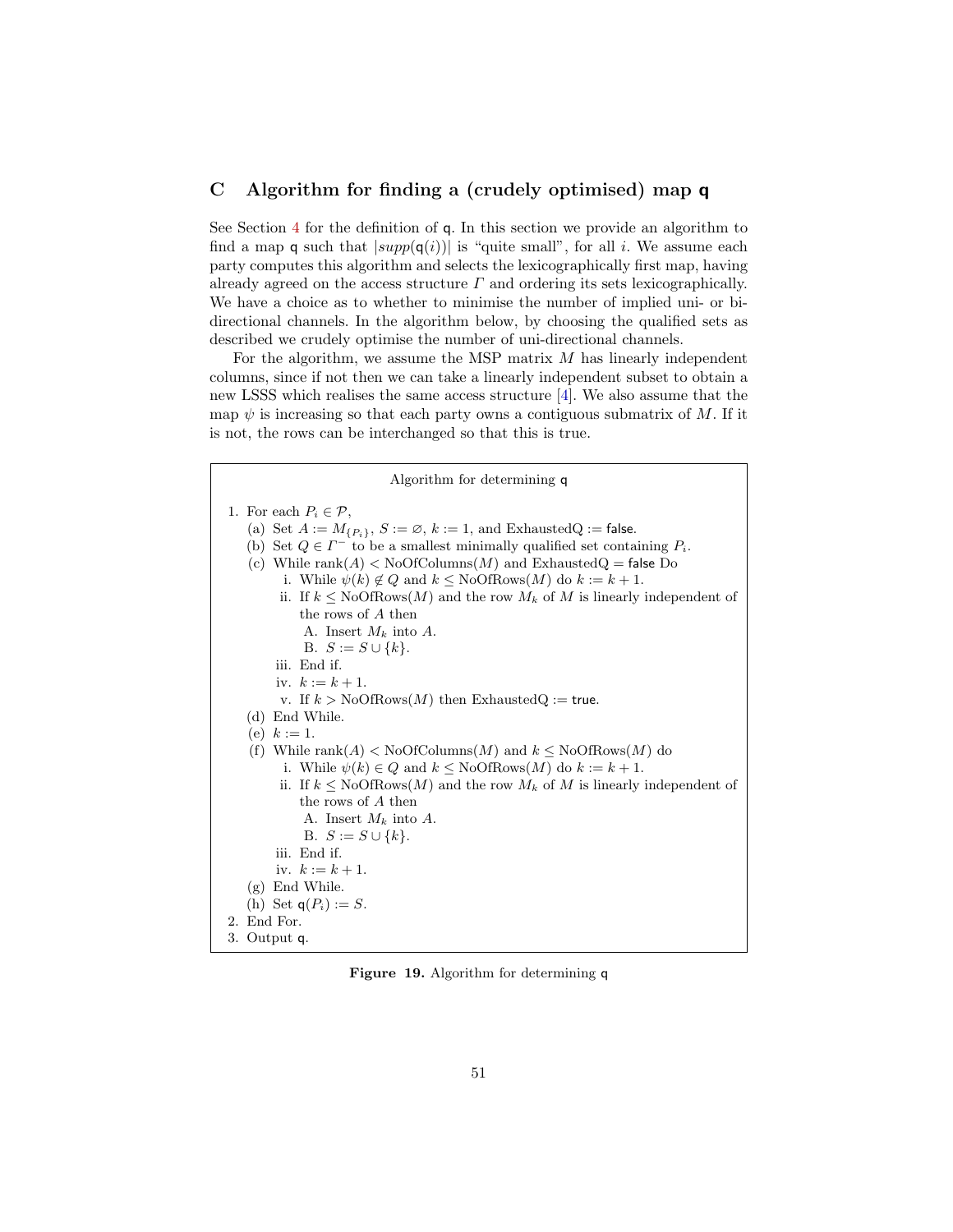# <span id="page-50-0"></span>C Algorithm for finding a (crudely optimised) map q

See Section [4](#page-11-0) for the definition of q. In this section we provide an algorithm to find a map q such that  $|supp(q(i))|$  is "quite small", for all *i*. We assume each party computes this algorithm and selects the lexicographically first map, having already agreed on the access structure  $\Gamma$  and ordering its sets lexicographically. We have a choice as to whether to minimise the number of implied uni- or bidirectional channels. In the algorithm below, by choosing the qualified sets as described we crudely optimise the number of uni-directional channels.

For the algorithm, we assume the MSP matrix  $M$  has linearly independent columns, since if not then we can take a linearly independent subset to obtain a new LSSS which realises the same access structure [\[4\]](#page-25-10). We also assume that the map  $\psi$  is increasing so that each party owns a contiguous submatrix of M. If it is not, the rows can be interchanged so that this is true.

| Algorithm for determining q                                                                                                                                                                                                                                                                                                                                                                                                                                                                                                                   |
|-----------------------------------------------------------------------------------------------------------------------------------------------------------------------------------------------------------------------------------------------------------------------------------------------------------------------------------------------------------------------------------------------------------------------------------------------------------------------------------------------------------------------------------------------|
| 1. For each $P_i \in \mathcal{P}$ ,<br>(a) Set $A := M_{\{P_i\}}$ , $S := \emptyset$ , $k := 1$ , and ExhaustedQ := false.<br>(b) Set $Q \in \Gamma^-$ to be a smallest minimally qualified set containing $P_i$ .<br>(c) While rank $(A)$ < NoOfColumns $(M)$ and ExhaustedQ = false Do<br>i. While $\psi(k) \notin Q$ and $k \leq \text{NoOfRows}(M)$ do $k := k + 1$ .<br>ii. If $k \leq \text{NoOfRows}(M)$ and the row $M_k$ of M is linearly independent of<br>the rows of A then<br>A. Insert $M_k$ into A.<br>B. $S := S \cup \{k\}.$ |
| iii. End if.<br>iv. $k := k + 1$ .<br>v. If $k > NoOfRows(M)$ then ExhaustedQ := true.                                                                                                                                                                                                                                                                                                                                                                                                                                                        |
| (d) End While.<br>(e) $k := 1$ .                                                                                                                                                                                                                                                                                                                                                                                                                                                                                                              |
| (f) While rank(A) < NoOfColumns(M) and $k \leq$ NoOfRows(M) do<br>i. While $\psi(k) \in Q$ and $k \leq \text{NoOfRows}(M)$ do $k := k + 1$ .<br>ii. If $k \leq \text{NoOfRows}(M)$ and the row $M_k$ of M is linearly independent of                                                                                                                                                                                                                                                                                                          |
| the rows of A then<br>A. Insert $M_k$ into A.<br>B. $S := S \cup \{k\}.$<br>iii. End if.                                                                                                                                                                                                                                                                                                                                                                                                                                                      |
| iv. $k := k + 1$ .<br>$(g)$ End While.<br>(h) Set $q(P_i) := S$ .                                                                                                                                                                                                                                                                                                                                                                                                                                                                             |
| 2. End For.                                                                                                                                                                                                                                                                                                                                                                                                                                                                                                                                   |
| 3. Output q.                                                                                                                                                                                                                                                                                                                                                                                                                                                                                                                                  |

Figure 19. Algorithm for determining q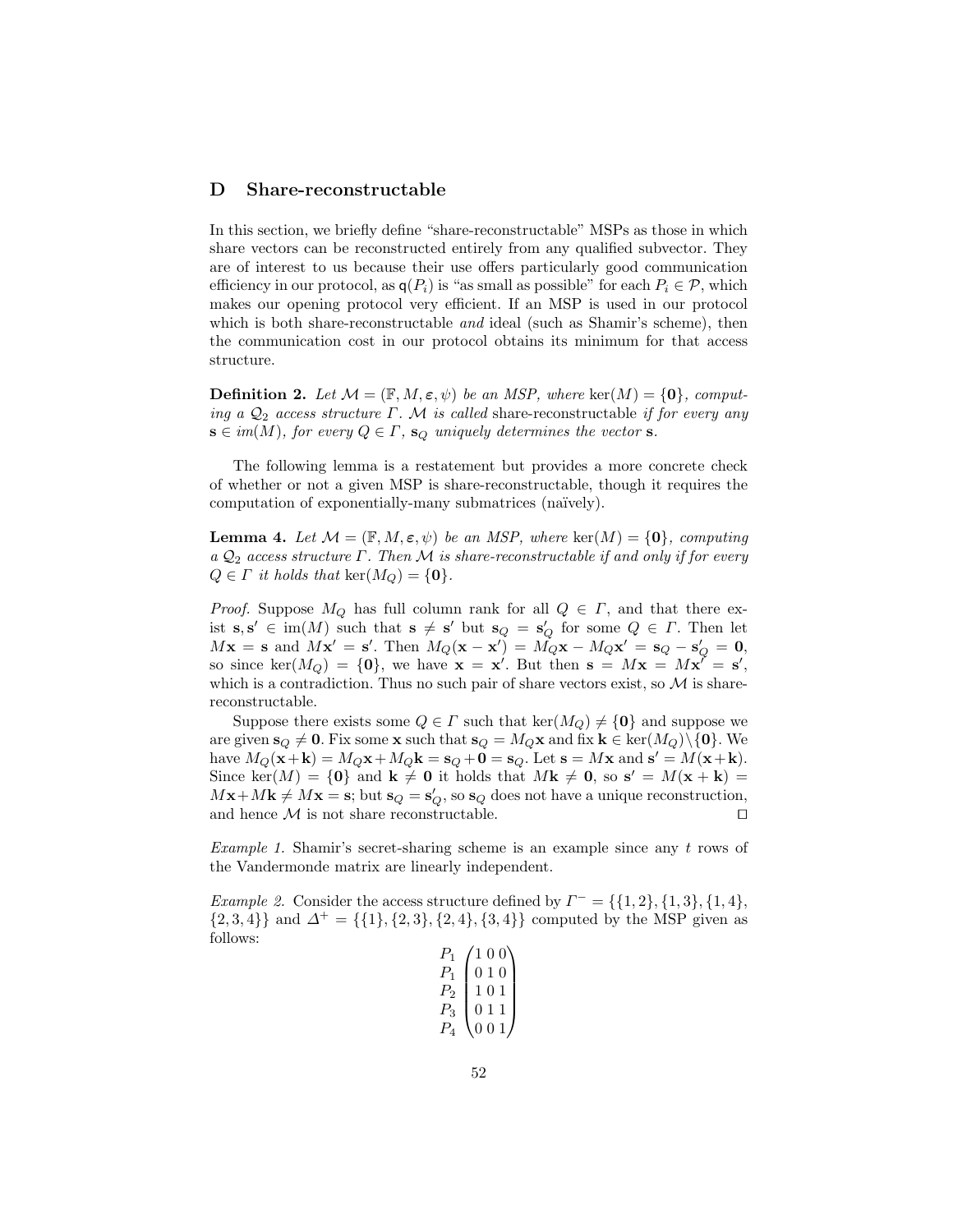# <span id="page-51-0"></span>D Share-reconstructable

In this section, we briefly define "share-reconstructable" MSPs as those in which share vectors can be reconstructed entirely from any qualified subvector. They are of interest to us because their use offers particularly good communication efficiency in our protocol, as  $q(P_i)$  is "as small as possible" for each  $P_i \in \mathcal{P}$ , which makes our opening protocol very efficient. If an MSP is used in our protocol which is both share-reconstructable *and* ideal (such as Shamir's scheme), then the communication cost in our protocol obtains its minimum for that access structure.

**Definition 2.** Let  $\mathcal{M} = (\mathbb{F}, M, \varepsilon, \psi)$  be an MSP, where ker $(M) = \{0\}$ , computing a  $\mathcal{Q}_2$  access structure  $\Gamma$ . M is called share-reconstructable if for every any  $\mathbf{s} \in im(M)$ , for every  $Q \in \Gamma$ ,  $\mathbf{s}_Q$  uniquely determines the vector  $\mathbf{s}$ .

The following lemma is a restatement but provides a more concrete check of whether or not a given MSP is share-reconstructable, though it requires the computation of exponentially-many submatrices (naïvely).

<span id="page-51-1"></span>**Lemma 4.** Let  $\mathcal{M} = (\mathbb{F}, M, \varepsilon, \psi)$  be an MSP, where ker $(M) = \{0\}$ , computing a  $\mathcal{Q}_2$  access structure  $\Gamma$ . Then M is share-reconstructable if and only if for every  $Q \in \Gamma$  it holds that  $\ker(M_Q) = \{0\}.$ 

*Proof.* Suppose  $M_Q$  has full column rank for all  $Q \in \Gamma$ , and that there exist  $s, s' \in \text{im}(M)$  such that  $s \neq s'$  but  $s_Q = s_Q'$  for some  $Q \in \Gamma$ . Then let  $M\mathbf{x} = \mathbf{s}$  and  $M\mathbf{x}' = \mathbf{s}'$ . Then  $M_Q(\mathbf{x} - \mathbf{x}') = M_Q\mathbf{x} - M_Q\mathbf{x}' = \mathbf{s}_Q - \mathbf{s}'_Q = \mathbf{0}$ , so since ker $(M_Q) = \{0\}$ , we have  $\mathbf{x} = \mathbf{x}'$ . But then  $\mathbf{s} = M\mathbf{x} = M\mathbf{x}' = \mathbf{s}'$ , which is a contradiction. Thus no such pair of share vectors exist, so  $\mathcal M$  is sharereconstructable.

Suppose there exists some  $Q \in \Gamma$  such that  $\text{ker}(M_Q) \neq \{0\}$  and suppose we are given  $\mathbf{s}_Q \neq \mathbf{0}$ . Fix some **x** such that  $\mathbf{s}_Q = M_Q \mathbf{x}$  and fix  $\mathbf{k} \in \text{ker}(M_Q) \setminus \{0\}$ . We have  $M_Q(\mathbf{x} + \mathbf{k}) = M_Q \mathbf{x} + M_Q \mathbf{k} = \mathbf{s}_Q + \mathbf{0} = \mathbf{s}_Q$ . Let  $\mathbf{s} = M \mathbf{x}$  and  $\mathbf{s}' = M(\mathbf{x} + \mathbf{k})$ . Since ker(M) = {0} and  $\mathbf{k} \neq 0$  it holds that  $M\mathbf{k} \neq 0$ , so  $\mathbf{s}' = M(\mathbf{x} + \mathbf{k}) =$  $M\mathbf{x} + M\mathbf{k} \neq M\mathbf{x} = \mathbf{s}$ ; but  $\mathbf{s}_Q = \mathbf{s}'_Q$ , so  $\mathbf{s}_Q$  does not have a unique reconstruction, and hence  $\mathcal M$  is not share reconstructable.

Example 1. Shamir's secret-sharing scheme is an example since any  $t$  rows of the Vandermonde matrix are linearly independent.

*Example 2.* Consider the access structure defined by  $\Gamma^- = \{\{1, 2\}, \{1, 3\}, \{1, 4\},\$  $\{2,3,4\}$  and  $\Delta^+ = \{\{1\},\{2,3\},\{2,4\},\{3,4\}\}\$ computed by the MSP given as follows:

| P <sub>1</sub> | 100                          |
|----------------|------------------------------|
| $P_1$          | 010                          |
| $P_{2}$        | 101                          |
| $P_3$          | 011                          |
|                | 0 <sub>1</sub><br>$\epsilon$ |